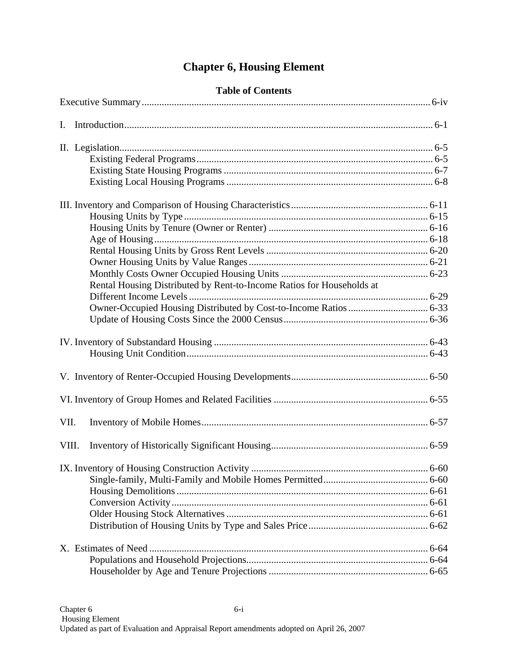# **Chapter 6, Housing Element**

|  |  | <b>Table of Contents</b> |
|--|--|--------------------------|
|--|--|--------------------------|

|       | Rental Housing Distributed by Rent-to-Income Ratios for Households at |  |
|-------|-----------------------------------------------------------------------|--|
|       |                                                                       |  |
|       |                                                                       |  |
|       |                                                                       |  |
|       |                                                                       |  |
|       |                                                                       |  |
|       |                                                                       |  |
|       |                                                                       |  |
| VII.  |                                                                       |  |
| VIII. |                                                                       |  |
|       |                                                                       |  |
|       |                                                                       |  |
|       |                                                                       |  |
|       |                                                                       |  |
|       |                                                                       |  |
|       |                                                                       |  |
|       |                                                                       |  |
|       |                                                                       |  |
|       |                                                                       |  |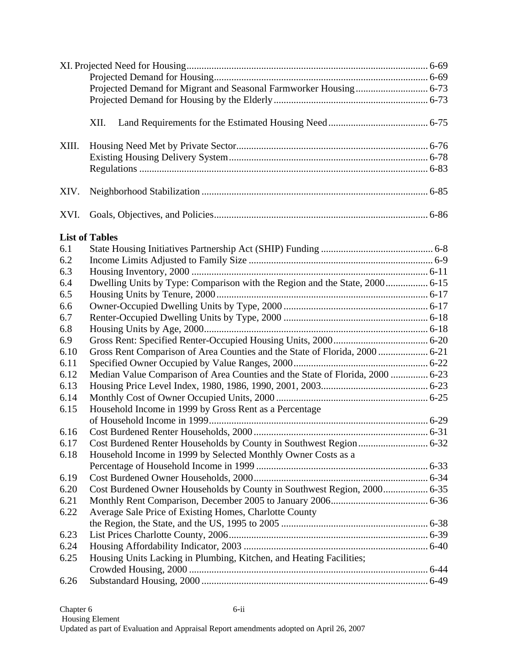|       | XII.                                                                          |  |
|-------|-------------------------------------------------------------------------------|--|
| XIII. |                                                                               |  |
|       |                                                                               |  |
|       |                                                                               |  |
| XIV.  |                                                                               |  |
| XVI.  |                                                                               |  |
|       | <b>List of Tables</b>                                                         |  |
| 6.1   |                                                                               |  |
| 6.2   |                                                                               |  |
| 6.3   |                                                                               |  |
| 6.4   |                                                                               |  |
| 6.5   |                                                                               |  |
| 6.6   |                                                                               |  |
| 6.7   |                                                                               |  |
| 6.8   |                                                                               |  |
| 6.9   |                                                                               |  |
| 6.10  | Gross Rent Comparison of Area Counties and the State of Florida, 2000  6-21   |  |
| 6.11  |                                                                               |  |
| 6.12  | Median Value Comparison of Area Counties and the State of Florida, 2000  6-23 |  |
| 6.13  |                                                                               |  |
| 6.14  |                                                                               |  |
| 6.15  | Household Income in 1999 by Gross Rent as a Percentage                        |  |
|       |                                                                               |  |
| 6.16  |                                                                               |  |
| 6.17  |                                                                               |  |
| 6.18  | Household Income in 1999 by Selected Monthly Owner Costs as a                 |  |
|       |                                                                               |  |
| 6.19  |                                                                               |  |
| 6.20  | Cost Burdened Owner Households by County in Southwest Region, 2000 6-35       |  |
| 6.21  |                                                                               |  |
| 6.22  | Average Sale Price of Existing Homes, Charlotte County                        |  |
|       |                                                                               |  |
| 6.23  |                                                                               |  |
| 6.24  |                                                                               |  |
| 6.25  | Housing Units Lacking in Plumbing, Kitchen, and Heating Facilities;           |  |
|       |                                                                               |  |
| 6.26  |                                                                               |  |
|       |                                                                               |  |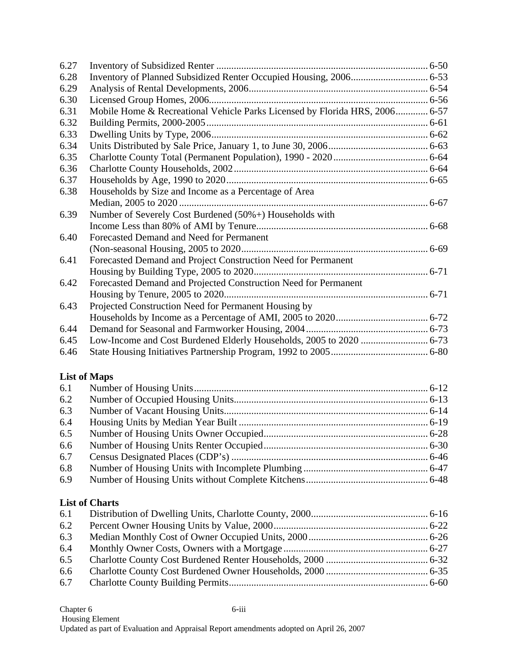| 6.27 |                                                                             |  |
|------|-----------------------------------------------------------------------------|--|
| 6.28 |                                                                             |  |
| 6.29 |                                                                             |  |
| 6.30 |                                                                             |  |
| 6.31 | Mobile Home & Recreational Vehicle Parks Licensed by Florida HRS, 2006 6-57 |  |
| 6.32 |                                                                             |  |
| 6.33 |                                                                             |  |
| 6.34 |                                                                             |  |
| 6.35 |                                                                             |  |
| 6.36 |                                                                             |  |
| 6.37 |                                                                             |  |
| 6.38 | Households by Size and Income as a Percentage of Area                       |  |
|      |                                                                             |  |
| 6.39 | Number of Severely Cost Burdened (50%+) Households with                     |  |
|      |                                                                             |  |
| 6.40 | Forecasted Demand and Need for Permanent                                    |  |
|      |                                                                             |  |
| 6.41 | Forecasted Demand and Project Construction Need for Permanent               |  |
|      |                                                                             |  |
| 6.42 | Forecasted Demand and Projected Construction Need for Permanent             |  |
|      |                                                                             |  |
| 6.43 | Projected Construction Need for Permanent Housing by                        |  |
|      |                                                                             |  |
| 6.44 |                                                                             |  |
| 6.45 |                                                                             |  |
| 6.46 |                                                                             |  |

### **List of Maps**

| 6.1 |  |
|-----|--|
| 6.2 |  |
| 6.3 |  |
| 6.4 |  |
| 6.5 |  |
| 6.6 |  |
| 6.7 |  |
| 6.8 |  |
| 6.9 |  |
|     |  |

### **List of Charts**

| 6.1 |  |
|-----|--|
| 6.2 |  |
| 6.3 |  |
| 6.4 |  |
| 6.5 |  |
|     |  |
|     |  |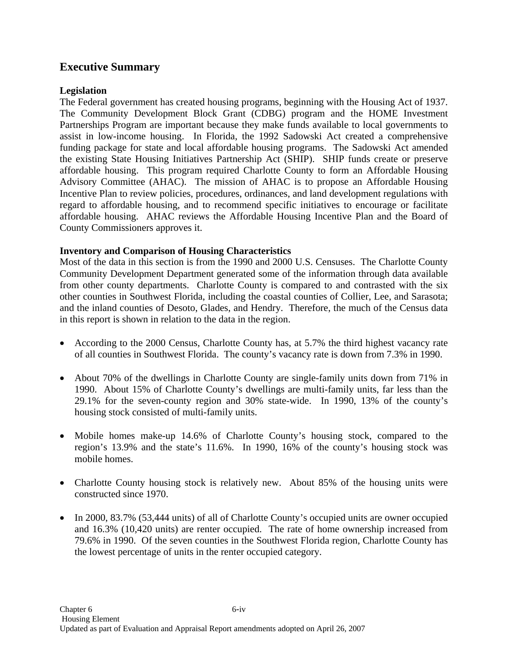# **Executive Summary**

### **Legislation**

The Federal government has created housing programs, beginning with the Housing Act of 1937. The Community Development Block Grant (CDBG) program and the HOME Investment Partnerships Program are important because they make funds available to local governments to assist in low-income housing. In Florida, the 1992 Sadowski Act created a comprehensive funding package for state and local affordable housing programs. The Sadowski Act amended the existing State Housing Initiatives Partnership Act (SHIP). SHIP funds create or preserve affordable housing. This program required Charlotte County to form an Affordable Housing Advisory Committee (AHAC). The mission of AHAC is to propose an Affordable Housing Incentive Plan to review policies, procedures, ordinances, and land development regulations with regard to affordable housing, and to recommend specific initiatives to encourage or facilitate affordable housing. AHAC reviews the Affordable Housing Incentive Plan and the Board of County Commissioners approves it.

### **Inventory and Comparison of Housing Characteristics**

Most of the data in this section is from the 1990 and 2000 U.S. Censuses. The Charlotte County Community Development Department generated some of the information through data available from other county departments. Charlotte County is compared to and contrasted with the six other counties in Southwest Florida, including the coastal counties of Collier, Lee, and Sarasota; and the inland counties of Desoto, Glades, and Hendry. Therefore, the much of the Census data in this report is shown in relation to the data in the region.

- According to the 2000 Census, Charlotte County has, at 5.7% the third highest vacancy rate of all counties in Southwest Florida. The county's vacancy rate is down from 7.3% in 1990.
- About 70% of the dwellings in Charlotte County are single-family units down from 71% in 1990. About 15% of Charlotte County's dwellings are multi-family units, far less than the 29.1% for the seven-county region and 30% state-wide. In 1990, 13% of the county's housing stock consisted of multi-family units.
- Mobile homes make-up 14.6% of Charlotte County's housing stock, compared to the region's 13.9% and the state's 11.6%. In 1990, 16% of the county's housing stock was mobile homes.
- Charlotte County housing stock is relatively new. About 85% of the housing units were constructed since 1970.
- In 2000, 83.7% (53,444 units) of all of Charlotte County's occupied units are owner occupied and 16.3% (10,420 units) are renter occupied. The rate of home ownership increased from 79.6% in 1990. Of the seven counties in the Southwest Florida region, Charlotte County has the lowest percentage of units in the renter occupied category.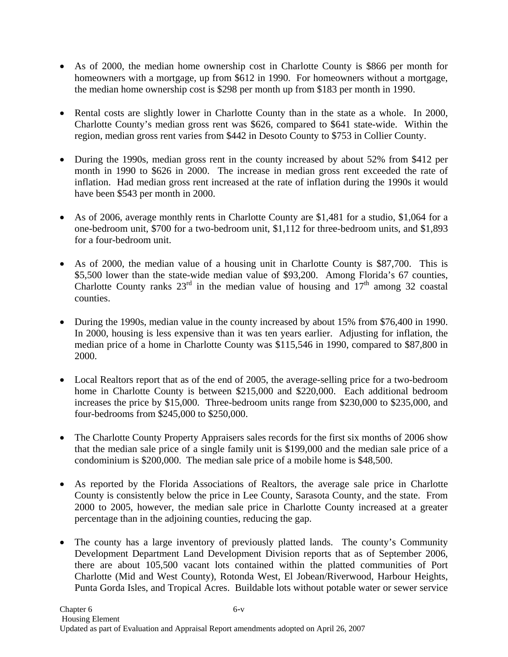- As of 2000, the median home ownership cost in Charlotte County is \$866 per month for homeowners with a mortgage, up from \$612 in 1990. For homeowners without a mortgage, the median home ownership cost is \$298 per month up from \$183 per month in 1990.
- Rental costs are slightly lower in Charlotte County than in the state as a whole. In 2000, Charlotte County's median gross rent was \$626, compared to \$641 state-wide. Within the region, median gross rent varies from \$442 in Desoto County to \$753 in Collier County.
- During the 1990s, median gross rent in the county increased by about 52% from \$412 per month in 1990 to \$626 in 2000. The increase in median gross rent exceeded the rate of inflation. Had median gross rent increased at the rate of inflation during the 1990s it would have been \$543 per month in 2000.
- As of 2006, average monthly rents in Charlotte County are \$1,481 for a studio, \$1,064 for a one-bedroom unit, \$700 for a two-bedroom unit, \$1,112 for three-bedroom units, and \$1,893 for a four-bedroom unit.
- As of 2000, the median value of a housing unit in Charlotte County is \$87,700. This is \$5,500 lower than the state-wide median value of \$93,200. Among Florida's 67 counties, Charlotte County ranks  $23<sup>rd</sup>$  in the median value of housing and  $17<sup>th</sup>$  among 32 coastal counties.
- During the 1990s, median value in the county increased by about 15% from \$76,400 in 1990. In 2000, housing is less expensive than it was ten years earlier. Adjusting for inflation, the median price of a home in Charlotte County was \$115,546 in 1990, compared to \$87,800 in 2000.
- Local Realtors report that as of the end of 2005, the average-selling price for a two-bedroom home in Charlotte County is between \$215,000 and \$220,000. Each additional bedroom increases the price by \$15,000. Three-bedroom units range from \$230,000 to \$235,000, and four-bedrooms from \$245,000 to \$250,000.
- The Charlotte County Property Appraisers sales records for the first six months of 2006 show that the median sale price of a single family unit is \$199,000 and the median sale price of a condominium is \$200,000. The median sale price of a mobile home is \$48,500.
- As reported by the Florida Associations of Realtors, the average sale price in Charlotte County is consistently below the price in Lee County, Sarasota County, and the state. From 2000 to 2005, however, the median sale price in Charlotte County increased at a greater percentage than in the adjoining counties, reducing the gap.
- The county has a large inventory of previously platted lands. The county's Community Development Department Land Development Division reports that as of September 2006, there are about 105,500 vacant lots contained within the platted communities of Port Charlotte (Mid and West County), Rotonda West, El Jobean/Riverwood, Harbour Heights, Punta Gorda Isles, and Tropical Acres. Buildable lots without potable water or sewer service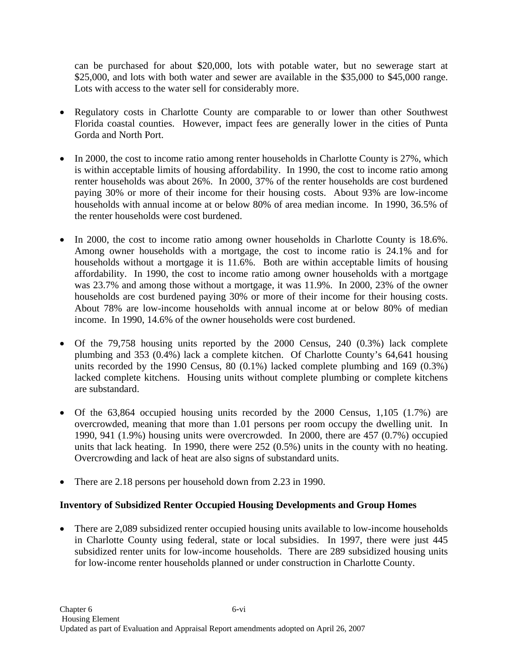can be purchased for about \$20,000, lots with potable water, but no sewerage start at \$25,000, and lots with both water and sewer are available in the \$35,000 to \$45,000 range. Lots with access to the water sell for considerably more.

- Regulatory costs in Charlotte County are comparable to or lower than other Southwest Florida coastal counties. However, impact fees are generally lower in the cities of Punta Gorda and North Port.
- In 2000, the cost to income ratio among renter households in Charlotte County is 27%, which is within acceptable limits of housing affordability. In 1990, the cost to income ratio among renter households was about 26%. In 2000, 37% of the renter households are cost burdened paying 30% or more of their income for their housing costs. About 93% are low-income households with annual income at or below 80% of area median income. In 1990, 36.5% of the renter households were cost burdened.
- In 2000, the cost to income ratio among owner households in Charlotte County is 18.6%. Among owner households with a mortgage, the cost to income ratio is 24.1% and for households without a mortgage it is 11.6%. Both are within acceptable limits of housing affordability. In 1990, the cost to income ratio among owner households with a mortgage was 23.7% and among those without a mortgage, it was 11.9%. In 2000, 23% of the owner households are cost burdened paying 30% or more of their income for their housing costs. About 78% are low-income households with annual income at or below 80% of median income. In 1990, 14.6% of the owner households were cost burdened.
- Of the 79,758 housing units reported by the 2000 Census, 240 (0.3%) lack complete plumbing and 353 (0.4%) lack a complete kitchen. Of Charlotte County's 64,641 housing units recorded by the 1990 Census, 80 (0.1%) lacked complete plumbing and 169 (0.3%) lacked complete kitchens. Housing units without complete plumbing or complete kitchens are substandard.
- Of the 63,864 occupied housing units recorded by the 2000 Census, 1,105 (1.7%) are overcrowded, meaning that more than 1.01 persons per room occupy the dwelling unit. In 1990, 941 (1.9%) housing units were overcrowded. In 2000, there are 457 (0.7%) occupied units that lack heating. In 1990, there were 252 (0.5%) units in the county with no heating. Overcrowding and lack of heat are also signs of substandard units.
- There are 2.18 persons per household down from 2.23 in 1990.

### **Inventory of Subsidized Renter Occupied Housing Developments and Group Homes**

• There are 2,089 subsidized renter occupied housing units available to low-income households in Charlotte County using federal, state or local subsidies. In 1997, there were just 445 subsidized renter units for low-income households. There are 289 subsidized housing units for low-income renter households planned or under construction in Charlotte County.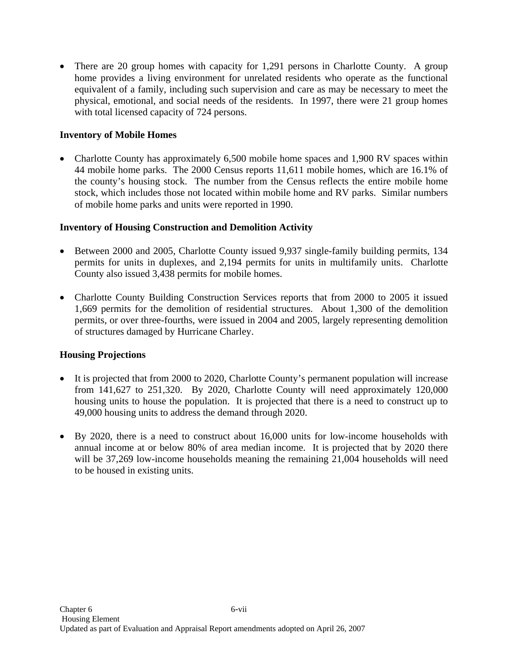• There are 20 group homes with capacity for 1,291 persons in Charlotte County. A group home provides a living environment for unrelated residents who operate as the functional equivalent of a family, including such supervision and care as may be necessary to meet the physical, emotional, and social needs of the residents. In 1997, there were 21 group homes with total licensed capacity of 724 persons.

### **Inventory of Mobile Homes**

• Charlotte County has approximately 6,500 mobile home spaces and 1,900 RV spaces within 44 mobile home parks. The 2000 Census reports 11,611 mobile homes, which are 16.1% of the county's housing stock. The number from the Census reflects the entire mobile home stock, which includes those not located within mobile home and RV parks. Similar numbers of mobile home parks and units were reported in 1990.

### **Inventory of Housing Construction and Demolition Activity**

- Between 2000 and 2005, Charlotte County issued 9,937 single-family building permits, 134 permits for units in duplexes, and 2,194 permits for units in multifamily units. Charlotte County also issued 3,438 permits for mobile homes.
- Charlotte County Building Construction Services reports that from 2000 to 2005 it issued 1,669 permits for the demolition of residential structures. About 1,300 of the demolition permits, or over three-fourths, were issued in 2004 and 2005, largely representing demolition of structures damaged by Hurricane Charley.

### **Housing Projections**

- It is projected that from 2000 to 2020, Charlotte County's permanent population will increase from 141,627 to 251,320. By 2020, Charlotte County will need approximately 120,000 housing units to house the population. It is projected that there is a need to construct up to 49,000 housing units to address the demand through 2020.
- By 2020, there is a need to construct about 16,000 units for low-income households with annual income at or below 80% of area median income. It is projected that by 2020 there will be 37,269 low-income households meaning the remaining 21,004 households will need to be housed in existing units.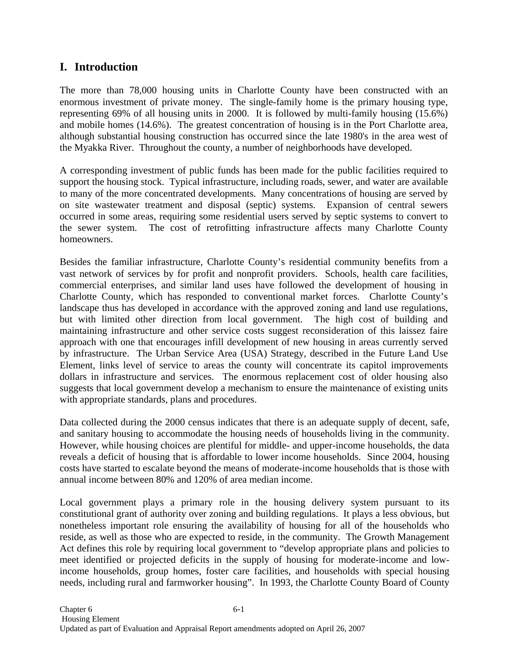# **I. Introduction**

The more than 78,000 housing units in Charlotte County have been constructed with an enormous investment of private money. The single-family home is the primary housing type, representing 69% of all housing units in 2000. It is followed by multi-family housing (15.6%) and mobile homes (14.6%). The greatest concentration of housing is in the Port Charlotte area, although substantial housing construction has occurred since the late 1980's in the area west of the Myakka River. Throughout the county, a number of neighborhoods have developed.

A corresponding investment of public funds has been made for the public facilities required to support the housing stock. Typical infrastructure, including roads, sewer, and water are available to many of the more concentrated developments. Many concentrations of housing are served by on site wastewater treatment and disposal (septic) systems. Expansion of central sewers occurred in some areas, requiring some residential users served by septic systems to convert to the sewer system. The cost of retrofitting infrastructure affects many Charlotte County homeowners.

Besides the familiar infrastructure, Charlotte County's residential community benefits from a vast network of services by for profit and nonprofit providers. Schools, health care facilities, commercial enterprises, and similar land uses have followed the development of housing in Charlotte County, which has responded to conventional market forces. Charlotte County's landscape thus has developed in accordance with the approved zoning and land use regulations, but with limited other direction from local government. The high cost of building and maintaining infrastructure and other service costs suggest reconsideration of this laissez faire approach with one that encourages infill development of new housing in areas currently served by infrastructure. The Urban Service Area (USA) Strategy, described in the Future Land Use Element, links level of service to areas the county will concentrate its capitol improvements dollars in infrastructure and services. The enormous replacement cost of older housing also suggests that local government develop a mechanism to ensure the maintenance of existing units with appropriate standards, plans and procedures.

Data collected during the 2000 census indicates that there is an adequate supply of decent, safe, and sanitary housing to accommodate the housing needs of households living in the community. However, while housing choices are plentiful for middle- and upper-income households, the data reveals a deficit of housing that is affordable to lower income households. Since 2004, housing costs have started to escalate beyond the means of moderate-income households that is those with annual income between 80% and 120% of area median income.

Local government plays a primary role in the housing delivery system pursuant to its constitutional grant of authority over zoning and building regulations. It plays a less obvious, but nonetheless important role ensuring the availability of housing for all of the households who reside, as well as those who are expected to reside, in the community. The Growth Management Act defines this role by requiring local government to "develop appropriate plans and policies to meet identified or projected deficits in the supply of housing for moderate-income and lowincome households, group homes, foster care facilities, and households with special housing needs, including rural and farmworker housing". In 1993, the Charlotte County Board of County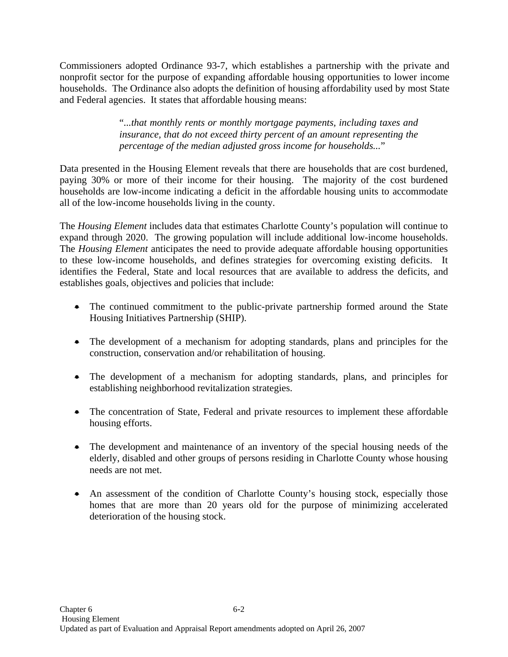Commissioners adopted Ordinance 93-7, which establishes a partnership with the private and nonprofit sector for the purpose of expanding affordable housing opportunities to lower income households. The Ordinance also adopts the definition of housing affordability used by most State and Federal agencies. It states that affordable housing means:

> "*...that monthly rents or monthly mortgage payments, including taxes and insurance, that do not exceed thirty percent of an amount representing the percentage of the median adjusted gross income for households...*"

Data presented in the Housing Element reveals that there are households that are cost burdened, paying 30% or more of their income for their housing. The majority of the cost burdened households are low-income indicating a deficit in the affordable housing units to accommodate all of the low-income households living in the county.

The *Housing Element* includes data that estimates Charlotte County's population will continue to expand through 2020. The growing population will include additional low-income households. The *Housing Element* anticipates the need to provide adequate affordable housing opportunities to these low-income households, and defines strategies for overcoming existing deficits. It identifies the Federal, State and local resources that are available to address the deficits, and establishes goals, objectives and policies that include:

- The continued commitment to the public-private partnership formed around the State Housing Initiatives Partnership (SHIP).
- The development of a mechanism for adopting standards, plans and principles for the construction, conservation and/or rehabilitation of housing.
- The development of a mechanism for adopting standards, plans, and principles for establishing neighborhood revitalization strategies.
- The concentration of State, Federal and private resources to implement these affordable housing efforts.
- The development and maintenance of an inventory of the special housing needs of the elderly, disabled and other groups of persons residing in Charlotte County whose housing needs are not met.
- An assessment of the condition of Charlotte County's housing stock, especially those homes that are more than 20 years old for the purpose of minimizing accelerated deterioration of the housing stock.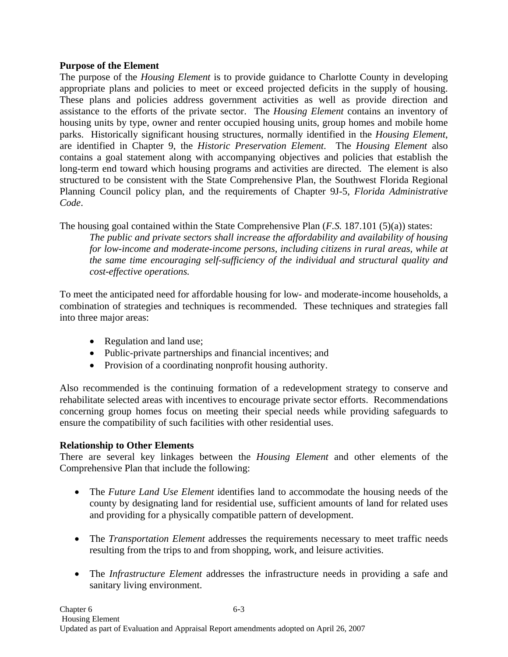### **Purpose of the Element**

The purpose of the *Housing Element* is to provide guidance to Charlotte County in developing appropriate plans and policies to meet or exceed projected deficits in the supply of housing. These plans and policies address government activities as well as provide direction and assistance to the efforts of the private sector. The *Housing Element* contains an inventory of housing units by type, owner and renter occupied housing units, group homes and mobile home parks. Historically significant housing structures, normally identified in the *Housing Element*, are identified in Chapter 9, the *Historic Preservation Element*. The *Housing Element* also contains a goal statement along with accompanying objectives and policies that establish the long-term end toward which housing programs and activities are directed. The element is also structured to be consistent with the State Comprehensive Plan, the Southwest Florida Regional Planning Council policy plan, and the requirements of Chapter 9J-5, *Florida Administrative Code*.

The housing goal contained within the State Comprehensive Plan (*F.S.* 187.101 (5)(a)) states:

*The public and private sectors shall increase the affordability and availability of housing for low-income and moderate-income persons, including citizens in rural areas, while at the same time encouraging self-sufficiency of the individual and structural quality and cost-effective operations.*

To meet the anticipated need for affordable housing for low- and moderate-income households, a combination of strategies and techniques is recommended. These techniques and strategies fall into three major areas:

- Regulation and land use;
- Public-private partnerships and financial incentives; and
- Provision of a coordinating nonprofit housing authority.

Also recommended is the continuing formation of a redevelopment strategy to conserve and rehabilitate selected areas with incentives to encourage private sector efforts. Recommendations concerning group homes focus on meeting their special needs while providing safeguards to ensure the compatibility of such facilities with other residential uses.

### **Relationship to Other Elements**

There are several key linkages between the *Housing Element* and other elements of the Comprehensive Plan that include the following:

- The *Future Land Use Element* identifies land to accommodate the housing needs of the county by designating land for residential use, sufficient amounts of land for related uses and providing for a physically compatible pattern of development.
- The *Transportation Element* addresses the requirements necessary to meet traffic needs resulting from the trips to and from shopping, work, and leisure activities.
- The *Infrastructure Element* addresses the infrastructure needs in providing a safe and sanitary living environment.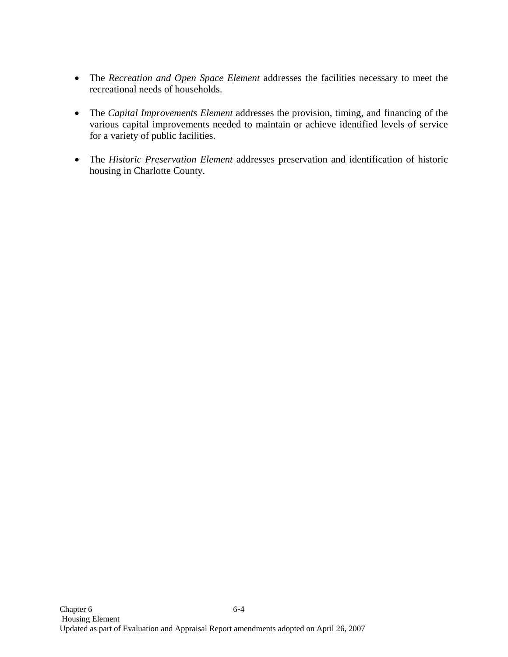- The *Recreation and Open Space Element* addresses the facilities necessary to meet the recreational needs of households.
- The *Capital Improvements Element* addresses the provision, timing, and financing of the various capital improvements needed to maintain or achieve identified levels of service for a variety of public facilities.
- The *Historic Preservation Element* addresses preservation and identification of historic housing in Charlotte County.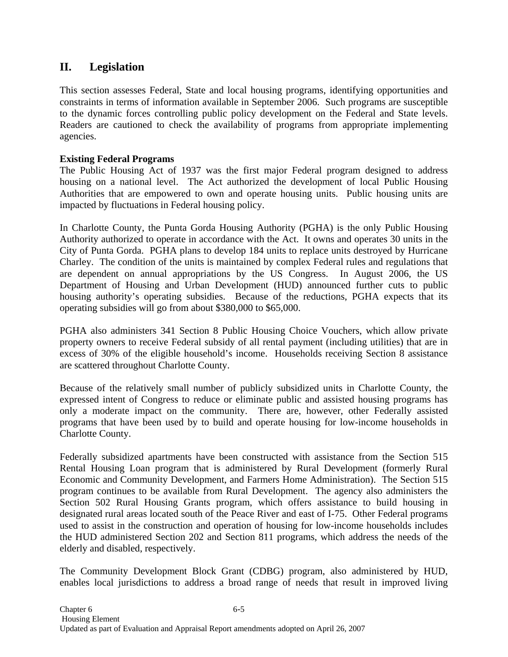# **II. Legislation**

This section assesses Federal, State and local housing programs, identifying opportunities and constraints in terms of information available in September 2006. Such programs are susceptible to the dynamic forces controlling public policy development on the Federal and State levels. Readers are cautioned to check the availability of programs from appropriate implementing agencies.

### **Existing Federal Programs**

The Public Housing Act of 1937 was the first major Federal program designed to address housing on a national level. The Act authorized the development of local Public Housing Authorities that are empowered to own and operate housing units. Public housing units are impacted by fluctuations in Federal housing policy.

In Charlotte County, the Punta Gorda Housing Authority (PGHA) is the only Public Housing Authority authorized to operate in accordance with the Act. It owns and operates 30 units in the City of Punta Gorda. PGHA plans to develop 184 units to replace units destroyed by Hurricane Charley. The condition of the units is maintained by complex Federal rules and regulations that are dependent on annual appropriations by the US Congress. In August 2006, the US Department of Housing and Urban Development (HUD) announced further cuts to public housing authority's operating subsidies. Because of the reductions, PGHA expects that its operating subsidies will go from about \$380,000 to \$65,000.

PGHA also administers 341 Section 8 Public Housing Choice Vouchers, which allow private property owners to receive Federal subsidy of all rental payment (including utilities) that are in excess of 30% of the eligible household's income. Households receiving Section 8 assistance are scattered throughout Charlotte County.

Because of the relatively small number of publicly subsidized units in Charlotte County, the expressed intent of Congress to reduce or eliminate public and assisted housing programs has only a moderate impact on the community. There are, however, other Federally assisted programs that have been used by to build and operate housing for low-income households in Charlotte County.

Federally subsidized apartments have been constructed with assistance from the Section 515 Rental Housing Loan program that is administered by Rural Development (formerly Rural Economic and Community Development, and Farmers Home Administration). The Section 515 program continues to be available from Rural Development. The agency also administers the Section 502 Rural Housing Grants program, which offers assistance to build housing in designated rural areas located south of the Peace River and east of I-75. Other Federal programs used to assist in the construction and operation of housing for low-income households includes the HUD administered Section 202 and Section 811 programs, which address the needs of the elderly and disabled, respectively.

The Community Development Block Grant (CDBG) program, also administered by HUD, enables local jurisdictions to address a broad range of needs that result in improved living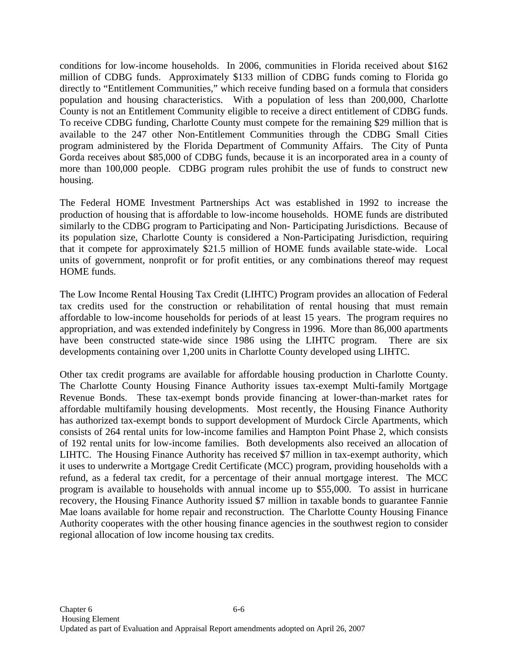conditions for low-income households. In 2006, communities in Florida received about \$162 million of CDBG funds. Approximately \$133 million of CDBG funds coming to Florida go directly to "Entitlement Communities," which receive funding based on a formula that considers population and housing characteristics. With a population of less than 200,000, Charlotte County is not an Entitlement Community eligible to receive a direct entitlement of CDBG funds. To receive CDBG funding, Charlotte County must compete for the remaining \$29 million that is available to the 247 other Non-Entitlement Communities through the CDBG Small Cities program administered by the Florida Department of Community Affairs. The City of Punta Gorda receives about \$85,000 of CDBG funds, because it is an incorporated area in a county of more than 100,000 people. CDBG program rules prohibit the use of funds to construct new housing.

The Federal HOME Investment Partnerships Act was established in 1992 to increase the production of housing that is affordable to low-income households. HOME funds are distributed similarly to the CDBG program to Participating and Non- Participating Jurisdictions. Because of its population size, Charlotte County is considered a Non-Participating Jurisdiction, requiring that it compete for approximately \$21.5 million of HOME funds available state-wide. Local units of government, nonprofit or for profit entities, or any combinations thereof may request HOME funds.

The Low Income Rental Housing Tax Credit (LIHTC) Program provides an allocation of Federal tax credits used for the construction or rehabilitation of rental housing that must remain affordable to low-income households for periods of at least 15 years. The program requires no appropriation, and was extended indefinitely by Congress in 1996. More than 86,000 apartments have been constructed state-wide since 1986 using the LIHTC program. There are six developments containing over 1,200 units in Charlotte County developed using LIHTC.

Other tax credit programs are available for affordable housing production in Charlotte County. The Charlotte County Housing Finance Authority issues tax-exempt Multi-family Mortgage Revenue Bonds. These tax-exempt bonds provide financing at lower-than-market rates for affordable multifamily housing developments. Most recently, the Housing Finance Authority has authorized tax-exempt bonds to support development of Murdock Circle Apartments, which consists of 264 rental units for low-income families and Hampton Point Phase 2, which consists of 192 rental units for low-income families. Both developments also received an allocation of LIHTC. The Housing Finance Authority has received \$7 million in tax-exempt authority, which it uses to underwrite a Mortgage Credit Certificate (MCC) program, providing households with a refund, as a federal tax credit, for a percentage of their annual mortgage interest. The MCC program is available to households with annual income up to \$55,000. To assist in hurricane recovery, the Housing Finance Authority issued \$7 million in taxable bonds to guarantee Fannie Mae loans available for home repair and reconstruction. The Charlotte County Housing Finance Authority cooperates with the other housing finance agencies in the southwest region to consider regional allocation of low income housing tax credits.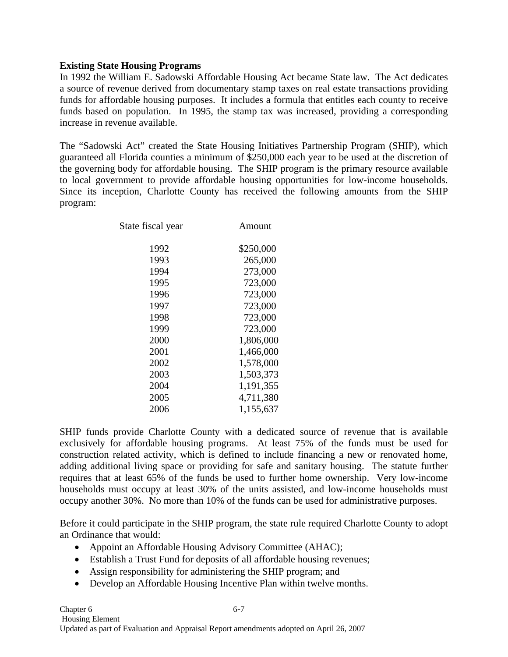### **Existing State Housing Programs**

In 1992 the William E. Sadowski Affordable Housing Act became State law. The Act dedicates a source of revenue derived from documentary stamp taxes on real estate transactions providing funds for affordable housing purposes. It includes a formula that entitles each county to receive funds based on population. In 1995, the stamp tax was increased, providing a corresponding increase in revenue available.

The "Sadowski Act" created the State Housing Initiatives Partnership Program (SHIP), which guaranteed all Florida counties a minimum of \$250,000 each year to be used at the discretion of the governing body for affordable housing. The SHIP program is the primary resource available to local government to provide affordable housing opportunities for low-income households. Since its inception, Charlotte County has received the following amounts from the SHIP program:

| State fiscal year | Amount    |
|-------------------|-----------|
| 1992              | \$250,000 |
| 1993              | 265,000   |
| 1994              | 273,000   |
| 1995              | 723,000   |
| 1996              | 723,000   |
| 1997              | 723,000   |
| 1998              | 723,000   |
| 1999              | 723,000   |
| 2000              | 1,806,000 |
| 2001              | 1,466,000 |
| 2002              | 1,578,000 |
| 2003              | 1,503,373 |
| 2004              | 1,191,355 |
| 2005              | 4,711,380 |
| 2006              | 1,155,637 |

SHIP funds provide Charlotte County with a dedicated source of revenue that is available exclusively for affordable housing programs. At least 75% of the funds must be used for construction related activity, which is defined to include financing a new or renovated home, adding additional living space or providing for safe and sanitary housing. The statute further requires that at least 65% of the funds be used to further home ownership. Very low-income households must occupy at least 30% of the units assisted, and low-income households must occupy another 30%. No more than 10% of the funds can be used for administrative purposes.

Before it could participate in the SHIP program, the state rule required Charlotte County to adopt an Ordinance that would:

- Appoint an Affordable Housing Advisory Committee (AHAC);
- Establish a Trust Fund for deposits of all affordable housing revenues;
- Assign responsibility for administering the SHIP program; and
- Develop an Affordable Housing Incentive Plan within twelve months.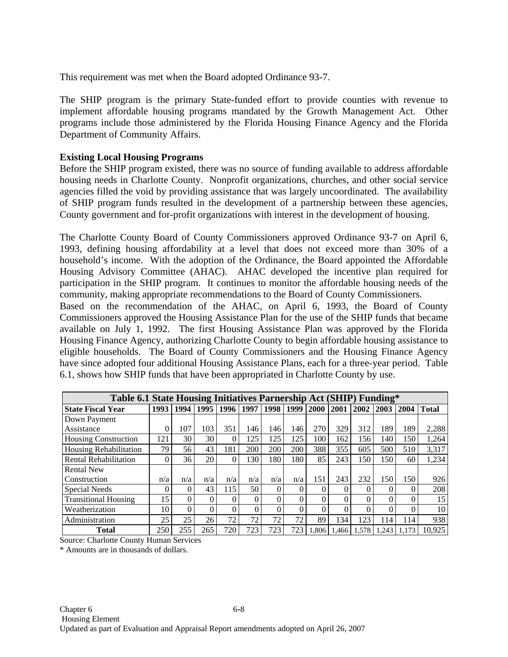This requirement was met when the Board adopted Ordinance 93-7.

The SHIP program is the primary State-funded effort to provide counties with revenue to implement affordable housing programs mandated by the Growth Management Act. Other programs include those administered by the Florida Housing Finance Agency and the Florida Department of Community Affairs.

### **Existing Local Housing Programs**

Before the SHIP program existed, there was no source of funding available to address affordable housing needs in Charlotte County. Nonprofit organizations, churches, and other social service agencies filled the void by providing assistance that was largely uncoordinated. The availability of SHIP program funds resulted in the development of a partnership between these agencies, County government and for-profit organizations with interest in the development of housing.

The Charlotte County Board of County Commissioners approved Ordinance 93-7 on April 6, 1993, defining housing affordability at a level that does not exceed more than 30% of a household's income. With the adoption of the Ordinance, the Board appointed the Affordable Housing Advisory Committee (AHAC). AHAC developed the incentive plan required for participation in the SHIP program. It continues to monitor the affordable housing needs of the community, making appropriate recommendations to the Board of County Commissioners.

Based on the recommendation of the AHAC, on April 6, 1993, the Board of County Commissioners approved the Housing Assistance Plan for the use of the SHIP funds that became available on July 1, 1992. The first Housing Assistance Plan was approved by the Florida Housing Finance Agency, authorizing Charlotte County to begin affordable housing assistance to eligible households. The Board of County Commissioners and the Housing Finance Agency have since adopted four additional Housing Assistance Plans, each for a three-year period. Table 6.1, shows how SHIP funds that have been appropriated in Charlotte County by use.

| Table 6.1 State Housing Initiatives Parnership Act (SHIP) Funding* |          |          |                 |      |          |      |          |          |       |       |       |          |              |
|--------------------------------------------------------------------|----------|----------|-----------------|------|----------|------|----------|----------|-------|-------|-------|----------|--------------|
| <b>State Fiscal Year</b>                                           | 1993     | 1994     | 1995            | 1996 | 1997     | 1998 | 1999     | 2000     | 2001  | 2002  | 2003  | 2004     | <b>Total</b> |
| Down Payment                                                       |          |          |                 |      |          |      |          |          |       |       |       |          |              |
| Assistance                                                         | 0        | 107      | 103             | 351  | 146      | 146  | 146      | 270      | 329   | 312   | 189   | 189      | 2,288        |
| Housing Construction                                               | 121      | 30       | 30              |      | 125      | 125  | 125      | 100      | 162   | 156   | 140   | 150      | 1,264        |
| Housing Rehabilitation                                             | 79       | 56       | 43              | 181  | 200      | 200  | 200      | 388      | 355   | 605   | 500   | 510      | 3,317        |
| <b>Rental Rehabilitation</b>                                       | $\Omega$ | 36       | 20 <sub>1</sub> |      | 130      | 180  | 180      | 85       | 243   | 150   | 150   | 60       | 1,234        |
| <b>Rental New</b>                                                  |          |          |                 |      |          |      |          |          |       |       |       |          |              |
| Construction                                                       | n/a      | n/a      | n/a             | n/a  | n/a      | n/a  | n/a      | 151      | 243   | 232   | 150   | 150      | 926          |
| Special Needs                                                      | $\theta$ | $\Omega$ | 43              | 115  | 50       | 0    | $\Omega$ | $\Omega$ |       |       | 0     | $\theta$ | 208          |
| <b>Transitional Housing</b>                                        | 15       | $\Omega$ | 0               | 0    | $\Omega$ | 0    | $\Omega$ | $\Omega$ |       |       | 0     | $\Omega$ | 15           |
| Weatherization                                                     | 10       | $\theta$ | $\Omega$        | 0    | $\Omega$ | 0    | $\Omega$ | $\Omega$ |       |       | 0     | $\Omega$ | 10           |
| Administration                                                     | 25       | 25       | 26              | 72   | 72       | 72   | 72       | 89       | 134   | 123   | 114   | 114      | 938          |
| <b>Total</b>                                                       | 250      | 255      | 265             | 720  | 723      | 723  | 723      | .806     | 1.466 | 1,578 | 1.243 | 1.173    | 10,925       |

Source: Charlotte County Human Services

\* Amounts are in thousands of dollars.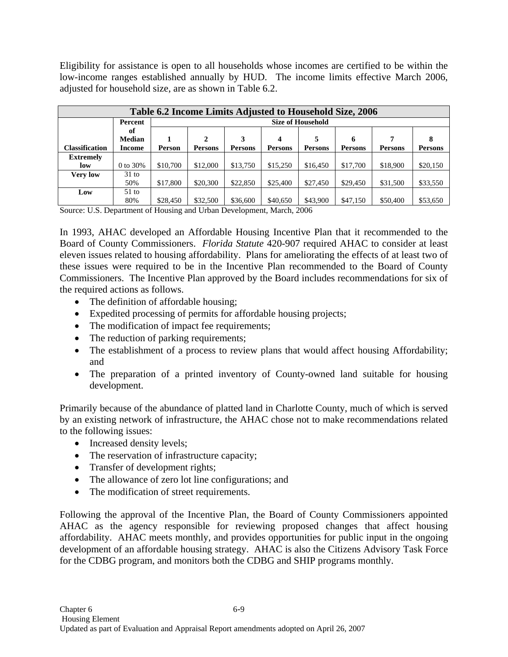Eligibility for assistance is open to all households whose incomes are certified to be within the low-income ranges established annually by HUD. The income limits effective March 2006, adjusted for household size, are as shown in Table 6.2.

| Table 6.2 Income Limits Adjusted to Household Size, 2006 |               |          |          |          |          |                          |          |          |          |  |  |
|----------------------------------------------------------|---------------|----------|----------|----------|----------|--------------------------|----------|----------|----------|--|--|
|                                                          | Percent       |          |          |          |          | <b>Size of Household</b> |          |          |          |  |  |
|                                                          | оť            |          |          |          |          |                          |          |          |          |  |  |
|                                                          | <b>Median</b> |          | 2        |          |          | 5                        | 6        | 7        | 8        |  |  |
| <b>Classification</b>                                    | Income        | Person   | Persons  | Persons  | Persons  | Persons                  | Persons  | Persons  | Persons  |  |  |
| <b>Extremely</b>                                         |               |          |          |          |          |                          |          |          |          |  |  |
| low                                                      | 0 to 30%      | \$10,700 | \$12,000 | \$13,750 | \$15,250 | \$16,450                 | \$17,700 | \$18,900 | \$20,150 |  |  |
| Very low                                                 | $31$ to       |          |          |          |          |                          |          |          |          |  |  |
|                                                          | 50%           | \$17,800 | \$20,300 | \$22,850 | \$25,400 | \$27,450                 | \$29,450 | \$31,500 | \$33,550 |  |  |
| Low                                                      | $51$ to       |          |          |          |          |                          |          |          |          |  |  |
|                                                          | 80%           | \$28,450 | \$32,500 | \$36,600 | \$40,650 | \$43,900                 | \$47,150 | \$50,400 | \$53,650 |  |  |

Source: U.S. Department of Housing and Urban Development, March, 2006

In 1993, AHAC developed an Affordable Housing Incentive Plan that it recommended to the Board of County Commissioners. *Florida Statute* 420-907 required AHAC to consider at least eleven issues related to housing affordability. Plans for ameliorating the effects of at least two of these issues were required to be in the Incentive Plan recommended to the Board of County Commissioners. The Incentive Plan approved by the Board includes recommendations for six of the required actions as follows.

- The definition of affordable housing;
- Expedited processing of permits for affordable housing projects;
- The modification of impact fee requirements;
- The reduction of parking requirements;
- The establishment of a process to review plans that would affect housing Affordability; and
- The preparation of a printed inventory of County-owned land suitable for housing development.

Primarily because of the abundance of platted land in Charlotte County, much of which is served by an existing network of infrastructure, the AHAC chose not to make recommendations related to the following issues:

- Increased density levels;
- The reservation of infrastructure capacity;
- Transfer of development rights;
- The allowance of zero lot line configurations; and
- The modification of street requirements.

Following the approval of the Incentive Plan, the Board of County Commissioners appointed AHAC as the agency responsible for reviewing proposed changes that affect housing affordability. AHAC meets monthly, and provides opportunities for public input in the ongoing development of an affordable housing strategy. AHAC is also the Citizens Advisory Task Force for the CDBG program, and monitors both the CDBG and SHIP programs monthly.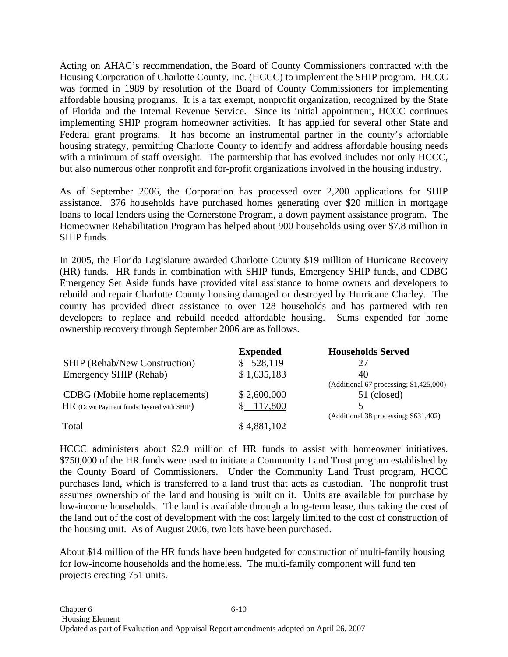Acting on AHAC's recommendation, the Board of County Commissioners contracted with the Housing Corporation of Charlotte County, Inc. (HCCC) to implement the SHIP program. HCCC was formed in 1989 by resolution of the Board of County Commissioners for implementing affordable housing programs. It is a tax exempt, nonprofit organization, recognized by the State of Florida and the Internal Revenue Service. Since its initial appointment, HCCC continues implementing SHIP program homeowner activities. It has applied for several other State and Federal grant programs. It has become an instrumental partner in the county's affordable housing strategy, permitting Charlotte County to identify and address affordable housing needs with a minimum of staff oversight. The partnership that has evolved includes not only HCCC, but also numerous other nonprofit and for-profit organizations involved in the housing industry.

As of September 2006, the Corporation has processed over 2,200 applications for SHIP assistance. 376 households have purchased homes generating over \$20 million in mortgage loans to local lenders using the Cornerstone Program, a down payment assistance program. The Homeowner Rehabilitation Program has helped about 900 households using over \$7.8 million in SHIP funds.

In 2005, the Florida Legislature awarded Charlotte County \$19 million of Hurricane Recovery (HR) funds. HR funds in combination with SHIP funds, Emergency SHIP funds, and CDBG Emergency Set Aside funds have provided vital assistance to home owners and developers to rebuild and repair Charlotte County housing damaged or destroyed by Hurricane Charley. The county has provided direct assistance to over 128 households and has partnered with ten developers to replace and rebuild needed affordable housing. Sums expended for home ownership recovery through September 2006 are as follows.

|                                            | <b>Expended</b> | <b>Households Served</b>                |
|--------------------------------------------|-----------------|-----------------------------------------|
| <b>SHIP (Rehab/New Construction)</b>       | \$528,119       | 27                                      |
| Emergency SHIP (Rehab)                     | \$1,635,183     | 40                                      |
|                                            |                 | (Additional 67 processing; \$1,425,000) |
| CDBG (Mobile home replacements)            | \$2,600,000     | 51 (closed)                             |
| HR (Down Payment funds; layered with SHIP) | 117,800         |                                         |
|                                            |                 | (Additional 38 processing; \$631,402)   |
| Total                                      | \$4,881,102     |                                         |

HCCC administers about \$2.9 million of HR funds to assist with homeowner initiatives. \$750,000 of the HR funds were used to initiate a Community Land Trust program established by the County Board of Commissioners. Under the Community Land Trust program, HCCC purchases land, which is transferred to a land trust that acts as custodian. The nonprofit trust assumes ownership of the land and housing is built on it. Units are available for purchase by low-income households. The land is available through a long-term lease, thus taking the cost of the land out of the cost of development with the cost largely limited to the cost of construction of the housing unit. As of August 2006, two lots have been purchased.

About \$14 million of the HR funds have been budgeted for construction of multi-family housing for low-income households and the homeless. The multi-family component will fund ten projects creating 751 units.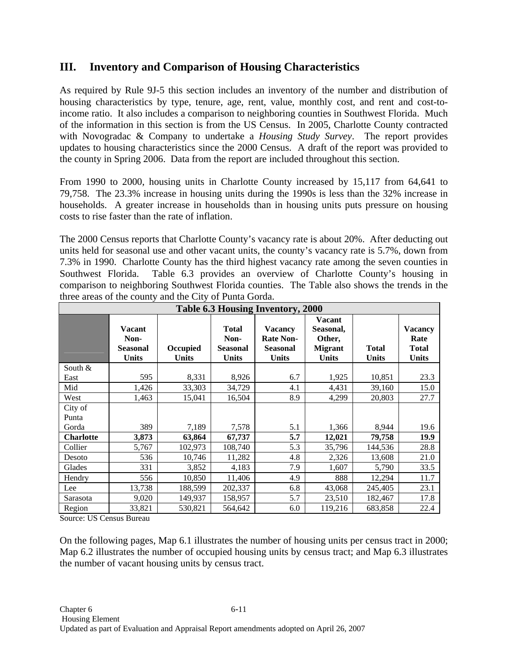# **III. Inventory and Comparison of Housing Characteristics**

As required by Rule 9J-5 this section includes an inventory of the number and distribution of housing characteristics by type, tenure, age, rent, value, monthly cost, and rent and cost-toincome ratio. It also includes a comparison to neighboring counties in Southwest Florida. Much of the information in this section is from the US Census. In 2005, Charlotte County contracted with Novogradac & Company to undertake a *Housing Study Survey*. The report provides updates to housing characteristics since the 2000 Census. A draft of the report was provided to the county in Spring 2006. Data from the report are included throughout this section.

From 1990 to 2000, housing units in Charlotte County increased by 15,117 from 64,641 to 79,758. The 23.3% increase in housing units during the 1990s is less than the 32% increase in households. A greater increase in households than in housing units puts pressure on housing costs to rise faster than the rate of inflation.

The 2000 Census reports that Charlotte County's vacancy rate is about 20%. After deducting out units held for seasonal use and other vacant units, the county's vacancy rate is 5.7%, down from 7.3% in 1990. Charlotte County has the third highest vacancy rate among the seven counties in Southwest Florida. Table 6.3 provides an overview of Charlotte County's housing in comparison to neighboring Southwest Florida counties. The Table also shows the trends in the three areas of the county and the City of Punta Gorda.

|                  | Table 6.3 Housing Inventory, 2000                        |                          |                                                  |                                                                       |                                                                        |                       |                                                        |  |  |  |  |  |
|------------------|----------------------------------------------------------|--------------------------|--------------------------------------------------|-----------------------------------------------------------------------|------------------------------------------------------------------------|-----------------------|--------------------------------------------------------|--|--|--|--|--|
|                  | <b>Vacant</b><br>Non-<br><b>Seasonal</b><br><b>Units</b> | Occupied<br><b>Units</b> | <b>Total</b><br>Non-<br><b>Seasonal</b><br>Units | <b>Vacancy</b><br><b>Rate Non-</b><br><b>Seasonal</b><br><b>Units</b> | <b>Vacant</b><br>Seasonal,<br>Other,<br><b>Migrant</b><br><b>Units</b> | <b>Total</b><br>Units | <b>Vacancy</b><br>Rate<br><b>Total</b><br><b>Units</b> |  |  |  |  |  |
| South $&$        |                                                          |                          |                                                  |                                                                       |                                                                        |                       |                                                        |  |  |  |  |  |
| East             | 595                                                      | 8,331                    | 8,926                                            | 6.7                                                                   | 1,925                                                                  | 10,851                | 23.3                                                   |  |  |  |  |  |
| Mid              | 1,426                                                    | 33,303                   | 34,729                                           | 4.1                                                                   | 4,431                                                                  | 39,160                | 15.0                                                   |  |  |  |  |  |
| West             | 1,463                                                    | 15,041                   | 16,504                                           | 8.9                                                                   | 4,299                                                                  | 20,803                | 27.7                                                   |  |  |  |  |  |
| City of          |                                                          |                          |                                                  |                                                                       |                                                                        |                       |                                                        |  |  |  |  |  |
| Punta            |                                                          |                          |                                                  |                                                                       |                                                                        |                       |                                                        |  |  |  |  |  |
| Gorda            | 389                                                      | 7,189                    | 7,578                                            | 5.1                                                                   | 1,366                                                                  | 8,944                 | 19.6                                                   |  |  |  |  |  |
| <b>Charlotte</b> | 3,873                                                    | 63,864                   | 67,737                                           | 5.7                                                                   | 12,021                                                                 | 79,758                | 19.9                                                   |  |  |  |  |  |
| Collier          | 5,767                                                    | 102,973                  | 108,740                                          | 5.3                                                                   | 35,796                                                                 | 144,536               | 28.8                                                   |  |  |  |  |  |
| Desoto           | 536                                                      | 10,746                   | 11,282                                           | 4.8                                                                   | 2,326                                                                  | 13,608                | 21.0                                                   |  |  |  |  |  |
| Glades           | 331                                                      | 3,852                    | 4,183                                            | 7.9                                                                   | 1,607                                                                  | 5,790                 | 33.5                                                   |  |  |  |  |  |
| Hendry           | 556                                                      | 10,850                   | 11,406                                           | 4.9                                                                   | 888                                                                    | 12,294                | 11.7                                                   |  |  |  |  |  |
| Lee              | 13,738                                                   | 188,599                  | 202,337                                          | 6.8                                                                   | 43,068                                                                 | 245,405               | 23.1                                                   |  |  |  |  |  |
| Sarasota         | 9,020                                                    | 149,937                  | 158,957                                          | 5.7                                                                   | 23,510                                                                 | 182,467               | 17.8                                                   |  |  |  |  |  |
| Region           | 33,821                                                   | 530,821                  | 564,642                                          | 6.0                                                                   | 119,216                                                                | 683,858               | 22.4                                                   |  |  |  |  |  |

Source: US Census Bureau

On the following pages, Map 6.1 illustrates the number of housing units per census tract in 2000; Map 6.2 illustrates the number of occupied housing units by census tract; and Map 6.3 illustrates the number of vacant housing units by census tract.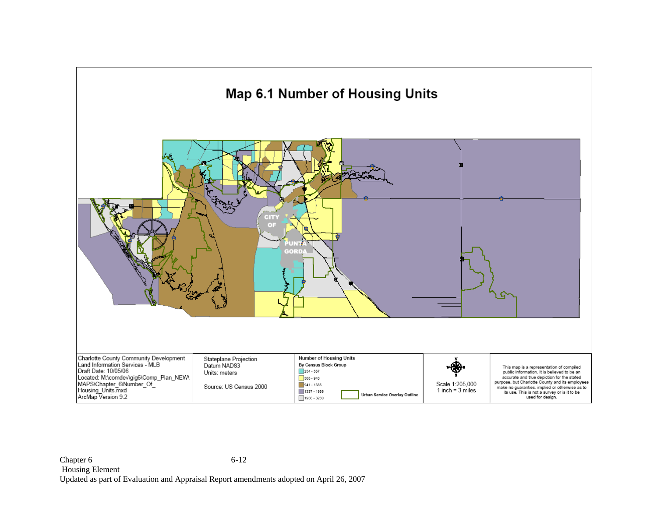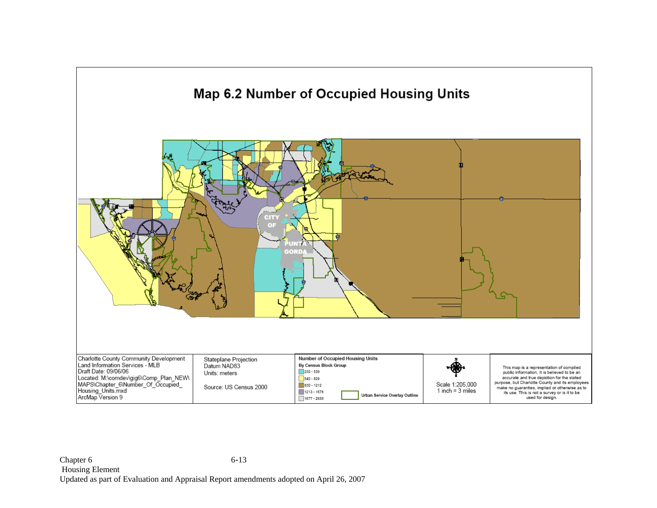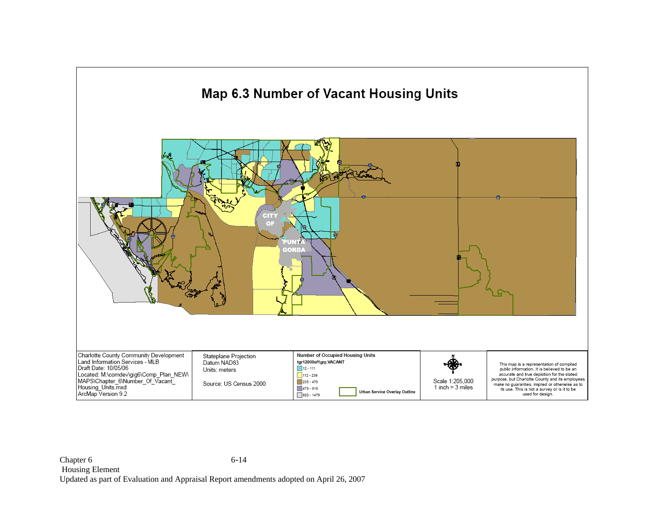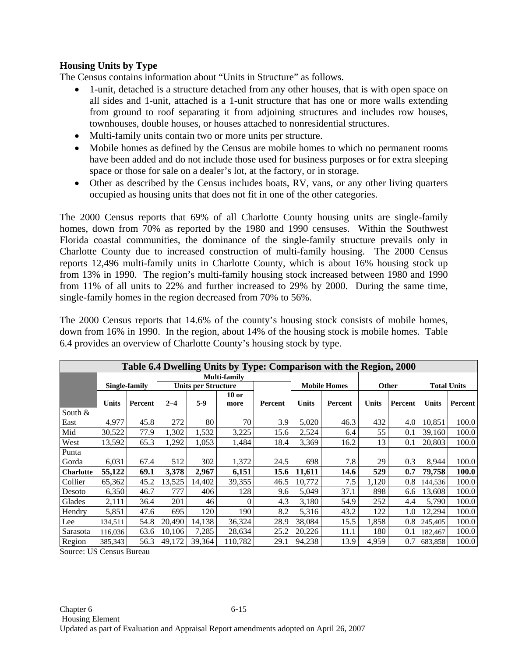### **Housing Units by Type**

The Census contains information about "Units in Structure" as follows.

- 1-unit, detached is a structure detached from any other houses, that is with open space on all sides and 1-unit, attached is a 1-unit structure that has one or more walls extending from ground to roof separating it from adjoining structures and includes row houses, townhouses, double houses, or houses attached to nonresidential structures.
- Multi-family units contain two or more units per structure.
- Mobile homes as defined by the Census are mobile homes to which no permanent rooms have been added and do not include those used for business purposes or for extra sleeping space or those for sale on a dealer's lot, at the factory, or in storage.
- Other as described by the Census includes boats, RV, vans, or any other living quarters occupied as housing units that does not fit in one of the other categories.

The 2000 Census reports that 69% of all Charlotte County housing units are single-family homes, down from 70% as reported by the 1980 and 1990 censuses. Within the Southwest Florida coastal communities, the dominance of the single-family structure prevails only in Charlotte County due to increased construction of multi-family housing. The 2000 Census reports 12,496 multi-family units in Charlotte County, which is about 16% housing stock up from 13% in 1990. The region's multi-family housing stock increased between 1980 and 1990 from 11% of all units to 22% and further increased to 29% by 2000. During the same time, single-family homes in the region decreased from 70% to 56%.

The 2000 Census reports that 14.6% of the county's housing stock consists of mobile homes, down from 16% in 1990. In the region, about 14% of the housing stock is mobile homes. Table 6.4 provides an overview of Charlotte County's housing stock by type.

|                  | Table 6.4 Dwelling Units by Type: Comparison with the Region, 2000 |               |              |                            |          |         |        |                     |       |         |         |                    |  |
|------------------|--------------------------------------------------------------------|---------------|--------------|----------------------------|----------|---------|--------|---------------------|-------|---------|---------|--------------------|--|
|                  |                                                                    |               | Multi-family |                            |          |         |        |                     |       |         |         |                    |  |
|                  |                                                                    | Single-family |              | <b>Units per Structure</b> |          |         |        | <b>Mobile Homes</b> |       | Other   |         | <b>Total Units</b> |  |
|                  |                                                                    |               |              |                            | $10$ or  |         |        |                     |       |         |         |                    |  |
|                  | Units                                                              | Percent       | $2 - 4$      | $5-9$                      | more     | Percent | Units  | Percent             | Units | Percent | Units   | Percent            |  |
| South $&$        |                                                                    |               |              |                            |          |         |        |                     |       |         |         |                    |  |
| East             | 4,977                                                              | 45.8          | 272          | 80                         | 70       | 3.9     | 5,020  | 46.3                | 432   | 4.0     | 10,851  | 100.0              |  |
| Mid              | 30,522                                                             | 77.9          | 1,302        | 1,532                      | 3,225    | 15.6    | 2,524  | 6.4                 | 55    | 0.1     | 39,160  | 100.0              |  |
| West             | 13,592                                                             | 65.3          | 1,292        | 1,053                      | 1,484    | 18.4    | 3,369  | 16.2                | 13    | 0.1     | 20,803  | 100.0              |  |
| Punta            |                                                                    |               |              |                            |          |         |        |                     |       |         |         |                    |  |
| Gorda            | 6,031                                                              | 67.4          | 512          | 302                        | 1,372    | 24.5    | 698    | 7.8                 | 29    | 0.3     | 8,944   | 100.0              |  |
| <b>Charlotte</b> | 55,122                                                             | 69.1          | 3,378        | 2,967                      | 6,151    | 15.6    | 11,611 | 14.6                | 529   | 0.7     | 79,758  | <b>100.0</b>       |  |
| Collier          | 65,362                                                             | 45.2          | 13,525       | 14.402                     | 39,355   | 46.5    | 10,772 | 7.5                 | 1,120 | 0.8     | 144,536 | 100.0              |  |
| Desoto           | 6,350                                                              | 46.7          | 777          | 406                        | 128      | 9.6     | 5,049  | 37.1                | 898   | 6.6     | 13,608  | 100.0              |  |
| Glades           | 2,111                                                              | 36.4          | 201          | 46                         | $\Omega$ | 4.3     | 3,180  | 54.9                | 252   | 4.4     | 5,790   | 100.0              |  |
| Hendry           | 5,851                                                              | 47.6          | 695          | 120                        | 190      | 8.2     | 5,316  | 43.2                | 122   | 1.0     | 12,294  | 100.0              |  |
| Lee              | 134,511                                                            | 54.8          | 20,490       | 14,138                     | 36,324   | 28.9    | 38,084 | 15.5                | 1,858 | 0.8     | 245,405 | 100.0              |  |
| Sarasota         | 116,036                                                            | 63.6          | 10,106       | 7,285                      | 28,634   | 25.2    | 20,226 | 11.1                | 180   | 0.1     | 182,467 | 100.0              |  |
| Region           | 385,343                                                            | 56.3          | 49,172       | 39,364                     | 110,782  | 29.1    | 94,238 | 13.9                | 4,959 | 0.7     | 683,858 | 100.0              |  |

Source: US Census Bureau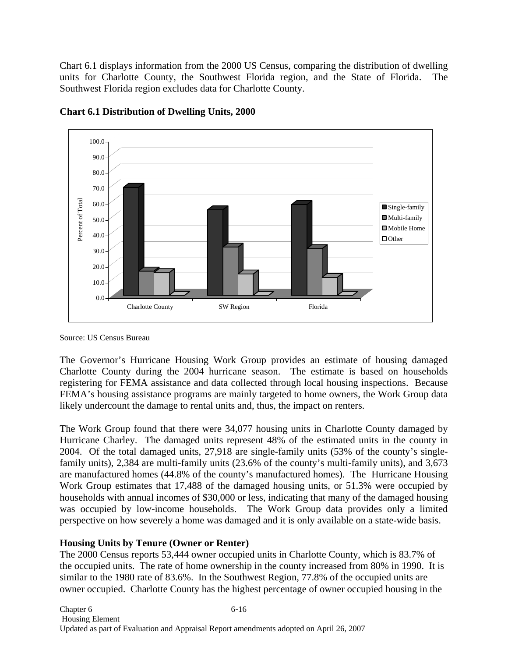Chart 6.1 displays information from the 2000 US Census, comparing the distribution of dwelling units for Charlotte County, the Southwest Florida region, and the State of Florida. The Southwest Florida region excludes data for Charlotte County.



**Chart 6.1 Distribution of Dwelling Units, 2000** 

The Governor's Hurricane Housing Work Group provides an estimate of housing damaged Charlotte County during the 2004 hurricane season. The estimate is based on households registering for FEMA assistance and data collected through local housing inspections. Because FEMA's housing assistance programs are mainly targeted to home owners, the Work Group data likely undercount the damage to rental units and, thus, the impact on renters.

The Work Group found that there were 34,077 housing units in Charlotte County damaged by Hurricane Charley. The damaged units represent 48% of the estimated units in the county in 2004. Of the total damaged units, 27,918 are single-family units (53% of the county's singlefamily units), 2,384 are multi-family units (23.6% of the county's multi-family units), and 3,673 are manufactured homes (44.8% of the county's manufactured homes). The Hurricane Housing Work Group estimates that 17,488 of the damaged housing units, or 51.3% were occupied by households with annual incomes of \$30,000 or less, indicating that many of the damaged housing was occupied by low-income households. The Work Group data provides only a limited perspective on how severely a home was damaged and it is only available on a state-wide basis.

### **Housing Units by Tenure (Owner or Renter)**

The 2000 Census reports 53,444 owner occupied units in Charlotte County, which is 83.7% of the occupied units. The rate of home ownership in the county increased from 80% in 1990. It is similar to the 1980 rate of 83.6%. In the Southwest Region, 77.8% of the occupied units are owner occupied. Charlotte County has the highest percentage of owner occupied housing in the

Source: US Census Bureau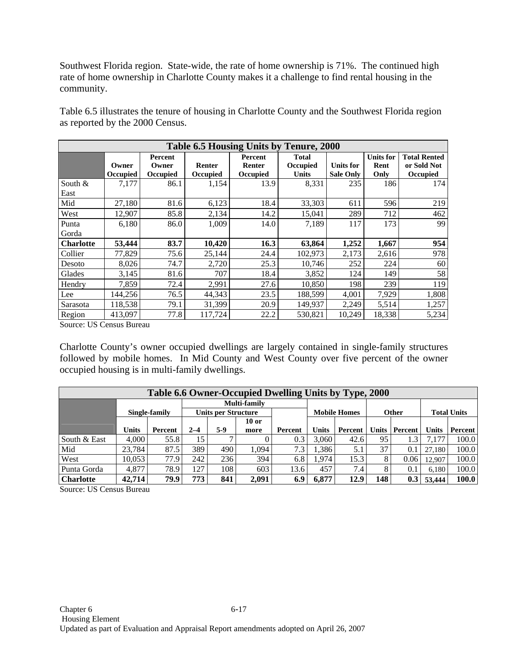Southwest Florida region. State-wide, the rate of home ownership is 71%. The continued high rate of home ownership in Charlotte County makes it a challenge to find rental housing in the community.

Table 6.5 illustrates the tenure of housing in Charlotte County and the Southwest Florida region as reported by the 2000 Census.

|                   | Table 6.5 Housing Units by Tenure, 2000 |                              |                           |                                      |                                          |                                      |                                  |                                                       |  |  |  |  |
|-------------------|-----------------------------------------|------------------------------|---------------------------|--------------------------------------|------------------------------------------|--------------------------------------|----------------------------------|-------------------------------------------------------|--|--|--|--|
|                   | Owner<br>Occupied                       | Percent<br>Owner<br>Occupied | <b>Renter</b><br>Occupied | Percent<br>Renter<br><b>Occupied</b> | <b>Total</b><br>Occupied<br><b>Units</b> | <b>Units for</b><br><b>Sale Only</b> | <b>Units for</b><br>Rent<br>Only | <b>Total Rented</b><br>or Sold Not<br><b>Occupied</b> |  |  |  |  |
| South $&$<br>East | 7,177                                   | 86.1                         | 1,154                     | 13.9                                 | 8,331                                    | 235                                  | 186                              | 174                                                   |  |  |  |  |
| Mid               | 27,180                                  | 81.6                         | 6,123                     | 18.4                                 | 33,303                                   | 611                                  | 596                              | 219                                                   |  |  |  |  |
| West              | 12,907                                  | 85.8                         | 2,134                     | 14.2                                 | 15,041                                   | 289                                  | 712                              | 462                                                   |  |  |  |  |
| Punta             | 6,180                                   | 86.0                         | 1,009                     | 14.0                                 | 7,189                                    | 117                                  | 173                              | 99                                                    |  |  |  |  |
| Gorda             |                                         |                              |                           |                                      |                                          |                                      |                                  |                                                       |  |  |  |  |
| <b>Charlotte</b>  | 53,444                                  | 83.7                         | 10,420                    | 16.3                                 | 63,864                                   | 1,252                                | 1,667                            | 954                                                   |  |  |  |  |
| Collier           | 77,829                                  | 75.6                         | 25,144                    | 24.4                                 | 102,973                                  | 2,173                                | 2,616                            | 978                                                   |  |  |  |  |
| Desoto            | 8,026                                   | 74.7                         | 2,720                     | 25.3                                 | 10,746                                   | 252                                  | 224                              | 60                                                    |  |  |  |  |
| Glades            | 3,145                                   | 81.6                         | 707                       | 18.4                                 | 3,852                                    | 124                                  | 149                              | 58                                                    |  |  |  |  |
| Hendry            | 7,859                                   | 72.4                         | 2,991                     | 27.6                                 | 10,850                                   | 198                                  | 239                              | 119                                                   |  |  |  |  |
| Lee               | 144,256                                 | 76.5                         | 44,343                    | 23.5                                 | 188,599                                  | 4,001                                | 7,929                            | 1,808                                                 |  |  |  |  |
| Sarasota          | 118,538                                 | 79.1                         | 31,399                    | 20.9                                 | 149,937                                  | 2,249                                | 5,514                            | 1,257                                                 |  |  |  |  |
| Region            | 413.097                                 | 77.8                         | 117,724                   | 22.2                                 | 530.821                                  | 10,249                               | 18,338                           | 5,234                                                 |  |  |  |  |

Source: US Census Bureau

Charlotte County's owner occupied dwellings are largely contained in single-family structures followed by mobile homes. In Mid County and West County over five percent of the owner occupied housing is in multi-family dwellings.

| Table 6.6 Owner-Occupied Dwelling Units by Type, 2000 |              |               |         |                     |              |         |              |                     |       |              |              |                    |
|-------------------------------------------------------|--------------|---------------|---------|---------------------|--------------|---------|--------------|---------------------|-------|--------------|--------------|--------------------|
|                                                       |              |               |         |                     | Multi-family |         |              |                     |       |              |              |                    |
|                                                       |              | Single-family |         | Units per Structure |              |         |              | <b>Mobile Homes</b> |       | <b>Other</b> |              | <b>Total Units</b> |
|                                                       |              |               |         |                     | $10$ or      |         |              |                     |       |              |              |                    |
|                                                       | <b>Units</b> | Percent       | $2 - 4$ | $5-9$               | more         | Percent | <b>Units</b> | Percent             | Units | Percent      | <b>Units</b> | Percent            |
| South & East                                          | 4.000        | 55.8          | 15      |                     |              | 0.3     | 3.060        | 42.6                | 95    |              | 7.177        | 100.0              |
| Mid                                                   | 23.784       | 87.5          | 389     | 490                 | .094         | 7.3     | 1,386        | 5.1                 | 37    | 0.1          | 27.180       | 100.0              |
| West                                                  | 10,053       | 77.9          | 242     | 236                 | 394          | 6.8     | 1.974        | 15.3                | 8     | 0.06         | 12.907       | 100.0              |
| Punta Gorda                                           | 4,877        | 78.9          | 127     | 108                 | 603          | 13.6    | 457          | 7.4                 | 8     | 0.1          | 6.180        | 100.0              |
| <b>Charlotte</b>                                      | 42,714       | 79.9          | 773     | 841                 | 2.091        | 6.9     | 6.877        | 12.9                | 148   | 0.3          | 53,444       | 100.0              |

Source: US Census Bureau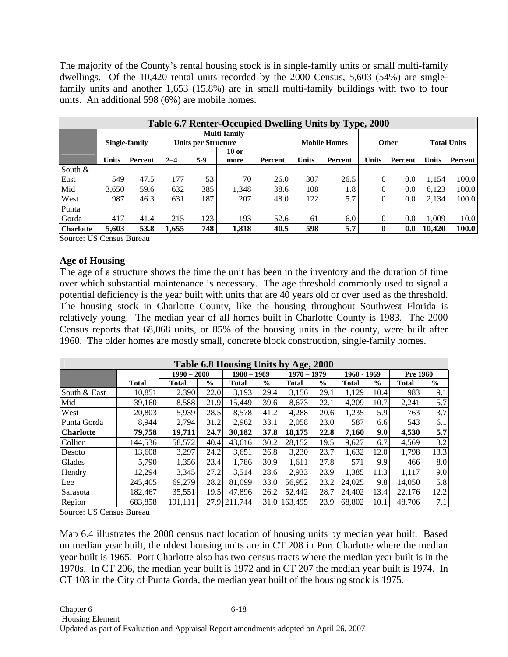The majority of the County's rental housing stock is in single-family units or small multi-family dwellings. Of the 10,420 rental units recorded by the 2000 Census, 5,603 (54%) are singlefamily units and another 1,653 (15.8%) are in small multi-family buildings with two to four units. An additional 598 (6%) are mobile homes.

|                  | Table 6.7 Renter-Occupied Dwelling Units by Type, 2000 |         |                            |     |              |         |              |                     |              |         |                    |         |  |
|------------------|--------------------------------------------------------|---------|----------------------------|-----|--------------|---------|--------------|---------------------|--------------|---------|--------------------|---------|--|
|                  |                                                        |         |                            |     | Multi-family |         |              |                     |              |         |                    |         |  |
|                  | Single-family                                          |         | <b>Units per Structure</b> |     |              |         |              | <b>Mobile Homes</b> |              | Other   | <b>Total Units</b> |         |  |
|                  |                                                        |         |                            |     | $10$ or      |         |              |                     |              |         |                    |         |  |
|                  | <b>Units</b>                                           | Percent | $2 - 4$                    | 5-9 | more         | Percent | <b>Units</b> | Percent             | <b>Units</b> | Percent | <b>Units</b>       | Percent |  |
| South &          |                                                        |         |                            |     |              |         |              |                     |              |         |                    |         |  |
| East             | 549                                                    | 47.5    | 177                        | 53  | 70           | 26.0    | 307          | 26.5                | 0            | 0.0     | 1,154              | 100.0   |  |
| Mid              | 3.650                                                  | 59.6    | 632                        | 385 | 1.348        | 38.6    | 108          | 1.8                 | U            | 0.0     | 6.123              | 100.0   |  |
| West             | 987                                                    | 46.3    | 631                        | 187 | 207          | 48.0    | 122          | 5.7                 | 0            | 0.0     | 2,134              | 100.0   |  |
| Punta            |                                                        |         |                            |     |              |         |              |                     |              |         |                    |         |  |
| Gorda            | 417                                                    | 41.4    | 215                        | 123 | 193          | 52.6    | 61           | 6.0                 | $\Omega$     | 0.0     | 1.009              | 10.0    |  |
| <b>Charlotte</b> | 5.603                                                  | 53.8    | .655                       | 748 | 1,818        | 40.5    | 598          | 5.7                 | 0            | 0.0     | 10.420             | 100.0   |  |

Source: US Census Bureau

### **Age of Housing**

The age of a structure shows the time the unit has been in the inventory and the duration of time over which substantial maintenance is necessary. The age threshold commonly used to signal a potential deficiency is the year built with units that are 40 years old or over used as the threshold. The housing stock in Charlotte County, like the housing throughout Southwest Florida is relatively young. The median year of all homes built in Charlotte County is 1983. The 2000 Census reports that 68,068 units, or 85% of the housing units in the county, were built after 1960. The older homes are mostly small, concrete block construction, single-family homes.

| Table 6.8 Housing Units by Age, 2000 |              |               |               |              |               |              |               |              |               |                 |               |
|--------------------------------------|--------------|---------------|---------------|--------------|---------------|--------------|---------------|--------------|---------------|-----------------|---------------|
|                                      |              | $1990 - 2000$ |               |              | $1980 - 1989$ |              | $1970 - 1979$ |              | 1960 - 1969   | <b>Pre 1960</b> |               |
|                                      | <b>Total</b> | <b>Total</b>  | $\frac{0}{0}$ | <b>Total</b> | $\frac{0}{0}$ | <b>Total</b> | $\frac{0}{0}$ | <b>Total</b> | $\frac{6}{9}$ | <b>Total</b>    | $\frac{0}{0}$ |
| South & East                         | 10,851       | 2,390         | 22.0          | 3,193        | 29.4          | 3,156        | 29.1          | 1,129        | 10.4          | 983             | 9.1           |
| Mid                                  | 39,160       | 8,588         | 21.9          | 15,449       | 39.6          | 8,673        | 22.1          | 4,209        | 10.7          | 2,241           | 5.7           |
| West                                 | 20,803       | 5,939         | 28.5          | 8,578        | 41.2          | 4,288        | 20.6          | 1,235        | 5.9           | 763             | 3.7           |
| Punta Gorda                          | 8,944        | 2,794         | 31.2          | 2.962        | 33.1          | 2,058        | 23.0          | 587          | 6.6           | 543             | 6.1           |
| <b>Charlotte</b>                     | 79,758       | 19,711        | 24.7          | 30,182       | 37.8          | 18,175       | 22.8          | 7,160        | 9.0           | 4,530           | 5.7           |
| Collier                              | 144,536      | 58,572        | 40.4          | 43,616       | 30.2          | 28,152       | 19.5          | 9,627        | 6.7           | 4,569           | 3.2           |
| Desoto                               | 13,608       | 3,297         | 24.2          | 3,651        | 26.8          | 3,230        | 23.7          | 1,632        | 12.0          | 1,798           | 13.3          |
| Glades                               | 5,790        | 1,356         | 23.4          | 1.786        | 30.9          | 1,611        | 27.8          | 571          | 9.9           | 466             | 8.0           |
| Hendry                               | 12,294       | 3,345         | 27.2          | 3,514        | 28.6          | 2,933        | 23.9          | 1,385        | 11.3          | 1.117           | 9.0           |
| Lee                                  | 245,405      | 69,279        | 28.2          | 81,099       | 33.0          | 56.952       | 23.2          | 24,025       | 9.8           | 14.050          | 5.8           |
| Sarasota                             | 182.467      | 35,551        | 19.5          | 47,896       | 26.2          | 52,442       | 28.7          | 24,402       | 13.4          | 22.176          | 12.2          |
| Region                               | 683,858      | 191.111       | 27.9          | 211,744      | 31.0          | 163,495      | 23.9          | 68,802       | 10.1          | 48.706          | 7.1           |

Source: US Census Bureau

Map 6.4 illustrates the 2000 census tract location of housing units by median year built. Based on median year built, the oldest housing units are in CT 208 in Port Charlotte where the median year built is 1965. Port Charlotte also has two census tracts where the median year built is in the 1970s. In CT 206, the median year built is 1972 and in CT 207 the median year built is 1974. In CT 103 in the City of Punta Gorda, the median year built of the housing stock is 1975.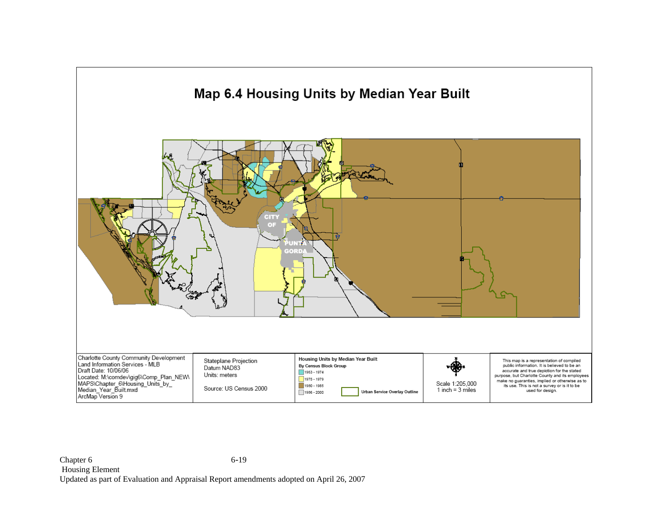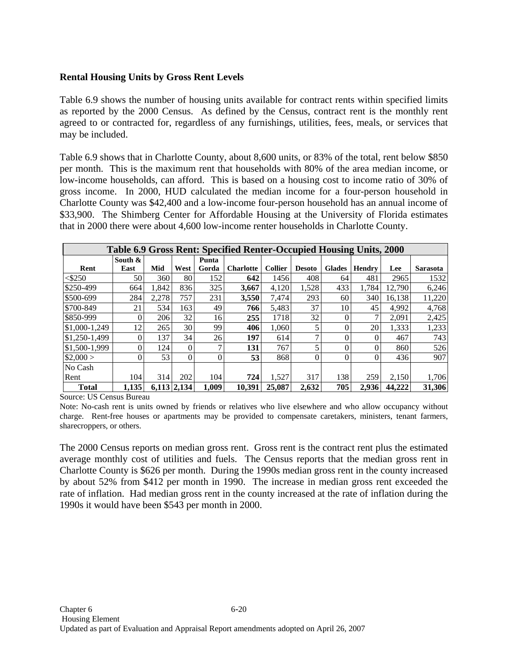### **Rental Housing Units by Gross Rent Levels**

Table 6.9 shows the number of housing units available for contract rents within specified limits as reported by the 2000 Census. As defined by the Census, contract rent is the monthly rent agreed to or contracted for, regardless of any furnishings, utilities, fees, meals, or services that may be included.

Table 6.9 shows that in Charlotte County, about 8,600 units, or 83% of the total, rent below \$850 per month. This is the maximum rent that households with 80% of the area median income, or low-income households, can afford. This is based on a housing cost to income ratio of 30% of gross income. In 2000, HUD calculated the median income for a four-person household in Charlotte County was \$42,400 and a low-income four-person household has an annual income of \$33,900. The Shimberg Center for Affordable Housing at the University of Florida estimates that in 2000 there were about 4,600 low-income renter households in Charlotte County.

|               | Table 6.9 Gross Rent: Specified Renter-Occupied Housing Units, 2000 |       |             |                |                  |                |               |               |               |        |                 |  |
|---------------|---------------------------------------------------------------------|-------|-------------|----------------|------------------|----------------|---------------|---------------|---------------|--------|-----------------|--|
|               | South $\&$                                                          |       |             | Punta          |                  |                |               |               |               |        |                 |  |
| Rent          | East                                                                | Mid   | West        | Gorda          | <b>Charlotte</b> | <b>Collier</b> | <b>Desoto</b> | <b>Glades</b> | <b>Hendry</b> | Lee    | <b>Sarasota</b> |  |
| $<$ \$250     | 50                                                                  | 360   | 80          | 152            | 642              | 1456           | 408           | 64            | 481           | 2965   | 1532            |  |
| \$250-499     | 664                                                                 | 1.842 | 836         | 325            | 3.667            | 4,120          | 1,528         | 433           | 1.784         | 12.790 | 6,246           |  |
| \$500-699     | 284                                                                 | 2,278 | 757         | 231            | 3,550            | 7,474          | 293           | 60            | 340           | 16,138 | 11,220          |  |
| \$700-849     | 21                                                                  | 534   | 163         | 49             | 766              | 5,483          | 37            | 10            | 45            | 4,992  | 4,768           |  |
| \$850-999     |                                                                     | 206   | 32          | 16             | 255              | 1718           | 32            |               |               | 2,091  | 2,425           |  |
| \$1,000-1,249 | 12                                                                  | 265   | 30          | 99             | 406              | 1.060          |               |               | 20            | 1,333  | 1,233           |  |
| \$1,250-1,499 |                                                                     | 137   | 34          | 26             | 197              | 614            |               |               | 0             | 467    | 743             |  |
| \$1,500-1,999 |                                                                     | 124   | $\theta$    | 7              | 131              | 767            |               |               |               | 860    | 526             |  |
| \$2,000>      | 0                                                                   | 53    | $\theta$    | $\overline{0}$ | 53               | 868            | 0             |               |               | 436    | 907             |  |
| No Cash       |                                                                     |       |             |                |                  |                |               |               |               |        |                 |  |
| Rent          | 104                                                                 | 314   | 202         | 104            | 724              | 1,527          | 317           | 138           | 259           | 2,150  | 1,706           |  |
| <b>Total</b>  | 1.135                                                               |       | 6.113 2.134 | 1,009          | 10.391           | 25,087         | 2.632         | 705           | 2,936         | 44,222 | 31,306          |  |

Source: US Census Bureau

Note: No-cash rent is units owned by friends or relatives who live elsewhere and who allow occupancy without charge. Rent-free houses or apartments may be provided to compensate caretakers, ministers, tenant farmers, sharecroppers, or others.

The 2000 Census reports on median gross rent. Gross rent is the contract rent plus the estimated average monthly cost of utilities and fuels. The Census reports that the median gross rent in Charlotte County is \$626 per month. During the 1990s median gross rent in the county increased by about 52% from \$412 per month in 1990. The increase in median gross rent exceeded the rate of inflation. Had median gross rent in the county increased at the rate of inflation during the 1990s it would have been \$543 per month in 2000.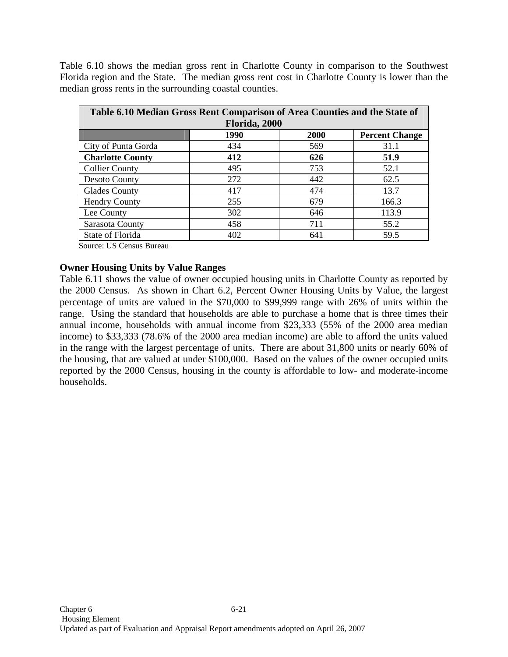Table 6.10 shows the median gross rent in Charlotte County in comparison to the Southwest Florida region and the State. The median gross rent cost in Charlotte County is lower than the median gross rents in the surrounding coastal counties.

| Table 6.10 Median Gross Rent Comparison of Area Counties and the State of |             |                       |  |  |  |  |  |  |  |  |
|---------------------------------------------------------------------------|-------------|-----------------------|--|--|--|--|--|--|--|--|
| Florida, 2000                                                             |             |                       |  |  |  |  |  |  |  |  |
| 1990                                                                      | <b>2000</b> | <b>Percent Change</b> |  |  |  |  |  |  |  |  |
| 434                                                                       | 569         | 31.1                  |  |  |  |  |  |  |  |  |
| 412                                                                       | 626         | 51.9                  |  |  |  |  |  |  |  |  |
| 495                                                                       | 753         | 52.1                  |  |  |  |  |  |  |  |  |
| 272                                                                       | 442         | 62.5                  |  |  |  |  |  |  |  |  |
| 417                                                                       | 474         | 13.7                  |  |  |  |  |  |  |  |  |
| 255                                                                       | 679         | 166.3                 |  |  |  |  |  |  |  |  |
| 302                                                                       | 646         | 113.9                 |  |  |  |  |  |  |  |  |
| 458                                                                       | 711         | 55.2                  |  |  |  |  |  |  |  |  |
| 402                                                                       | 641         | 59.5                  |  |  |  |  |  |  |  |  |
|                                                                           |             |                       |  |  |  |  |  |  |  |  |

Source: US Census Bureau

#### **Owner Housing Units by Value Ranges**

Table 6.11 shows the value of owner occupied housing units in Charlotte County as reported by the 2000 Census. As shown in Chart 6.2, Percent Owner Housing Units by Value, the largest percentage of units are valued in the \$70,000 to \$99,999 range with 26% of units within the range. Using the standard that households are able to purchase a home that is three times their annual income, households with annual income from \$23,333 (55% of the 2000 area median income) to \$33,333 (78.6% of the 2000 area median income) are able to afford the units valued in the range with the largest percentage of units. There are about 31,800 units or nearly 60% of the housing, that are valued at under \$100,000. Based on the values of the owner occupied units reported by the 2000 Census, housing in the county is affordable to low- and moderate-income households.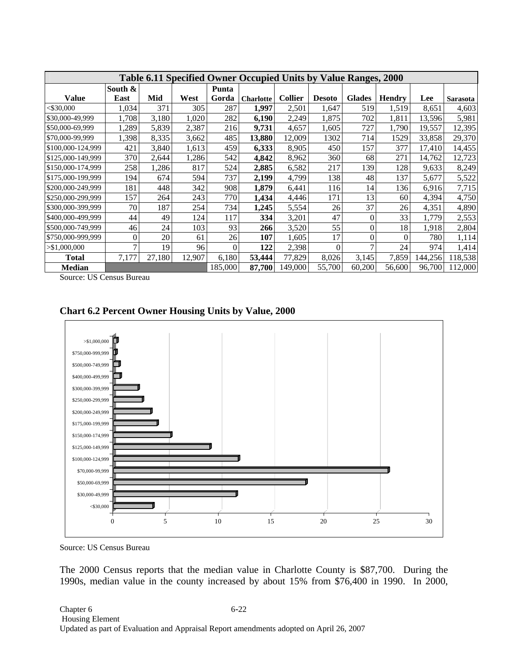|                   | Table 6.11 Specified Owner Occupied Units by Value Ranges, 2000 |        |        |          |                  |                |               |                |               |         |                 |  |
|-------------------|-----------------------------------------------------------------|--------|--------|----------|------------------|----------------|---------------|----------------|---------------|---------|-----------------|--|
|                   | South &                                                         |        |        | Punta    |                  |                |               |                |               |         |                 |  |
| <b>Value</b>      | East                                                            | Mid    | West   | Gorda    | <b>Charlotte</b> | <b>Collier</b> | <b>Desoto</b> | <b>Glades</b>  | <b>Hendry</b> | Lee     | <b>Sarasota</b> |  |
| $<$ \$30,000      | 1,034                                                           | 371    | 305    | 287      | 1,997            | 2,501          | 1,647         | 519            | 1,519         | 8,651   | 4,603           |  |
| \$30,000-49,999   | 1,708                                                           | 3,180  | 1,020  | 282      | 6,190            | 2,249          | 1,875         | 702            | 1,811         | 13,596  | 5,981           |  |
| \$50,000-69,999   | 1,289                                                           | 5,839  | 2,387  | 216      | 9,731            | 4,657          | 1,605         | 727            | 1,790         | 19,557  | 12,395          |  |
| \$70,000-99,999   | 1,398                                                           | 8,335  | 3,662  | 485      | 13,880           | 12,009         | 1302          | 714            | 1529          | 33,858  | 29,370          |  |
| \$100,000-124,999 | 421                                                             | 3,840  | 1,613  | 459      | 6,333            | 8,905          | 450           | 157            | 377           | 17,410  | 14,455          |  |
| \$125,000-149,999 | 370                                                             | 2,644  | 1,286  | 542      | 4,842            | 8,962          | 360           | 68             | 271           | 14,762  | 12,723          |  |
| \$150,000-174,999 | 258                                                             | 1,286  | 817    | 524      | 2,885            | 6,582          | 217           | 139            | 128           | 9,633   | 8,249           |  |
| \$175,000-199,999 | 194                                                             | 674    | 594    | 737      | 2,199            | 4.799          | 138           | 48             | 137           | 5,677   | 5,522           |  |
| \$200,000-249,999 | 181                                                             | 448    | 342    | 908      | 1,879            | 6,441          | 116           | 14             | 136           | 6,916   | 7,715           |  |
| \$250,000-299,999 | 157                                                             | 264    | 243    | 770      | 1,434            | 4,446          | 171           | 13             | 60            | 4,394   | 4,750           |  |
| \$300,000-399,999 | 70                                                              | 187    | 254    | 734      | 1,245            | 5,554          | 26            | 37             | 26            | 4,351   | 4,890           |  |
| \$400,000-499.999 | 44                                                              | 49     | 124    | 117      | 334              | 3,201          | 47            | $\theta$       | 33            | 1,779   | 2,553           |  |
| \$500,000-749,999 | 46                                                              | 24     | 103    | 93       | 266              | 3,520          | 55            | $\overline{0}$ | 18            | 1,918   | 2,804           |  |
| \$750,000-999,999 | $\Omega$                                                        | 20     | 61     | 26       | 107              | 1,605          | 17            | $\overline{0}$ | 0             | 780     | 1,114           |  |
| > \$1,000,000     | 7                                                               | 19     | 96     | $\Omega$ | 122              | 2,398          | $\Omega$      | 7              | 24            | 974     | 1,414           |  |
| <b>Total</b>      | 7,177                                                           | 27,180 | 12,907 | 6,180    | 53,444           | 77,829         | 8,026         | 3,145          | 7,859         | 144,256 | 118,538         |  |
| <b>Median</b>     |                                                                 |        |        | 185,000  | 87,700           | 149,000        | 55,700        | 60,200         | 56,600        | 96,700  | 112,000         |  |

Source: US Census Bureau



Source: US Census Bureau

The 2000 Census reports that the median value in Charlotte County is \$87,700. During the 1990s, median value in the county increased by about 15% from \$76,400 in 1990. In 2000,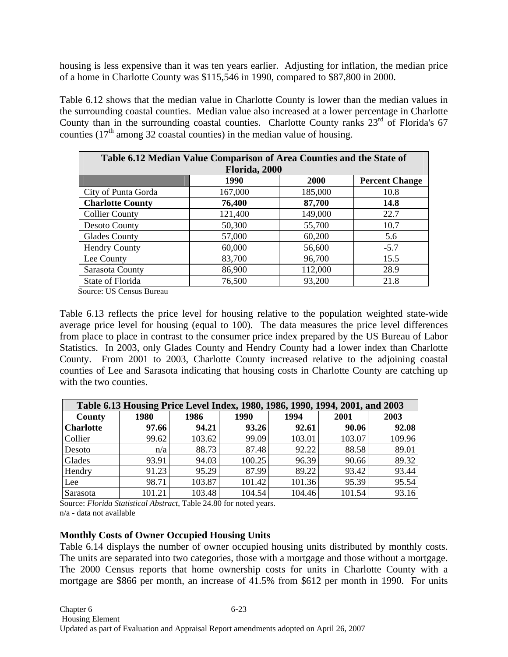housing is less expensive than it was ten years earlier. Adjusting for inflation, the median price of a home in Charlotte County was \$115,546 in 1990, compared to \$87,800 in 2000.

Table 6.12 shows that the median value in Charlotte County is lower than the median values in the surrounding coastal counties. Median value also increased at a lower percentage in Charlotte County than in the surrounding coastal counties. Charlotte County ranks 23<sup>rd</sup> of Florida's 67 counties  $(17<sup>th</sup>$  among 32 coastal counties) in the median value of housing.

| Table 6.12 Median Value Comparison of Area Counties and the State of |               |         |                       |  |  |  |  |  |  |  |
|----------------------------------------------------------------------|---------------|---------|-----------------------|--|--|--|--|--|--|--|
|                                                                      | Florida, 2000 |         |                       |  |  |  |  |  |  |  |
|                                                                      | 1990          | 2000    | <b>Percent Change</b> |  |  |  |  |  |  |  |
| City of Punta Gorda                                                  | 167,000       | 185,000 | 10.8                  |  |  |  |  |  |  |  |
| <b>Charlotte County</b>                                              | 76,400        | 87,700  | 14.8                  |  |  |  |  |  |  |  |
| <b>Collier County</b>                                                | 121,400       | 149,000 | 22.7                  |  |  |  |  |  |  |  |
| Desoto County                                                        | 50,300        | 55,700  | 10.7                  |  |  |  |  |  |  |  |
| <b>Glades County</b>                                                 | 57,000        | 60,200  | 5.6                   |  |  |  |  |  |  |  |
| <b>Hendry County</b>                                                 | 60,000        | 56,600  | $-5.7$                |  |  |  |  |  |  |  |
| Lee County                                                           | 83,700        | 96,700  | 15.5                  |  |  |  |  |  |  |  |
| Sarasota County                                                      | 86,900        | 112,000 | 28.9                  |  |  |  |  |  |  |  |
| State of Florida                                                     | 76,500        | 93,200  | 21.8                  |  |  |  |  |  |  |  |

Source: US Census Bureau

Table 6.13 reflects the price level for housing relative to the population weighted state-wide average price level for housing (equal to 100). The data measures the price level differences from place to place in contrast to the consumer price index prepared by the US Bureau of Labor Statistics. In 2003, only Glades County and Hendry County had a lower index than Charlotte County. From 2001 to 2003, Charlotte County increased relative to the adjoining coastal counties of Lee and Sarasota indicating that housing costs in Charlotte County are catching up with the two counties.

| Table 6.13 Housing Price Level Index, 1980, 1986, 1990, 1994, 2001, and 2003 |        |        |        |        |        |        |  |  |  |  |  |
|------------------------------------------------------------------------------|--------|--------|--------|--------|--------|--------|--|--|--|--|--|
| County                                                                       | 1980   | 1986   | 1990   | 1994   | 2001   | 2003   |  |  |  |  |  |
| <b>Charlotte</b>                                                             | 97.66  | 94.21  | 93.26  | 92.61  | 90.06  | 92.08  |  |  |  |  |  |
| Collier                                                                      | 99.62  | 103.62 | 99.09  | 103.01 | 103.07 | 109.96 |  |  |  |  |  |
| Desoto                                                                       | n/a    | 88.73  | 87.48  | 92.22  | 88.58  | 89.01  |  |  |  |  |  |
| Glades                                                                       | 93.91  | 94.03  | 100.25 | 96.39  | 90.66  | 89.32  |  |  |  |  |  |
| Hendry                                                                       | 91.23  | 95.29  | 87.99  | 89.22  | 93.42  | 93.44  |  |  |  |  |  |
| Lee                                                                          | 98.71  | 103.87 | 101.42 | 101.36 | 95.39  | 95.54  |  |  |  |  |  |
| Sarasota                                                                     | 101.21 | 103.48 | 104.54 | 104.46 | 101.54 | 93.16  |  |  |  |  |  |

Source: *Florida Statistical Abstract*, Table 24.80 for noted years. n/a - data not available

### **Monthly Costs of Owner Occupied Housing Units**

Table 6.14 displays the number of owner occupied housing units distributed by monthly costs. The units are separated into two categories, those with a mortgage and those without a mortgage. The 2000 Census reports that home ownership costs for units in Charlotte County with a mortgage are \$866 per month, an increase of 41.5% from \$612 per month in 1990. For units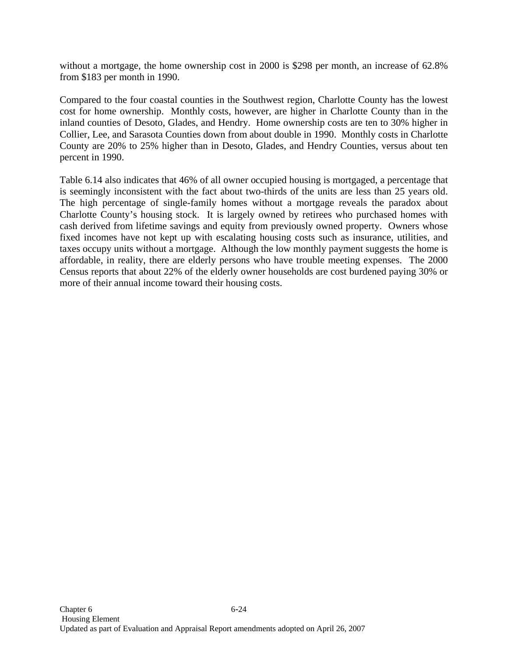without a mortgage, the home ownership cost in 2000 is \$298 per month, an increase of 62.8% from \$183 per month in 1990.

Compared to the four coastal counties in the Southwest region, Charlotte County has the lowest cost for home ownership. Monthly costs, however, are higher in Charlotte County than in the inland counties of Desoto, Glades, and Hendry. Home ownership costs are ten to 30% higher in Collier, Lee, and Sarasota Counties down from about double in 1990. Monthly costs in Charlotte County are 20% to 25% higher than in Desoto, Glades, and Hendry Counties, versus about ten percent in 1990.

Table 6.14 also indicates that 46% of all owner occupied housing is mortgaged, a percentage that is seemingly inconsistent with the fact about two-thirds of the units are less than 25 years old. The high percentage of single-family homes without a mortgage reveals the paradox about Charlotte County's housing stock. It is largely owned by retirees who purchased homes with cash derived from lifetime savings and equity from previously owned property. Owners whose fixed incomes have not kept up with escalating housing costs such as insurance, utilities, and taxes occupy units without a mortgage. Although the low monthly payment suggests the home is affordable, in reality, there are elderly persons who have trouble meeting expenses. The 2000 Census reports that about 22% of the elderly owner households are cost burdened paying 30% or more of their annual income toward their housing costs.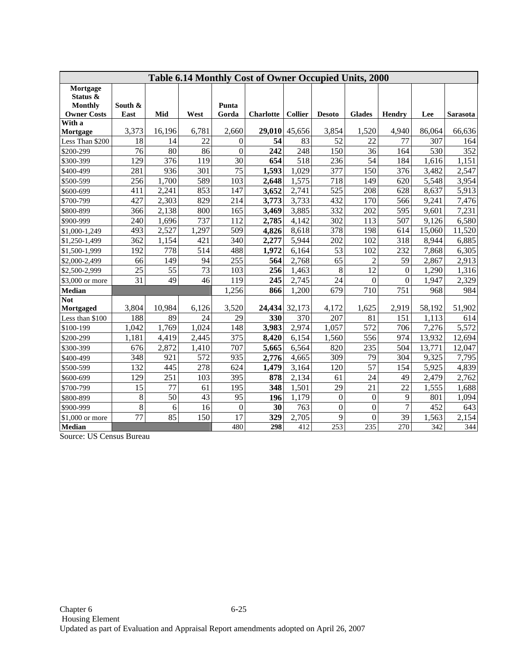| Table 6.14 Monthly Cost of Owner Occupied Units, 2000 |                 |        |       |                  |                  |                |                  |                  |                  |        |                 |
|-------------------------------------------------------|-----------------|--------|-------|------------------|------------------|----------------|------------------|------------------|------------------|--------|-----------------|
| Mortgage                                              |                 |        |       |                  |                  |                |                  |                  |                  |        |                 |
| Status &                                              |                 |        |       | Punta            |                  |                |                  |                  |                  |        |                 |
| <b>Monthly</b><br><b>Owner Costs</b>                  | South &<br>East | Mid    | West  | Gorda            | <b>Charlotte</b> | <b>Collier</b> | <b>Desoto</b>    | <b>Glades</b>    | Hendry           | Lee    | <b>Sarasota</b> |
| With a                                                |                 |        |       |                  |                  |                |                  |                  |                  |        |                 |
| Mortgage                                              | 3,373           | 16,196 | 6,781 | 2,660            | 29,010           | 45,656         | 3,854            | 1,520            | 4,940            | 86,064 | 66,636          |
| Less Than \$200                                       | 18              | 14     | 22    | $\boldsymbol{0}$ | 54               | 83             | 52               | 22               | 77               | 307    | 164             |
| \$200-299                                             | 76              | 80     | 86    | $\mathbf{0}$     | 242              | 248            | 150              | 36               | 164              | 530    | 352             |
| \$300-399                                             | 129             | 376    | 119   | 30               | 654              | 518            | 236              | 54               | 184              | 1,616  | 1,151           |
| \$400-499                                             | 281             | 936    | 301   | $\overline{75}$  | 1,593            | 1,029          | 377              | 150              | $\overline{376}$ | 3,482  | 2,547           |
| \$500-599                                             | 256             | 1,700  | 589   | 103              | 2,648            | 1,575          | 718              | 149              | 620              | 5,548  | 3,954           |
| \$600-699                                             | 411             | 2,241  | 853   | 147              | 3,652            | 2,741          | 525              | 208              | 628              | 8,637  | 5,913           |
| \$700-799                                             | 427             | 2,303  | 829   | 214              | 3,773            | 3,733          | 432              | 170              | 566              | 9,241  | 7,476           |
| \$800-899                                             | 366             | 2,138  | 800   | 165              | 3,469            | 3,885          | 332              | 202              | 595              | 9,601  | 7,231           |
| \$900-999                                             | 240             | 1,696  | 737   | 112              | 2,785            | 4,142          | 302              | 113              | 507              | 9,126  | 6,580           |
| \$1,000-1,249                                         | 493             | 2,527  | 1,297 | 509              | 4,826            | 8,618          | 378              | 198              | 614              | 15,060 | 11,520          |
| \$1,250-1,499                                         | 362             | 1,154  | 421   | 340              | 2,277            | 5,944          | 202              | 102              | 318              | 8,944  | 6,885           |
| \$1,500-1,999                                         | 192             | 778    | 514   | 488              | 1,972            | 6,164          | 53               | 102              | 232              | 7,868  | 6,305           |
| \$2,000-2,499                                         | 66              | 149    | 94    | 255              | 564              | 2,768          | 65               | $\overline{2}$   | $\overline{59}$  | 2,867  | 2,913           |
| \$2,500-2,999                                         | 25              | 55     | 73    | 103              | 256              | 1,463          | 8                | $\overline{12}$  | $\theta$         | 1,290  | 1,316           |
| \$3,000 or more                                       | 31              | 49     | 46    | 119              | 245              | 2,745          | 24               | $\boldsymbol{0}$ | $\mathbf{0}$     | 1,947  | 2,329           |
| Median                                                |                 |        |       | 1,256            | 866              | 1,200          | 679              | 710              | 751              | 968    | 984             |
| <b>Not</b>                                            |                 |        |       |                  |                  |                |                  |                  |                  |        |                 |
| Mortgaged                                             | 3,804           | 10,984 | 6,126 | 3,520            | 24,434           | 32,173         | 4,172            | 1,625            | 2,919            | 58,192 | 51,902          |
| Less than \$100                                       | 188             | 89     | 24    | 29               | 330              | 370            | 207              | 81               | 151              | 1.113  | 614             |
| \$100-199                                             | 1,042           | 1,769  | 1,024 | 148              | 3,983            | 2,974          | 1,057            | 572              | 706              | 7,276  | 5,572           |
| \$200-299                                             | 1,181           | 4,419  | 2,445 | 375              | 8,420            | 6,154          | 1,560            | 556              | 974              | 13,932 | 12,694          |
| \$300-399                                             | 676             | 2,872  | 1,410 | 707              | 5,665            | 6,564          | 820              | 235              | 504              | 13,771 | 12,047          |
| \$400-499                                             | 348             | 921    | 572   | 935              | 2,776            | 4,665          | 309              | 79               | 304              | 9,325  | 7,795           |
| \$500-599                                             | 132             | 445    | 278   | 624              | 1,479            | 3,164          | 120              | 57               | 154              | 5,925  | 4,839           |
| \$600-699                                             | 129             | 251    | 103   | 395              | 878              | 2,134          | 61               | 24               | 49               | 2,479  | 2,762           |
| \$700-799                                             | 15              | 77     | 61    | 195              | 348              | 1,501          | 29               | 21               | 22               | 1,555  | 1,688           |
| \$800-899                                             | $\,8\,$         | 50     | 43    | 95               | 196              | 1,179          | $\boldsymbol{0}$ | $\boldsymbol{0}$ | 9                | 801    | 1,094           |
| \$900-999                                             | $\,8\,$         | 6      | 16    | $\boldsymbol{0}$ | 30               | 763            | $\boldsymbol{0}$ | $\boldsymbol{0}$ | $\overline{7}$   | 452    | 643             |
| \$1,000 or more                                       | $\overline{77}$ | 85     | 150   | 17               | 329              | 2,705          | 9                | $\boldsymbol{0}$ | 39               | 1,563  | 2,154           |
| <b>Median</b>                                         |                 |        |       | 480              | 298              | 412            | $\overline{253}$ | 235              | 270              | 342    | 344             |

Source: US Census Bureau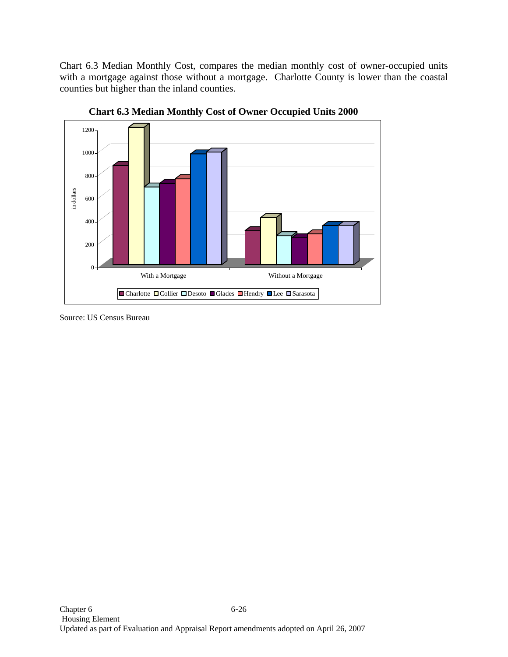Chart 6.3 Median Monthly Cost, compares the median monthly cost of owner-occupied units with a mortgage against those without a mortgage. Charlotte County is lower than the coastal counties but higher than the inland counties.



**Chart 6.3 Median Monthly Cost of Owner Occupied Units 2000** 

Source: US Census Bureau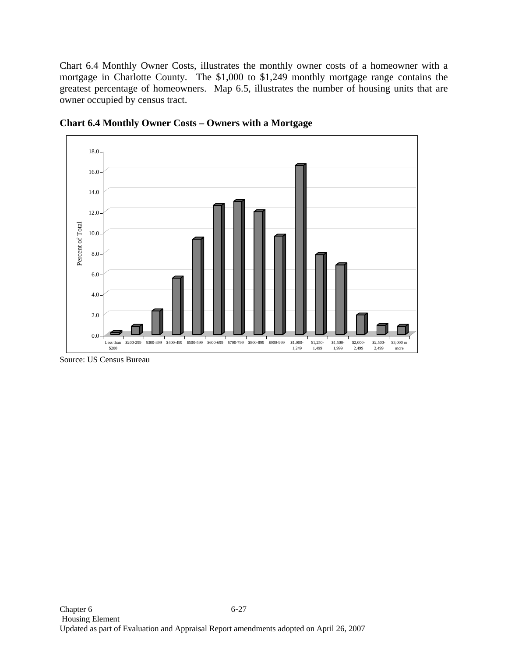Chart 6.4 Monthly Owner Costs, illustrates the monthly owner costs of a homeowner with a mortgage in Charlotte County. The \$1,000 to \$1,249 monthly mortgage range contains the greatest percentage of homeowners. Map 6.5, illustrates the number of housing units that are owner occupied by census tract.



**Chart 6.4 Monthly Owner Costs – Owners with a Mortgage** 

Source: US Census Bureau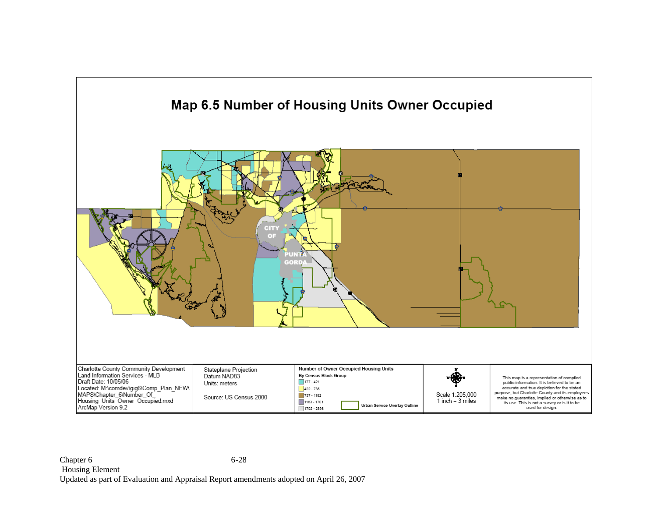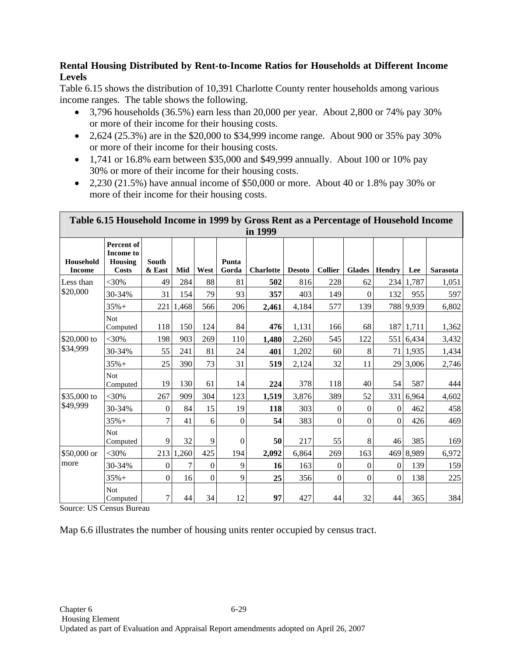### **Rental Housing Distributed by Rent-to-Income Ratios for Households at Different Income Levels**

Table 6.15 shows the distribution of 10,391 Charlotte County renter households among various income ranges. The table shows the following.

- 3,796 households (36.5%) earn less than 20,000 per year. About 2,800 or 74% pay 30% or more of their income for their housing costs.
- 2,624 (25.3%) are in the \$20,000 to \$34,999 income range. About 900 or 35% pay 30% or more of their income for their housing costs.
- 1,741 or 16.8% earn between \$35,000 and \$49,999 annually. About 100 or 10% pay 30% or more of their income for their housing costs.
- 2,230 (21.5%) have annual income of \$50,000 or more. About 40 or 1.8% pay 30% or more of their income for their housing costs.

| Table 6.15 Household Income in 1999 by Gross Rent as a Percentage of Household Income<br>in 1999 |                                                           |                        |           |                  |                |                  |               |                |                  |                  |           |                 |
|--------------------------------------------------------------------------------------------------|-----------------------------------------------------------|------------------------|-----------|------------------|----------------|------------------|---------------|----------------|------------------|------------------|-----------|-----------------|
| Household<br><b>Income</b>                                                                       | Percent of<br><b>Income to</b><br>Housing<br><b>Costs</b> | <b>South</b><br>& East | Mid       | West             | Punta<br>Gorda | <b>Charlotte</b> | <b>Desoto</b> | <b>Collier</b> | Glades           | <b>Hendry</b>    | Lee       | <b>Sarasota</b> |
| Less than                                                                                        | <30%                                                      | 49                     | 284       | 88               | 81             | 502              | 816           | 228            | 62               | 234              | 1,787     | 1,051           |
| \$20,000                                                                                         | 30-34%                                                    | 31                     | 154       | 79               | 93             | 357              | 403           | 149            | $\boldsymbol{0}$ | 132              | 955       | 597             |
|                                                                                                  | $35% +$                                                   | 221                    | 1,468     | 566              | 206            | 2,461            | 4,184         | 577            | 139              |                  | 788 9,939 | 6,802           |
|                                                                                                  | Not.<br>Computed                                          | 118                    | 150       | 124              | 84             | 476              | 1,131         | 166            | 68               | 187              | 1,711     | 1,362           |
| \$20,000 to                                                                                      | $<30\%$                                                   | 198                    | 903       | 269              | 110            | 1,480            | 2,260         | 545            | 122              |                  | 551 6,434 | 3,432           |
| \$34,999                                                                                         | 30-34%                                                    | 55                     | 241       | 81               | 24             | 401              | 1,202         | 60             | 8                | 71               | 1,935     | 1,434           |
|                                                                                                  | $35% +$                                                   | 25                     | 390       | 73               | 31             | 519              | 2,124         | 32             | 11               | 29               | 3,006     | 2,746           |
|                                                                                                  | <b>Not</b><br>Computed                                    | 19                     | 130       | 61               | 14             | 224              | 378           | 118            | 40               | 54               | 587       | 444             |
| \$35,000 to                                                                                      | $<30\%$                                                   | 267                    | 909       | 304              | 123            | 1,519            | 3,876         | 389            | 52               | 331              | 6,964     | 4,602           |
| \$49,999                                                                                         | 30-34%                                                    | $\overline{0}$         | 84        | 15               | 19             | 118              | 303           | $\overline{0}$ | $\boldsymbol{0}$ | $\overline{0}$   | 462       | 458             |
|                                                                                                  | $35% +$                                                   | 7                      | 41        | 6                | $\Omega$       | 54               | 383           | $\Omega$       | $\Omega$         | $\theta$         | 426       | 469             |
|                                                                                                  | Not.<br>Computed                                          | 9                      | 32        | 9                | $\overline{0}$ | 50               | 217           | 55             | 8                | 46               | 385       | 169             |
| \$50,000 or                                                                                      | $<$ 30%                                                   |                        | 213 1,260 | 425              | 194            | 2,092            | 6,864         | 269            | 163              |                  | 469 8,989 | 6,972           |
| more                                                                                             | 30-34%                                                    | $\boldsymbol{0}$       | 7         | $\boldsymbol{0}$ | 9              | 16               | 163           | $\overline{0}$ | $\boldsymbol{0}$ | $\theta$         | 139       | 159             |
|                                                                                                  | $35% +$                                                   | $\boldsymbol{0}$       | 16        | $\boldsymbol{0}$ | 9              | 25               | 356           | $\mathbf{0}$   | $\boldsymbol{0}$ | $\boldsymbol{0}$ | 138       | 225             |
|                                                                                                  | <b>Not</b><br>Computed                                    | $\overline{7}$         | 44        | 34               | 12             | 97               | 427           | 44             | 32               | 44               | 365       | 384             |

Source: US Census Bureau

Map 6.6 illustrates the number of housing units renter occupied by census tract.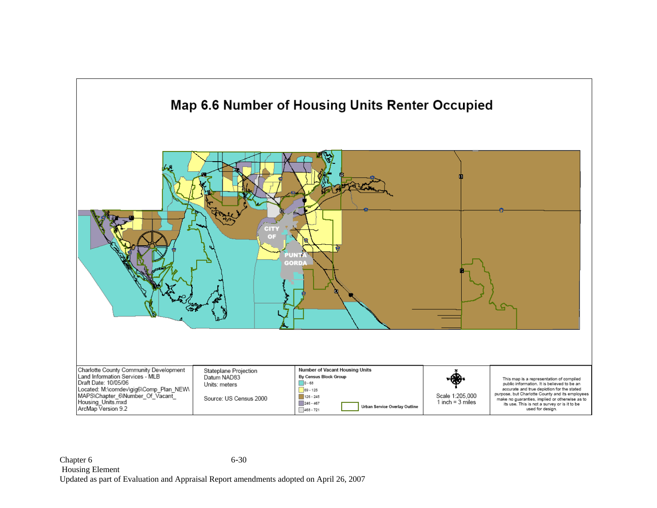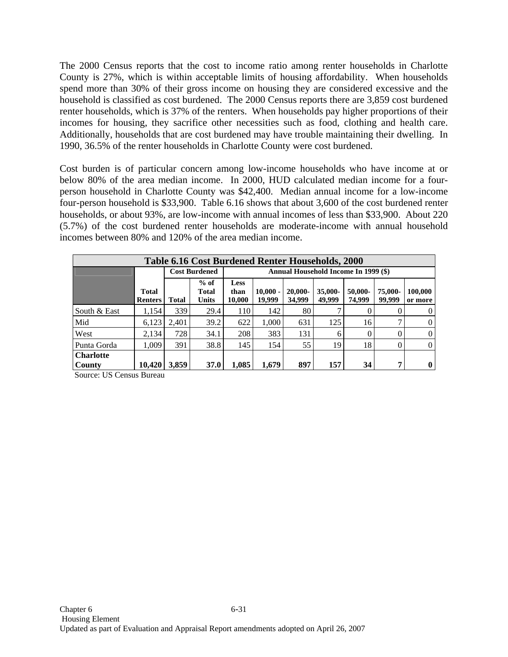The 2000 Census reports that the cost to income ratio among renter households in Charlotte County is 27%, which is within acceptable limits of housing affordability. When households spend more than 30% of their gross income on housing they are considered excessive and the household is classified as cost burdened. The 2000 Census reports there are 3,859 cost burdened renter households, which is 37% of the renters. When households pay higher proportions of their incomes for housing, they sacrifice other necessities such as food, clothing and health care. Additionally, households that are cost burdened may have trouble maintaining their dwelling. In 1990, 36.5% of the renter households in Charlotte County were cost burdened.

Cost burden is of particular concern among low-income households who have income at or below 80% of the area median income. In 2000, HUD calculated median income for a fourperson household in Charlotte County was \$42,400. Median annual income for a low-income four-person household is \$33,900. Table 6.16 shows that about 3,600 of the cost burdened renter households, or about 93%, are low-income with annual incomes of less than \$33,900. About 220 (5.7%) of the cost burdened renter households are moderate-income with annual household incomes between 80% and 120% of the area median income.

|                            | <b>Table 6.16 Cost Burdened Renter Households, 2000</b> |       |                          |                               |                                      |                   |                     |                   |                   |                    |  |  |  |
|----------------------------|---------------------------------------------------------|-------|--------------------------|-------------------------------|--------------------------------------|-------------------|---------------------|-------------------|-------------------|--------------------|--|--|--|
|                            |                                                         |       | <b>Cost Burdened</b>     |                               | Annual Household Income In 1999 (\$) |                   |                     |                   |                   |                    |  |  |  |
|                            | <b>Total</b><br><b>Renters</b>                          | Total | $%$ of<br>Total<br>Units | <b>Less</b><br>than<br>10,000 | $10,000 -$<br>19,999                 | 20,000-<br>34,999 | $35,000-$<br>49,999 | 50,000-<br>74,999 | 75,000-<br>99,999 | 100,000<br>or more |  |  |  |
| South & East               | 1,154                                                   | 339   | 29.4                     | 110                           | 142                                  | 80                |                     |                   | $\Omega$          | $\theta$           |  |  |  |
| Mid                        | 6,123                                                   | 2,401 | 39.2                     | 622                           | 1.000                                | 631               | 125                 | 16                |                   | $\overline{0}$     |  |  |  |
| West                       | 2.134                                                   | 728   | 34.1                     | 208                           | 383                                  | 131               | 6                   |                   | 0                 | $\Omega$           |  |  |  |
| Punta Gorda                | 1.009                                                   | 391   | 38.8                     | 145                           | 154                                  | 55                | 19                  | 18                | 0                 | $\overline{0}$     |  |  |  |
| <b>Charlotte</b><br>County | 10.420                                                  | 3.859 | <b>37.0</b>              | 1.085                         | 1.679                                | 897               | 157                 | 34                | ៗ                 | $\mathbf{0}$       |  |  |  |

Source: US Census Bureau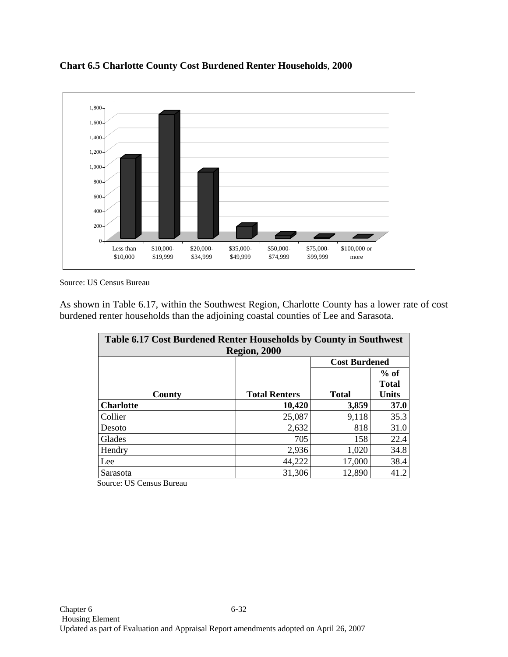

**Chart 6.5 Charlotte County Cost Burdened Renter Households**, **2000**

Source: US Census Bureau

As shown in Table 6.17, within the Southwest Region, Charlotte County has a lower rate of cost burdened renter households than the adjoining coastal counties of Lee and Sarasota.

| Table 6.17 Cost Burdened Renter Households by County in Southwest<br><b>Region, 2000</b> |                                                                                |                      |      |  |  |  |  |  |  |
|------------------------------------------------------------------------------------------|--------------------------------------------------------------------------------|----------------------|------|--|--|--|--|--|--|
|                                                                                          |                                                                                | <b>Cost Burdened</b> |      |  |  |  |  |  |  |
| County                                                                                   | $%$ of<br><b>Total</b><br><b>Total</b><br><b>Total Renters</b><br><b>Units</b> |                      |      |  |  |  |  |  |  |
| <b>Charlotte</b>                                                                         | 10,420                                                                         | 3,859                | 37.0 |  |  |  |  |  |  |
| Collier                                                                                  | 25,087                                                                         | 9,118                | 35.3 |  |  |  |  |  |  |
| Desoto                                                                                   | 2,632                                                                          | 818                  | 31.0 |  |  |  |  |  |  |
| Glades                                                                                   | 705                                                                            | 158                  | 22.4 |  |  |  |  |  |  |
| Hendry                                                                                   | 2,936                                                                          | 1,020                | 34.8 |  |  |  |  |  |  |
| Lee                                                                                      | 44,222                                                                         | 17,000               | 38.4 |  |  |  |  |  |  |
| Sarasota                                                                                 | 31,306                                                                         | 12,890               | 41.2 |  |  |  |  |  |  |

Source: US Census Bureau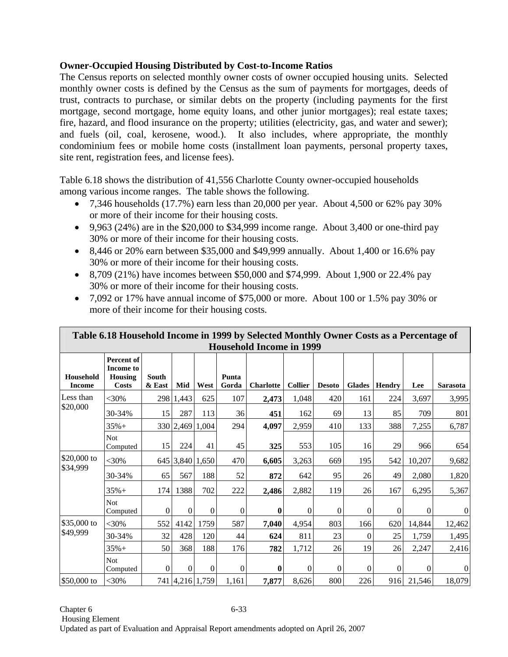## **Owner-Occupied Housing Distributed by Cost-to-Income Ratios**

The Census reports on selected monthly owner costs of owner occupied housing units. Selected monthly owner costs is defined by the Census as the sum of payments for mortgages, deeds of trust, contracts to purchase, or similar debts on the property (including payments for the first mortgage, second mortgage, home equity loans, and other junior mortgages); real estate taxes; fire, hazard, and flood insurance on the property; utilities (electricity, gas, and water and sewer); and fuels (oil, coal, kerosene, wood.). It also includes, where appropriate, the monthly condominium fees or mobile home costs (installment loan payments, personal property taxes, site rent, registration fees, and license fees).

Table 6.18 shows the distribution of 41,556 Charlotte County owner-occupied households among various income ranges. The table shows the following.

- 7,346 households (17.7%) earn less than 20,000 per year. About 4,500 or 62% pay 30% or more of their income for their housing costs.
- 9,963 (24%) are in the  $$20,000$  to  $$34,999$  income range. About 3,400 or one-third pay 30% or more of their income for their housing costs.
- 8,446 or 20% earn between \$35,000 and \$49,999 annually. About 1,400 or 16.6% pay 30% or more of their income for their housing costs.
- 8,709 (21%) have incomes between \$50,000 and \$74,999. About 1,900 or 22.4% pay 30% or more of their income for their housing costs.
- 7,092 or 17% have annual income of \$75,000 or more. About 100 or 1.5% pay 30% or more of their income for their housing costs.

|                            | Table 6.18 Household Income in 1999 by Selected Monthly Owner Costs as a Percentage of |                        |           |                  |                  |                  |                |                |                  |               |          |                |  |
|----------------------------|----------------------------------------------------------------------------------------|------------------------|-----------|------------------|------------------|------------------|----------------|----------------|------------------|---------------|----------|----------------|--|
|                            | <b>Household Income in 1999</b>                                                        |                        |           |                  |                  |                  |                |                |                  |               |          |                |  |
| Household<br><b>Income</b> | Percent of<br><b>Income to</b><br>Housing<br><b>Costs</b>                              | <b>South</b><br>& East | Mid       | West             | Punta<br>Gorda   | <b>Charlotte</b> | <b>Collier</b> | <b>Desoto</b>  | <b>Glades</b>    | <b>Hendry</b> | Lee      | Sarasota       |  |
| Less than                  | <30%                                                                                   |                        | 298 1,443 | 625              | 107              | 2,473            | 1,048          | 420            | 161              | 224           | 3,697    | 3,995          |  |
| \$20,000                   | 30-34%                                                                                 | 15                     | 287       | 113              | 36               | 451              | 162            | 69             | 13               | 85            | 709      | 801            |  |
|                            | $35% +$                                                                                |                        |           | 330 2,469 1,004  | 294              | 4,097            | 2,959          | 410            | 133              | 388           | 7,255    | 6,787          |  |
|                            | Not.<br>Computed                                                                       | 15                     | 224       | 41               | 45               | 325              | 553            | 105            | 16               | 29            | 966      | 654            |  |
| \$20,000 to                | $<$ 30%                                                                                |                        |           | 645 3,840 1,650  | 470              | 6,605            | 3,263          | 669            | 195              | 542           | 10,207   | 9,682          |  |
| \$34,999                   | 30-34%                                                                                 | 65                     | 567       | 188              | 52               | 872              | 642            | 95             | 26               | 49            | 2,080    | 1,820          |  |
|                            | $35%+$                                                                                 | 174                    | 1388      | 702              | 222              | 2,486            | 2,882          | 119            | 26               | 167           | 6,295    | 5,367          |  |
|                            | <b>Not</b><br>Computed                                                                 | $\overline{0}$         | $\Omega$  | $\overline{0}$   | $\boldsymbol{0}$ | $\bf{0}$         | $\overline{0}$ | $\theta$       | $\boldsymbol{0}$ | $\Omega$      | $\theta$ | $\theta$       |  |
| \$35,000 to                | $<$ 30%                                                                                | 552                    | 4142      | 1759             | 587              | 7,040            | 4,954          | 803            | 166              | 620           | 14,844   | 12,462         |  |
| \$49,999                   | 30-34%                                                                                 | 32                     | 428       | 120              | 44               | 624              | 811            | 23             | $\overline{0}$   | 25            | 1,759    | 1,495          |  |
|                            | $35% +$                                                                                | 50                     | 368       | 188              | 176              | 782              | 1,712          | 26             | 19               | 26            | 2,247    | 2,416          |  |
|                            | <b>Not</b><br>Computed                                                                 | $\Omega$               | $\Omega$  | $\boldsymbol{0}$ | $\boldsymbol{0}$ | $\bf{0}$         | $\overline{0}$ | $\overline{0}$ | $\boldsymbol{0}$ | $\mathbf{0}$  | $\Omega$ | $\overline{0}$ |  |
| \$50,000 to                | $<$ 30%                                                                                |                        |           | 741 4,216 1,759  | 1,161            | 7,877            | 8,626          | 800            | 226              | 916           | 21,546   | 18,079         |  |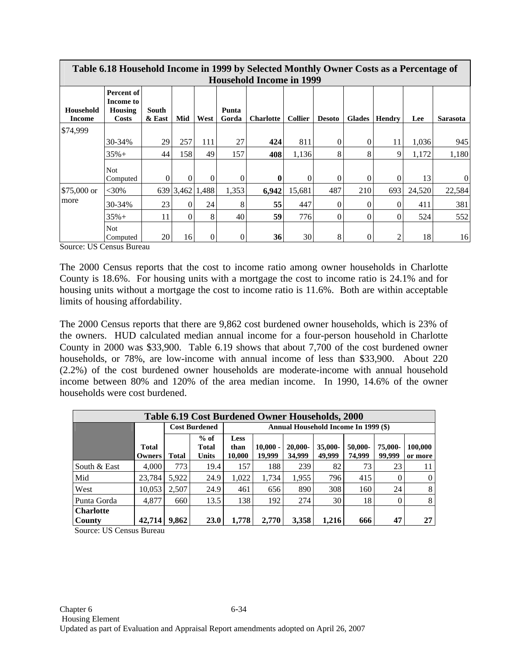|                     | Table 6.18 Household Income in 1999 by Selected Monthly Owner Costs as a Percentage of<br><b>Household Income in 1999</b> |                 |          |                 |                |                  |                |               |               |               |        |                 |
|---------------------|---------------------------------------------------------------------------------------------------------------------------|-----------------|----------|-----------------|----------------|------------------|----------------|---------------|---------------|---------------|--------|-----------------|
| Household<br>Income | Percent of<br>Income to<br>Housing<br><b>Costs</b>                                                                        | South<br>& East | Mid      | West            | Punta<br>Gorda | <b>Charlotte</b> | <b>Collier</b> | <b>Desoto</b> | <b>Glades</b> | <b>Hendry</b> | Lee    | <b>Sarasota</b> |
| \$74,999            |                                                                                                                           |                 |          |                 |                |                  |                |               |               |               |        |                 |
|                     | 30-34%                                                                                                                    | 29              | 257      | 111             | 27             | 424              | 811            | $\Omega$      | $\theta$      | 11            | 1,036  | 945             |
|                     | $35% +$                                                                                                                   | 44              | 158      | 49              | 157            | 408              | 1,136          | 8             | 8             | 9             | 1,172  | 1,180           |
|                     | <b>Not</b><br>Computed                                                                                                    | $\Omega$        | $\Omega$ | $\Omega$        | $\Omega$       | 0                | $\Omega$       | $\Omega$      | $\theta$      | $\Omega$      | 13     | $\Omega$        |
| $$75,000$ or        | $<$ 30%                                                                                                                   |                 |          | 639 3,462 1,488 | 1,353          | 6,942            | 15,681         | 487           | 210           | 693           | 24,520 | 22,584          |
| more                | 30-34%                                                                                                                    | 23              | $\Omega$ | 24              | 8              | 55               | 447            | 0             | 0             | $\Omega$      | 411    | 381             |
|                     | $35% +$                                                                                                                   | 11              | $\Omega$ | 8               | 40             | 59               | 776            | $\theta$      | $\Omega$      | $\Omega$      | 524    | 552             |
|                     | <b>Not</b><br>Computed                                                                                                    | 20              | 16       | $\overline{0}$  | $\theta$       | 36               | 30             | 8             | 0             | 2             | 18     | 16              |

Source: US Census Bureau

The 2000 Census reports that the cost to income ratio among owner households in Charlotte County is 18.6%. For housing units with a mortgage the cost to income ratio is 24.1% and for housing units without a mortgage the cost to income ratio is 11.6%. Both are within acceptable limits of housing affordability.

The 2000 Census reports that there are 9,862 cost burdened owner households, which is 23% of the owners. HUD calculated median annual income for a four-person household in Charlotte County in 2000 was \$33,900. Table 6.19 shows that about 7,700 of the cost burdened owner households, or 78%, are low-income with annual income of less than \$33,900. About 220 (2.2%) of the cost burdened owner households are moderate-income with annual household income between 80% and 120% of the area median income. In 1990, 14.6% of the owner households were cost burdened.

|                            | Table 6.19 Cost Burdened Owner Households, 2000 |              |                                 |                               |                                      |                      |                   |                   |                   |                    |  |  |  |
|----------------------------|-------------------------------------------------|--------------|---------------------------------|-------------------------------|--------------------------------------|----------------------|-------------------|-------------------|-------------------|--------------------|--|--|--|
|                            |                                                 |              | <b>Cost Burdened</b>            |                               | Annual Household Income In 1999 (\$) |                      |                   |                   |                   |                    |  |  |  |
|                            | Total<br>Owners                                 | <b>Total</b> | $%$ of<br>Total<br><b>Units</b> | <b>Less</b><br>than<br>10,000 | $10.000 -$<br>19,999                 | $20.000 -$<br>34,999 | 35,000-<br>49,999 | 50,000-<br>74,999 | 75,000-<br>99,999 | 100,000<br>or more |  |  |  |
| South & East               | 4.000                                           | 773          | 19.4                            | 157                           | 188                                  | 239                  | 82                | 73                | 23                | 11                 |  |  |  |
| Mid                        | 23.784                                          | 5,922        | 24.9                            | 1,022                         | 1,734                                | 1,955                | 796               | 415               | $\theta$          | $\Omega$           |  |  |  |
| West                       | 10,053                                          | 2,507        | 24.9                            | 461                           | 656                                  | 890                  | 308               | 160               | 24                | 8                  |  |  |  |
| Punta Gorda                | 4,877                                           | 660          | 13.5                            | 138                           | 192                                  | 274                  | 30                | 18                | 0                 | 8                  |  |  |  |
| <b>Charlotte</b><br>County | 42,714                                          | 9,862        | <b>23.0</b>                     | 1,778                         | 2.770                                | 3,358                | 1,216             | 666               | 47                | 27                 |  |  |  |

Source: US Census Bureau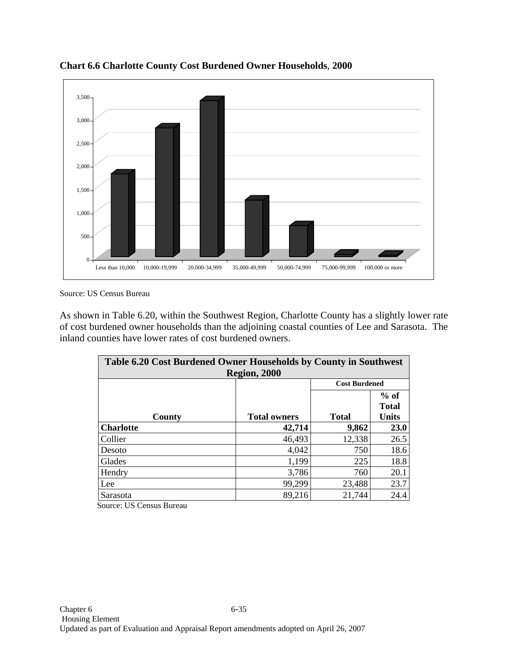

**Chart 6.6 Charlotte County Cost Burdened Owner Households**, **2000**

Source: US Census Bureau

As shown in Table 6.20, within the Southwest Region, Charlotte County has a slightly lower rate of cost burdened owner households than the adjoining coastal counties of Lee and Sarasota. The inland counties have lower rates of cost burdened owners.

| Table 6.20 Cost Burdened Owner Households by County in Southwest<br><b>Region, 2000</b> |                     |                      |                                        |  |  |  |  |  |  |
|-----------------------------------------------------------------------------------------|---------------------|----------------------|----------------------------------------|--|--|--|--|--|--|
|                                                                                         |                     | <b>Cost Burdened</b> |                                        |  |  |  |  |  |  |
| County                                                                                  | <b>Total owners</b> | <b>Total</b>         | $%$ of<br><b>Total</b><br><b>Units</b> |  |  |  |  |  |  |
| <b>Charlotte</b>                                                                        | 42,714              | 9,862                | 23.0                                   |  |  |  |  |  |  |
| Collier                                                                                 | 46,493              | 12,338               | 26.5                                   |  |  |  |  |  |  |
| Desoto                                                                                  | 4,042               | 750                  | 18.6                                   |  |  |  |  |  |  |
| Glades                                                                                  | 1,199               | 225                  | 18.8                                   |  |  |  |  |  |  |
| Hendry                                                                                  | 3,786               | 760                  | 20.1                                   |  |  |  |  |  |  |
| Lee                                                                                     | 99,299              | 23,488               | 23.7                                   |  |  |  |  |  |  |
| Sarasota                                                                                | 89,216              | 21,744               | 24.4                                   |  |  |  |  |  |  |

Source: US Census Bureau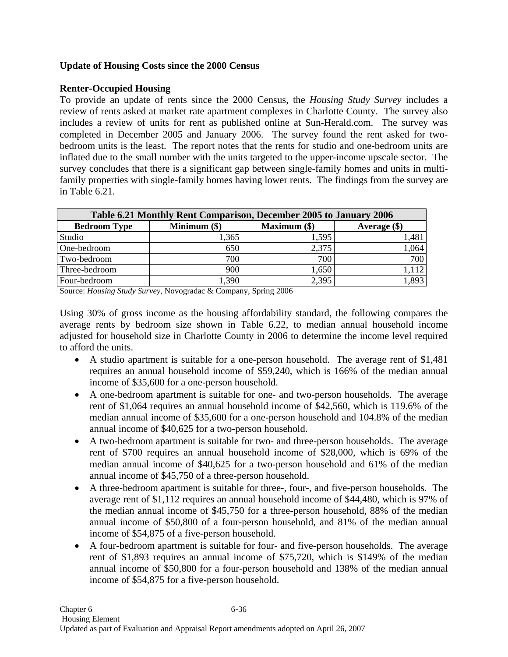## **Update of Housing Costs since the 2000 Census**

## **Renter-Occupied Housing**

To provide an update of rents since the 2000 Census, the *Housing Study Survey* includes a review of rents asked at market rate apartment complexes in Charlotte County. The survey also includes a review of units for rent as published online at Sun-Herald.com. The survey was completed in December 2005 and January 2006. The survey found the rent asked for twobedroom units is the least. The report notes that the rents for studio and one-bedroom units are inflated due to the small number with the units targeted to the upper-income upscale sector. The survey concludes that there is a significant gap between single-family homes and units in multifamily properties with single-family homes having lower rents. The findings from the survey are in Table 6.21.

| Table 6.21 Monthly Rent Comparison, December 2005 to January 2006 |                |                |                |  |  |  |  |  |  |  |
|-------------------------------------------------------------------|----------------|----------------|----------------|--|--|--|--|--|--|--|
| <b>Bedroom Type</b>                                               | Minimum $(\$)$ | Maximum $(\$)$ | Average $(\$)$ |  |  |  |  |  |  |  |
| Studio                                                            | 1,365          | 1,595          | 1,481          |  |  |  |  |  |  |  |
| One-bedroom                                                       | 650            | 2,375          | 1,064          |  |  |  |  |  |  |  |
| Two-bedroom                                                       | 700            | 700            | 700            |  |  |  |  |  |  |  |
| Three-bedroom                                                     | 900            | 1,650          | .112           |  |  |  |  |  |  |  |
| Four-bedroom                                                      | ,390           | 2,395          | 1,893          |  |  |  |  |  |  |  |

Source: *Housing Study Survey*, Novogradac & Company, Spring 2006

Using 30% of gross income as the housing affordability standard, the following compares the average rents by bedroom size shown in Table 6.22, to median annual household income adjusted for household size in Charlotte County in 2006 to determine the income level required to afford the units.

- A studio apartment is suitable for a one-person household. The average rent of \$1,481 requires an annual household income of \$59,240, which is 166% of the median annual income of \$35,600 for a one-person household.
- A one-bedroom apartment is suitable for one- and two-person households. The average rent of \$1,064 requires an annual household income of \$42,560, which is 119.6% of the median annual income of \$35,600 for a one-person household and 104.8% of the median annual income of \$40,625 for a two-person household.
- A two-bedroom apartment is suitable for two- and three-person households. The average rent of \$700 requires an annual household income of \$28,000, which is 69% of the median annual income of \$40,625 for a two-person household and 61% of the median annual income of \$45,750 of a three-person household.
- A three-bedroom apartment is suitable for three-, four-, and five-person households. The average rent of \$1,112 requires an annual household income of \$44,480, which is 97% of the median annual income of \$45,750 for a three-person household, 88% of the median annual income of \$50,800 of a four-person household, and 81% of the median annual income of \$54,875 of a five-person household.
- A four-bedroom apartment is suitable for four- and five-person households. The average rent of \$1,893 requires an annual income of \$75,720, which is \$149% of the median annual income of \$50,800 for a four-person household and 138% of the median annual income of \$54,875 for a five-person household.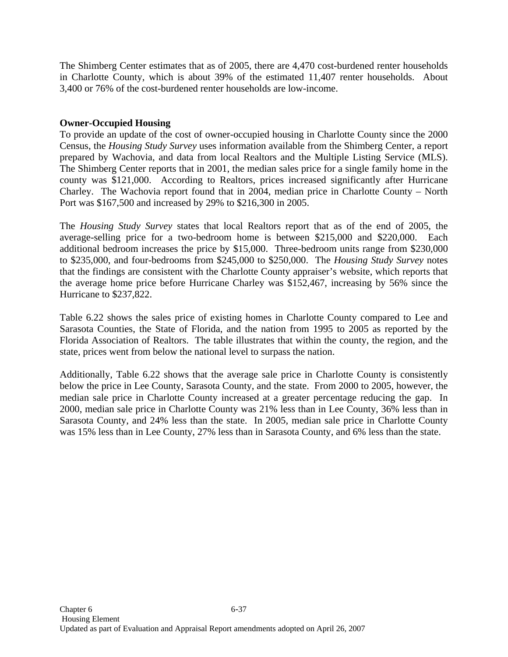The Shimberg Center estimates that as of 2005, there are 4,470 cost-burdened renter households in Charlotte County, which is about 39% of the estimated 11,407 renter households. About 3,400 or 76% of the cost-burdened renter households are low-income.

## **Owner-Occupied Housing**

To provide an update of the cost of owner-occupied housing in Charlotte County since the 2000 Census, the *Housing Study Survey* uses information available from the Shimberg Center, a report prepared by Wachovia, and data from local Realtors and the Multiple Listing Service (MLS). The Shimberg Center reports that in 2001, the median sales price for a single family home in the county was \$121,000. According to Realtors, prices increased significantly after Hurricane Charley. The Wachovia report found that in 2004, median price in Charlotte County – North Port was \$167,500 and increased by 29% to \$216,300 in 2005.

The *Housing Study Survey* states that local Realtors report that as of the end of 2005, the average-selling price for a two-bedroom home is between \$215,000 and \$220,000. Each additional bedroom increases the price by \$15,000. Three-bedroom units range from \$230,000 to \$235,000, and four-bedrooms from \$245,000 to \$250,000. The *Housing Study Survey* notes that the findings are consistent with the Charlotte County appraiser's website, which reports that the average home price before Hurricane Charley was \$152,467, increasing by 56% since the Hurricane to \$237,822.

Table 6.22 shows the sales price of existing homes in Charlotte County compared to Lee and Sarasota Counties, the State of Florida, and the nation from 1995 to 2005 as reported by the Florida Association of Realtors. The table illustrates that within the county, the region, and the state, prices went from below the national level to surpass the nation.

Additionally, Table 6.22 shows that the average sale price in Charlotte County is consistently below the price in Lee County, Sarasota County, and the state. From 2000 to 2005, however, the median sale price in Charlotte County increased at a greater percentage reducing the gap. In 2000, median sale price in Charlotte County was 21% less than in Lee County, 36% less than in Sarasota County, and 24% less than the state. In 2005, median sale price in Charlotte County was 15% less than in Lee County, 27% less than in Sarasota County, and 6% less than the state.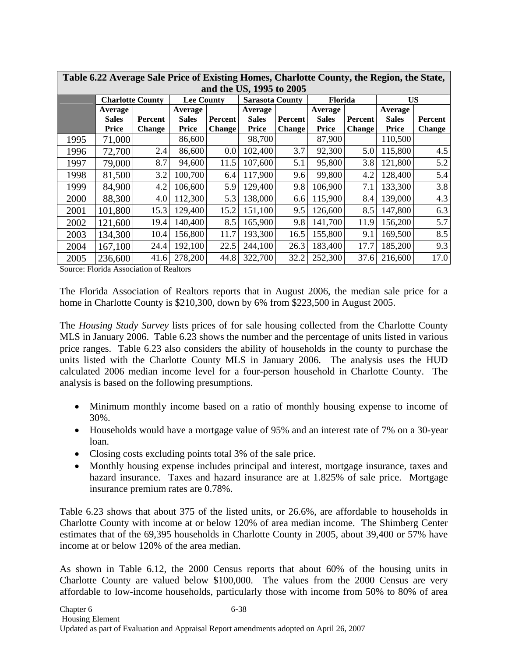|      | Table 6.22 Average Sale Price of Existing Homes, Charlotte County, the Region, the State,<br>and the US, 1995 to 2005 |                                 |                                         |                                 |                                         |                                 |                                         |                          |                                  |                          |  |
|------|-----------------------------------------------------------------------------------------------------------------------|---------------------------------|-----------------------------------------|---------------------------------|-----------------------------------------|---------------------------------|-----------------------------------------|--------------------------|----------------------------------|--------------------------|--|
|      | <b>Charlotte County</b>                                                                                               |                                 | <b>Lee County</b>                       |                                 | <b>Sarasota County</b>                  |                                 | <b>Florida</b>                          |                          | <b>US</b>                        |                          |  |
|      | Average<br><b>Sales</b><br><b>Price</b>                                                                               | <b>Percent</b><br><b>Change</b> | Average<br><b>Sales</b><br><b>Price</b> | <b>Percent</b><br><b>Change</b> | Average<br><b>Sales</b><br><b>Price</b> | <b>Percent</b><br><b>Change</b> | Average<br><b>Sales</b><br><b>Price</b> | Percent<br><b>Change</b> | Average<br><b>Sales</b><br>Price | Percent<br><b>Change</b> |  |
| 1995 | 71,000                                                                                                                |                                 | 86,600                                  |                                 | 98,700                                  |                                 | 87,900                                  |                          | 110,500                          |                          |  |
| 1996 | 72,700                                                                                                                | 2.4                             | 86,600                                  | 0.0                             | 102,400                                 | 3.7                             | 92,300                                  | 5.0                      | 115,800                          | 4.5                      |  |
| 1997 | 79,000                                                                                                                | 8.7                             | 94,600                                  | 11.5                            | 107,600                                 | 5.1                             | 95,800                                  | 3.8                      | 121,800                          | 5.2                      |  |
| 1998 | 81,500                                                                                                                | 3.2                             | 100,700                                 | 6.4                             | 117,900                                 | 9.6                             | 99,800                                  | 4.2                      | 128,400                          | 5.4                      |  |
| 1999 | 84,900                                                                                                                | 4.2                             | 106,600                                 | 5.9                             | 129,400                                 | 9.8                             | 106,900                                 | 7.1                      | 133,300                          | 3.8                      |  |
| 2000 | 88,300                                                                                                                | 4.0                             | 112,300                                 | 5.3                             | 138,000                                 | 6.6                             | 115,900                                 | 8.4                      | 139,000                          | 4.3                      |  |
| 2001 | 101,800                                                                                                               | 15.3                            | 129,400                                 | 15.2                            | 151,100                                 | 9.5                             | 126,600                                 | 8.5                      | 147,800                          | 6.3                      |  |
| 2002 | 121,600                                                                                                               | 19.4                            | 140,400                                 | 8.5                             | 165,900                                 | 9.8                             | 141,700                                 | 11.9                     | 156,200                          | 5.7                      |  |
| 2003 | 134,300                                                                                                               | 10.4                            | 156,800                                 | 11.7                            | 193,300                                 | 16.5                            | 155,800                                 | 9.1                      | 169,500                          | 8.5                      |  |
| 2004 | 167,100                                                                                                               | 24.4                            | 192,100                                 | 22.5                            | 244,100                                 | 26.3                            | 183,400                                 | 17.7                     | 185,200                          | 9.3                      |  |
| 2005 | 236,600                                                                                                               | 41.6                            | 278,200                                 | 44.8                            | 322,700                                 | 32.2                            | 252,300                                 | 37.6                     | 216,600                          | 17.0                     |  |

Source: Florida Association of Realtors

The Florida Association of Realtors reports that in August 2006, the median sale price for a home in Charlotte County is \$210,300, down by 6% from \$223,500 in August 2005.

The *Housing Study Survey* lists prices of for sale housing collected from the Charlotte County MLS in January 2006. Table 6.23 shows the number and the percentage of units listed in various price ranges. Table 6.23 also considers the ability of households in the county to purchase the units listed with the Charlotte County MLS in January 2006. The analysis uses the HUD calculated 2006 median income level for a four-person household in Charlotte County. The analysis is based on the following presumptions.

- Minimum monthly income based on a ratio of monthly housing expense to income of 30%.
- Households would have a mortgage value of 95% and an interest rate of 7% on a 30-year loan.
- Closing costs excluding points total 3% of the sale price.
- Monthly housing expense includes principal and interest, mortgage insurance, taxes and hazard insurance. Taxes and hazard insurance are at 1.825% of sale price. Mortgage insurance premium rates are 0.78%.

Table 6.23 shows that about 375 of the listed units, or 26.6%, are affordable to households in Charlotte County with income at or below 120% of area median income. The Shimberg Center estimates that of the 69,395 households in Charlotte County in 2005, about 39,400 or 57% have income at or below 120% of the area median.

As shown in Table 6.12, the 2000 Census reports that about 60% of the housing units in Charlotte County are valued below \$100,000. The values from the 2000 Census are very affordable to low-income households, particularly those with income from 50% to 80% of area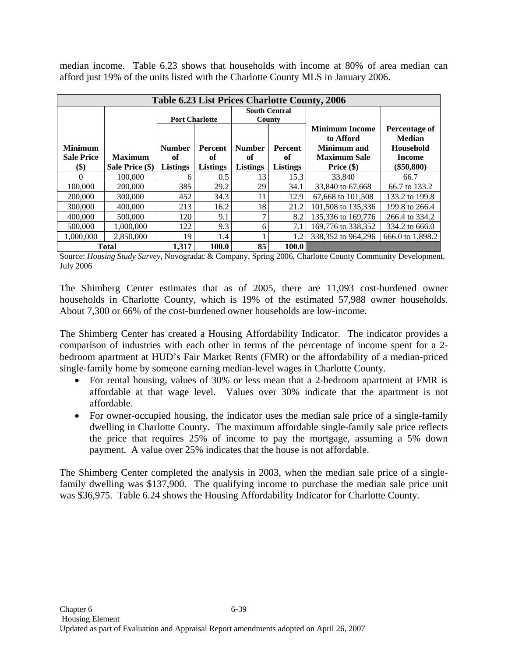median income. Table 6.23 shows that households with income at 80% of area median can afford just 19% of the units listed with the Charlotte County MLS in January 2006.

|                           |                 |                       |                 |                 |                      | <b>Table 6.23 List Prices Charlotte County, 2006</b> |                  |
|---------------------------|-----------------|-----------------------|-----------------|-----------------|----------------------|------------------------------------------------------|------------------|
|                           |                 |                       |                 |                 | <b>South Central</b> |                                                      |                  |
|                           |                 | <b>Port Charlotte</b> |                 | County          |                      |                                                      |                  |
|                           |                 |                       |                 |                 |                      | <b>Minimum Income</b>                                | Percentage of    |
|                           |                 |                       |                 |                 |                      | to Afford                                            | <b>Median</b>    |
| <b>Minimum</b>            |                 | <b>Number</b>         | <b>Percent</b>  | <b>Number</b>   | <b>Percent</b>       | Minimum and                                          | <b>Household</b> |
| <b>Sale Price</b>         | <b>Maximum</b>  | of                    | of              | of              | оf                   | <b>Maximum Sale</b>                                  | <b>Income</b>    |
| $\left( \text{\$}\right)$ | Sale Price (\$) | <b>Listings</b>       | <b>Listings</b> | <b>Listings</b> | <b>Listings</b>      | Price $(\$)$                                         | $(\$50,800)$     |
| 0                         | 100,000         | 6                     | 0.5             | 13              | 15.3                 | 33,840                                               | 66.7             |
| 100,000                   | 200,000         | 385                   | 29.2            | 29              | 34.1                 | 33,840 to 67,668                                     | 66.7 to 133.2    |
| 200,000                   | 300,000         | 452                   | 34.3            | 11              | 12.9                 | 67,668 to 101,508                                    | 133.2 to 199.8   |
| 300,000                   | 400,000         | 213                   | 16.2            | 18              | 21.2                 | 101,508 to 135,336                                   | 199.8 to 266.4   |
| 400,000                   | 500,000         | 120                   | 9.1             | 7               | 8.2                  | 135,336 to 169,776                                   | 266.4 to 334.2   |
| 500,000                   | 1.000.000       | 122                   | 9.3             | 6               | 7.1                  | 169,776 to 338,352                                   | 334.2 to 666.0   |
| 1.000.000                 | 2.850,000       | 19                    | 1.4             |                 | 1.2                  | 338,352 to 964,296                                   | 666.0 to 1,898.2 |
|                           | <b>Total</b>    | 1.317                 | 100.0           | 85              | 100.0                |                                                      |                  |

Source: *Housing Study Survey*, Novogradac & Company, Spring 2006, Charlotte County Community Development, July 2006

The Shimberg Center estimates that as of 2005, there are 11,093 cost-burdened owner households in Charlotte County, which is 19% of the estimated 57,988 owner households. About 7,300 or 66% of the cost-burdened owner households are low-income.

The Shimberg Center has created a Housing Affordability Indicator. The indicator provides a comparison of industries with each other in terms of the percentage of income spent for a 2 bedroom apartment at HUD's Fair Market Rents (FMR) or the affordability of a median-priced single-family home by someone earning median-level wages in Charlotte County.

- For rental housing, values of 30% or less mean that a 2-bedroom apartment at FMR is affordable at that wage level. Values over 30% indicate that the apartment is not affordable.
- For owner-occupied housing, the indicator uses the median sale price of a single-family dwelling in Charlotte County. The maximum affordable single-family sale price reflects the price that requires 25% of income to pay the mortgage, assuming a 5% down payment. A value over 25% indicates that the house is not affordable.

The Shimberg Center completed the analysis in 2003, when the median sale price of a singlefamily dwelling was \$137,900. The qualifying income to purchase the median sale price unit was \$36,975. Table 6.24 shows the Housing Affordability Indicator for Charlotte County.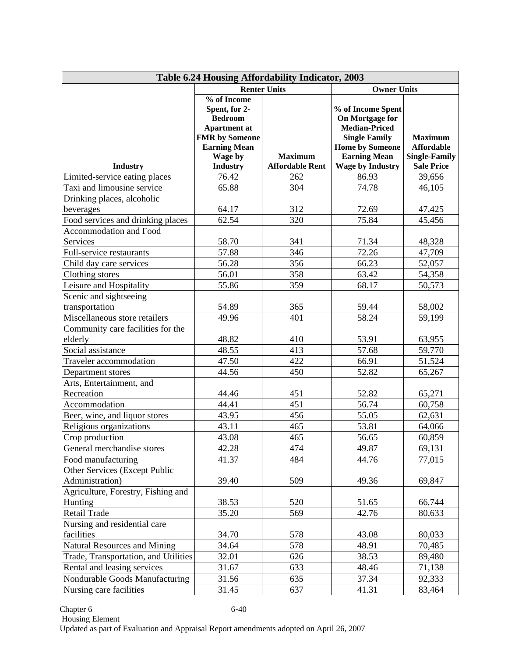| Table 6.24 Housing Affordability Indicator, 2003 |                                                                                                                                  |                        |                                                                                                                                       |                                                             |  |  |  |  |  |  |
|--------------------------------------------------|----------------------------------------------------------------------------------------------------------------------------------|------------------------|---------------------------------------------------------------------------------------------------------------------------------------|-------------------------------------------------------------|--|--|--|--|--|--|
|                                                  |                                                                                                                                  | <b>Renter Units</b>    | <b>Owner Units</b>                                                                                                                    |                                                             |  |  |  |  |  |  |
|                                                  | % of Income<br>Spent, for 2-<br><b>Bedroom</b><br><b>Apartment</b> at<br><b>FMR</b> by Someone<br><b>Earning Mean</b><br>Wage by | <b>Maximum</b>         | % of Income Spent<br>On Mortgage for<br><b>Median-Priced</b><br><b>Single Family</b><br><b>Home by Someone</b><br><b>Earning Mean</b> | <b>Maximum</b><br><b>Affordable</b><br><b>Single-Family</b> |  |  |  |  |  |  |
| <b>Industry</b>                                  | <b>Industry</b>                                                                                                                  | <b>Affordable Rent</b> | <b>Wage by Industry</b>                                                                                                               | <b>Sale Price</b>                                           |  |  |  |  |  |  |
| Limited-service eating places                    | 76.42                                                                                                                            | 262                    | 86.93                                                                                                                                 | 39,656                                                      |  |  |  |  |  |  |
| Taxi and limousine service                       | 65.88                                                                                                                            | 304                    | 74.78                                                                                                                                 | 46,105                                                      |  |  |  |  |  |  |
| Drinking places, alcoholic                       |                                                                                                                                  |                        |                                                                                                                                       |                                                             |  |  |  |  |  |  |
| beverages                                        | 64.17                                                                                                                            | 312                    | 72.69                                                                                                                                 | 47,425                                                      |  |  |  |  |  |  |
| Food services and drinking places                | 62.54                                                                                                                            | 320                    | 75.84                                                                                                                                 | 45,456                                                      |  |  |  |  |  |  |
| Accommodation and Food                           |                                                                                                                                  |                        |                                                                                                                                       |                                                             |  |  |  |  |  |  |
| Services                                         | 58.70                                                                                                                            | 341                    | 71.34                                                                                                                                 | 48,328                                                      |  |  |  |  |  |  |
| Full-service restaurants                         | 57.88                                                                                                                            | 346                    | 72.26                                                                                                                                 | 47,709                                                      |  |  |  |  |  |  |
| Child day care services                          | 56.28                                                                                                                            | 356                    | 66.23                                                                                                                                 | 52,057                                                      |  |  |  |  |  |  |
| Clothing stores                                  | 56.01                                                                                                                            | 358                    | 63.42                                                                                                                                 | 54,358                                                      |  |  |  |  |  |  |
| Leisure and Hospitality                          | 55.86                                                                                                                            | 359                    | 68.17                                                                                                                                 | 50,573                                                      |  |  |  |  |  |  |
| Scenic and sightseeing                           |                                                                                                                                  |                        |                                                                                                                                       |                                                             |  |  |  |  |  |  |
| transportation                                   | 54.89                                                                                                                            | 365                    | 59.44                                                                                                                                 | 58,002                                                      |  |  |  |  |  |  |
| Miscellaneous store retailers                    | 49.96                                                                                                                            | 401                    | 58.24                                                                                                                                 | 59,199                                                      |  |  |  |  |  |  |
| Community care facilities for the                |                                                                                                                                  |                        |                                                                                                                                       |                                                             |  |  |  |  |  |  |
| elderly                                          | 48.82                                                                                                                            | 410                    | 53.91                                                                                                                                 | 63,955                                                      |  |  |  |  |  |  |
| Social assistance                                | 48.55                                                                                                                            | 413                    | 57.68                                                                                                                                 | 59,770                                                      |  |  |  |  |  |  |
| Traveler accommodation                           | 47.50                                                                                                                            | 422                    | 66.91                                                                                                                                 | 51,524                                                      |  |  |  |  |  |  |
| Department stores                                | 44.56                                                                                                                            | 450                    | 52.82                                                                                                                                 | 65,267                                                      |  |  |  |  |  |  |
| Arts, Entertainment, and                         |                                                                                                                                  |                        |                                                                                                                                       |                                                             |  |  |  |  |  |  |
| Recreation                                       | 44.46                                                                                                                            | 451                    | 52.82                                                                                                                                 | 65,271                                                      |  |  |  |  |  |  |
| Accommodation                                    | 44.41                                                                                                                            | 451                    | 56.74                                                                                                                                 | 60,758                                                      |  |  |  |  |  |  |
| Beer, wine, and liquor stores                    | 43.95                                                                                                                            | 456                    | 55.05                                                                                                                                 | 62,631                                                      |  |  |  |  |  |  |
| Religious organizations                          | 43.11                                                                                                                            | 465                    | 53.81                                                                                                                                 | 64,066                                                      |  |  |  |  |  |  |
| Crop production                                  | 43.08                                                                                                                            | 465                    | 56.65                                                                                                                                 | 60,859                                                      |  |  |  |  |  |  |
| General merchandise stores                       | 42.28                                                                                                                            | 474                    | 49.87                                                                                                                                 | 69,131                                                      |  |  |  |  |  |  |
| Food manufacturing                               | 41.37                                                                                                                            | 484                    | 44.76                                                                                                                                 | 77,015                                                      |  |  |  |  |  |  |
| Other Services (Except Public                    |                                                                                                                                  |                        |                                                                                                                                       |                                                             |  |  |  |  |  |  |
| Administration)                                  | 39.40                                                                                                                            | 509                    | 49.36                                                                                                                                 | 69,847                                                      |  |  |  |  |  |  |
| Agriculture, Forestry, Fishing and               | 38.53                                                                                                                            | 520                    | 51.65                                                                                                                                 |                                                             |  |  |  |  |  |  |
| Hunting<br>Retail Trade                          |                                                                                                                                  | 569                    | 42.76                                                                                                                                 | 66,744                                                      |  |  |  |  |  |  |
| Nursing and residential care                     | 35.20                                                                                                                            |                        |                                                                                                                                       | 80,633                                                      |  |  |  |  |  |  |
| facilities                                       | 34.70                                                                                                                            | 578                    | 43.08                                                                                                                                 | 80,033                                                      |  |  |  |  |  |  |
| <b>Natural Resources and Mining</b>              | 34.64                                                                                                                            | 578                    | 48.91                                                                                                                                 | 70,485                                                      |  |  |  |  |  |  |
| Trade, Transportation, and Utilities             | 32.01                                                                                                                            | 626                    | 38.53                                                                                                                                 | 89,480                                                      |  |  |  |  |  |  |
| Rental and leasing services                      | 31.67                                                                                                                            | 633                    | 48.46                                                                                                                                 | 71,138                                                      |  |  |  |  |  |  |
| Nondurable Goods Manufacturing                   | 31.56                                                                                                                            | 635                    | 37.34                                                                                                                                 | 92,333                                                      |  |  |  |  |  |  |
| Nursing care facilities                          | 31.45                                                                                                                            | 637                    | 41.31                                                                                                                                 | 83,464                                                      |  |  |  |  |  |  |
|                                                  |                                                                                                                                  |                        |                                                                                                                                       |                                                             |  |  |  |  |  |  |

Chapter 6 6-40 Housing Element Updated as part of Evaluation and Appraisal Report amendments adopted on April 26, 2007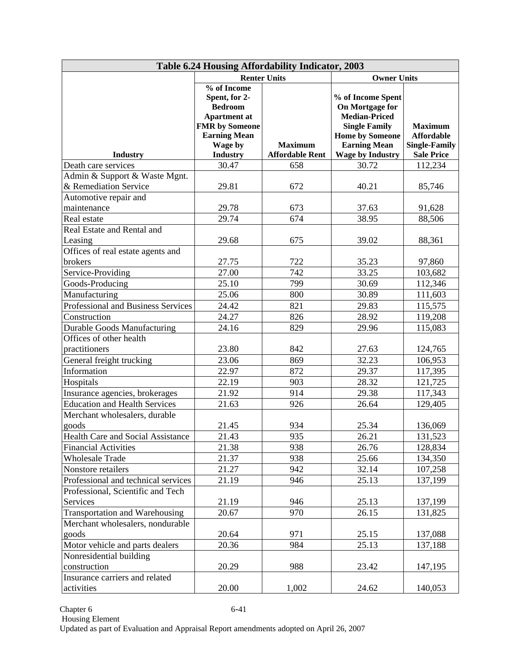| Table 6.24 Housing Affordability Indicator, 2003 |                                                                                                |                        |                                                                                      |                      |  |  |  |  |  |  |
|--------------------------------------------------|------------------------------------------------------------------------------------------------|------------------------|--------------------------------------------------------------------------------------|----------------------|--|--|--|--|--|--|
|                                                  |                                                                                                | <b>Renter Units</b>    | <b>Owner Units</b>                                                                   |                      |  |  |  |  |  |  |
|                                                  | % of Income<br>Spent, for 2-<br><b>Bedroom</b><br><b>Apartment</b> at<br><b>FMR</b> by Someone |                        | % of Income Spent<br>On Mortgage for<br><b>Median-Priced</b><br><b>Single Family</b> | <b>Maximum</b>       |  |  |  |  |  |  |
|                                                  | <b>Earning Mean</b>                                                                            |                        | <b>Home by Someone</b>                                                               | <b>Affordable</b>    |  |  |  |  |  |  |
|                                                  | Wage by                                                                                        | <b>Maximum</b>         | <b>Earning Mean</b>                                                                  | <b>Single-Family</b> |  |  |  |  |  |  |
| <b>Industry</b>                                  | <b>Industry</b>                                                                                | <b>Affordable Rent</b> | <b>Wage by Industry</b>                                                              | <b>Sale Price</b>    |  |  |  |  |  |  |
| Death care services                              | 30.47                                                                                          | 658                    | 30.72                                                                                | 112,234              |  |  |  |  |  |  |
| Admin & Support & Waste Mgnt.                    |                                                                                                |                        |                                                                                      |                      |  |  |  |  |  |  |
| & Remediation Service                            | 29.81                                                                                          | 672                    | 40.21                                                                                | 85,746               |  |  |  |  |  |  |
| Automotive repair and                            |                                                                                                |                        |                                                                                      |                      |  |  |  |  |  |  |
| maintenance                                      | 29.78                                                                                          | 673                    | 37.63                                                                                | 91,628               |  |  |  |  |  |  |
| Real estate                                      | 29.74                                                                                          | 674                    | 38.95                                                                                | 88,506               |  |  |  |  |  |  |
| Real Estate and Rental and                       |                                                                                                |                        |                                                                                      |                      |  |  |  |  |  |  |
| Leasing                                          | 29.68                                                                                          | 675                    | 39.02                                                                                | 88,361               |  |  |  |  |  |  |
| Offices of real estate agents and                |                                                                                                |                        |                                                                                      |                      |  |  |  |  |  |  |
| brokers                                          | 27.75                                                                                          | 722                    | 35.23                                                                                | 97,860               |  |  |  |  |  |  |
| Service-Providing                                | 27.00                                                                                          | 742                    | 33.25                                                                                | 103,682              |  |  |  |  |  |  |
| Goods-Producing                                  | 25.10                                                                                          | 799                    | 30.69                                                                                | 112,346              |  |  |  |  |  |  |
| Manufacturing                                    | 25.06                                                                                          | 800                    | 30.89                                                                                | 111,603              |  |  |  |  |  |  |
| Professional and Business Services               | 24.42                                                                                          | 821                    | 29.83                                                                                | 115,575              |  |  |  |  |  |  |
| Construction                                     | 24.27                                                                                          | 826                    | 28.92                                                                                | 119,208              |  |  |  |  |  |  |
| <b>Durable Goods Manufacturing</b>               | 24.16                                                                                          | 829                    | 29.96                                                                                | 115,083              |  |  |  |  |  |  |
| Offices of other health                          |                                                                                                |                        |                                                                                      |                      |  |  |  |  |  |  |
| practitioners                                    | 23.80                                                                                          | 842                    | 27.63                                                                                | 124,765              |  |  |  |  |  |  |
| General freight trucking                         | 23.06                                                                                          | 869                    | 32.23                                                                                | 106,953              |  |  |  |  |  |  |
| Information                                      | 22.97                                                                                          | 872                    | 29.37                                                                                | 117,395              |  |  |  |  |  |  |
| Hospitals                                        | 22.19                                                                                          | 903                    | 28.32                                                                                | 121,725              |  |  |  |  |  |  |
| Insurance agencies, brokerages                   | 21.92                                                                                          | 914                    | 29.38                                                                                | 117,343              |  |  |  |  |  |  |
| <b>Education and Health Services</b>             | 21.63                                                                                          | 926                    | 26.64                                                                                | 129,405              |  |  |  |  |  |  |
| Merchant wholesalers, durable                    |                                                                                                |                        |                                                                                      |                      |  |  |  |  |  |  |
| goods                                            | 21.45                                                                                          | 934                    | 25.34                                                                                | 136,069              |  |  |  |  |  |  |
| Health Care and Social Assistance                | 21.43                                                                                          | 935                    | 26.21                                                                                | 131,523              |  |  |  |  |  |  |
| <b>Financial Activities</b>                      | 21.38                                                                                          | 938                    | 26.76                                                                                | 128,834              |  |  |  |  |  |  |
| <b>Wholesale Trade</b>                           | 21.37                                                                                          | 938                    | 25.66                                                                                | 134,350              |  |  |  |  |  |  |
| Nonstore retailers                               | 21.27                                                                                          | 942                    | 32.14                                                                                | 107,258              |  |  |  |  |  |  |
| Professional and technical services              | 21.19                                                                                          | 946                    | 25.13                                                                                | 137,199              |  |  |  |  |  |  |
| Professional, Scientific and Tech                |                                                                                                |                        |                                                                                      |                      |  |  |  |  |  |  |
| Services                                         | 21.19                                                                                          | 946                    | 25.13                                                                                | 137,199              |  |  |  |  |  |  |
| <b>Transportation and Warehousing</b>            | 20.67                                                                                          | 970                    | 26.15                                                                                | 131,825              |  |  |  |  |  |  |
| Merchant wholesalers, nondurable                 |                                                                                                |                        |                                                                                      |                      |  |  |  |  |  |  |
| goods                                            | 20.64                                                                                          | 971                    | 25.15                                                                                | 137,088              |  |  |  |  |  |  |
| Motor vehicle and parts dealers                  | 20.36                                                                                          | 984                    | 25.13                                                                                | 137,188              |  |  |  |  |  |  |
| Nonresidential building                          |                                                                                                |                        |                                                                                      |                      |  |  |  |  |  |  |
| construction                                     | 20.29                                                                                          | 988                    | 23.42                                                                                | 147,195              |  |  |  |  |  |  |
| Insurance carriers and related                   |                                                                                                |                        |                                                                                      |                      |  |  |  |  |  |  |
| activities                                       | 20.00                                                                                          | 1,002                  | 24.62                                                                                | 140,053              |  |  |  |  |  |  |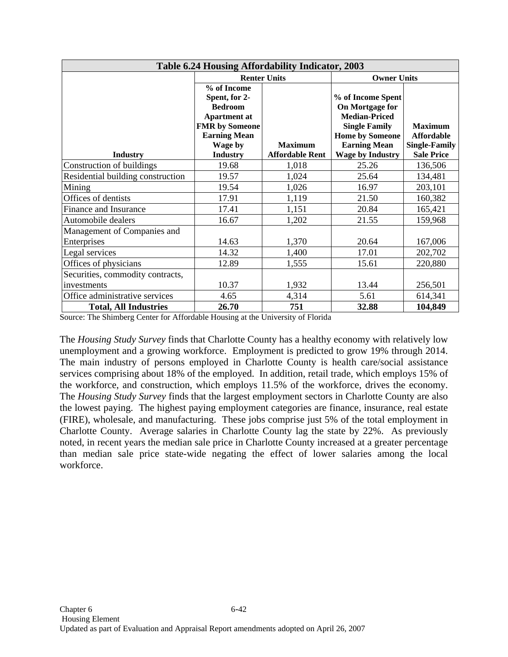| Table 6.24 Housing Affordability Indicator, 2003 |                                |                        |                                               |                                     |  |  |  |  |  |
|--------------------------------------------------|--------------------------------|------------------------|-----------------------------------------------|-------------------------------------|--|--|--|--|--|
|                                                  |                                | <b>Renter Units</b>    | <b>Owner Units</b>                            |                                     |  |  |  |  |  |
|                                                  | % of Income                    |                        |                                               |                                     |  |  |  |  |  |
|                                                  | Spent, for 2-                  |                        | % of Income Spent                             |                                     |  |  |  |  |  |
|                                                  | <b>Bedroom</b>                 |                        | On Mortgage for                               |                                     |  |  |  |  |  |
|                                                  | <b>Apartment at</b>            |                        | <b>Median-Priced</b>                          |                                     |  |  |  |  |  |
|                                                  | <b>FMR</b> by Someone          |                        | <b>Single Family</b>                          | <b>Maximum</b><br><b>Affordable</b> |  |  |  |  |  |
|                                                  | <b>Earning Mean</b><br>Wage by | <b>Maximum</b>         | <b>Home by Someone</b><br><b>Earning Mean</b> | <b>Single-Family</b>                |  |  |  |  |  |
| <b>Industry</b>                                  | <b>Industry</b>                | <b>Affordable Rent</b> | <b>Wage by Industry</b>                       | <b>Sale Price</b>                   |  |  |  |  |  |
| Construction of buildings                        | 19.68                          | 1,018                  | 25.26                                         | 136,506                             |  |  |  |  |  |
| Residential building construction                | 19.57                          | 1,024                  | 25.64                                         | 134,481                             |  |  |  |  |  |
| Mining                                           | 19.54                          | 1,026                  | 16.97                                         | 203,101                             |  |  |  |  |  |
| Offices of dentists                              | 17.91                          | 1,119                  | 21.50                                         | 160,382                             |  |  |  |  |  |
| Finance and Insurance                            | 17.41                          | 1,151                  | 20.84                                         | 165,421                             |  |  |  |  |  |
| Automobile dealers                               | 16.67                          | 1,202                  | 21.55                                         | 159,968                             |  |  |  |  |  |
| Management of Companies and                      |                                |                        |                                               |                                     |  |  |  |  |  |
| Enterprises                                      | 14.63                          | 1,370                  | 20.64                                         | 167,006                             |  |  |  |  |  |
| Legal services                                   | 14.32                          | 1,400                  | 17.01                                         | 202,702                             |  |  |  |  |  |
| Offices of physicians                            | 12.89                          | 1,555                  | 15.61                                         | 220,880                             |  |  |  |  |  |
| Securities, commodity contracts,                 |                                |                        |                                               |                                     |  |  |  |  |  |
| investments                                      | 10.37                          | 1,932                  | 13.44                                         | 256,501                             |  |  |  |  |  |
| Office administrative services                   | 4.65                           | 4,314                  | 5.61                                          | 614,341                             |  |  |  |  |  |
| <b>Total, All Industries</b>                     | 26.70                          | 751                    | 32.88                                         | 104,849                             |  |  |  |  |  |

Source: The Shimberg Center for Affordable Housing at the University of Florida

The *Housing Study Survey* finds that Charlotte County has a healthy economy with relatively low unemployment and a growing workforce. Employment is predicted to grow 19% through 2014. The main industry of persons employed in Charlotte County is health care/social assistance services comprising about 18% of the employed. In addition, retail trade, which employs 15% of the workforce, and construction, which employs 11.5% of the workforce, drives the economy. The *Housing Study Survey* finds that the largest employment sectors in Charlotte County are also the lowest paying. The highest paying employment categories are finance, insurance, real estate (FIRE), wholesale, and manufacturing. These jobs comprise just 5% of the total employment in Charlotte County. Average salaries in Charlotte County lag the state by 22%. As previously noted, in recent years the median sale price in Charlotte County increased at a greater percentage than median sale price state-wide negating the effect of lower salaries among the local workforce.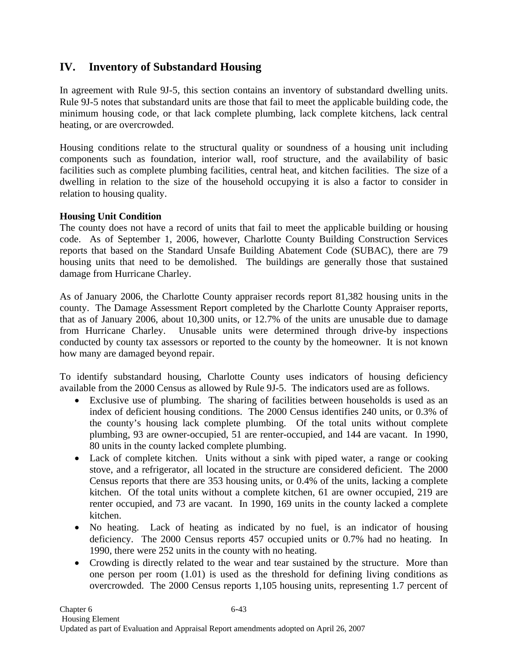## **IV. Inventory of Substandard Housing**

In agreement with Rule 9J-5, this section contains an inventory of substandard dwelling units. Rule 9J-5 notes that substandard units are those that fail to meet the applicable building code, the minimum housing code, or that lack complete plumbing, lack complete kitchens, lack central heating, or are overcrowded.

Housing conditions relate to the structural quality or soundness of a housing unit including components such as foundation, interior wall, roof structure, and the availability of basic facilities such as complete plumbing facilities, central heat, and kitchen facilities. The size of a dwelling in relation to the size of the household occupying it is also a factor to consider in relation to housing quality.

### **Housing Unit Condition**

The county does not have a record of units that fail to meet the applicable building or housing code. As of September 1, 2006, however, Charlotte County Building Construction Services reports that based on the Standard Unsafe Building Abatement Code (SUBAC), there are 79 housing units that need to be demolished. The buildings are generally those that sustained damage from Hurricane Charley.

As of January 2006, the Charlotte County appraiser records report 81,382 housing units in the county. The Damage Assessment Report completed by the Charlotte County Appraiser reports, that as of January 2006, about 10,300 units, or 12.7% of the units are unusable due to damage from Hurricane Charley. Unusable units were determined through drive-by inspections conducted by county tax assessors or reported to the county by the homeowner. It is not known how many are damaged beyond repair.

To identify substandard housing, Charlotte County uses indicators of housing deficiency available from the 2000 Census as allowed by Rule 9J-5. The indicators used are as follows.

- Exclusive use of plumbing. The sharing of facilities between households is used as an index of deficient housing conditions. The 2000 Census identifies 240 units, or 0.3% of the county's housing lack complete plumbing. Of the total units without complete plumbing, 93 are owner-occupied, 51 are renter-occupied, and 144 are vacant. In 1990, 80 units in the county lacked complete plumbing.
- Lack of complete kitchen. Units without a sink with piped water, a range or cooking stove, and a refrigerator, all located in the structure are considered deficient. The 2000 Census reports that there are 353 housing units, or 0.4% of the units, lacking a complete kitchen. Of the total units without a complete kitchen, 61 are owner occupied, 219 are renter occupied, and 73 are vacant. In 1990, 169 units in the county lacked a complete kitchen.
- No heating. Lack of heating as indicated by no fuel, is an indicator of housing deficiency. The 2000 Census reports 457 occupied units or 0.7% had no heating. In 1990, there were 252 units in the county with no heating.
- Crowding is directly related to the wear and tear sustained by the structure. More than one person per room (1.01) is used as the threshold for defining living conditions as overcrowded. The 2000 Census reports 1,105 housing units, representing 1.7 percent of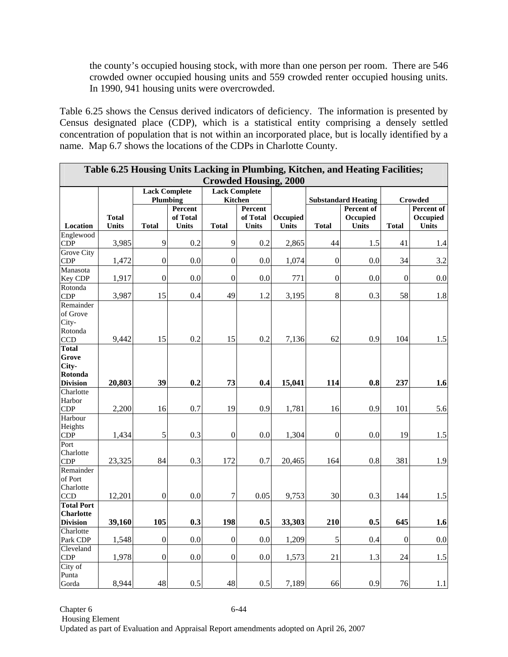the county's occupied housing stock, with more than one person per room. There are 546 crowded owner occupied housing units and 559 crowded renter occupied housing units. In 1990, 941 housing units were overcrowded.

Table 6.25 shows the Census derived indicators of deficiency. The information is presented by Census designated place (CDP), which is a statistical entity comprising a densely settled concentration of population that is not within an incorporated place, but is locally identified by a name. Map 6.7 shows the locations of the CDPs in Charlotte County.

| Table 6.25 Housing Units Lacking in Plumbing, Kitchen, and Heating Facilities; |              |                            |              |                      |              |          |                  |                                          |                  |                       |
|--------------------------------------------------------------------------------|--------------|----------------------------|--------------|----------------------|--------------|----------|------------------|------------------------------------------|------------------|-----------------------|
| <b>Crowded Housing, 2000</b>                                                   |              |                            |              |                      |              |          |                  |                                          |                  |                       |
|                                                                                |              | <b>Lack Complete</b>       |              | <b>Lack Complete</b> |              |          |                  |                                          |                  |                       |
|                                                                                |              | <b>Plumbing</b><br>Percent |              | Kitchen<br>Percent   |              |          |                  | <b>Substandard Heating</b><br>Percent of |                  | Crowded<br>Percent of |
|                                                                                | <b>Total</b> |                            | of Total     |                      | of Total     | Occupied |                  | Occupied                                 |                  | Occupied              |
| Location                                                                       | <b>Units</b> | <b>Total</b>               | <b>Units</b> | <b>Total</b>         | <b>Units</b> | Units    | <b>Total</b>     | <b>Units</b>                             | <b>Total</b>     | <b>Units</b>          |
| Englewood                                                                      |              |                            |              |                      |              |          |                  |                                          |                  |                       |
| <b>CDP</b><br><b>Grove City</b>                                                | 3,985        | 9                          | 0.2          | 9                    | 0.2          | 2,865    | 44               | 1.5                                      | 41               | 1.4                   |
| <b>CDP</b>                                                                     | 1,472        | $\overline{0}$             | 0.0          | $\overline{0}$       | 0.0          | 1,074    | $\mathbf{0}$     | 0.0                                      | 34               | 3.2                   |
| Manasota                                                                       |              |                            |              |                      |              |          |                  |                                          |                  |                       |
| Key CDP                                                                        | 1,917        | $\boldsymbol{0}$           | 0.0          | $\mathbf{0}$         | 0.0          | 771      | $\mathbf{0}$     | 0.0                                      | $\mathbf{0}$     | 0.0                   |
| Rotonda                                                                        |              |                            |              |                      |              |          |                  |                                          |                  |                       |
| <b>CDP</b><br>Remainder                                                        | 3,987        | 15                         | 0.4          | 49                   | 1.2          | 3,195    | $\,8\,$          | 0.3                                      | 58               | 1.8                   |
| of Grove                                                                       |              |                            |              |                      |              |          |                  |                                          |                  |                       |
| City-                                                                          |              |                            |              |                      |              |          |                  |                                          |                  |                       |
| Rotonda                                                                        |              |                            |              |                      |              |          |                  |                                          |                  |                       |
| CCD                                                                            | 9,442        | 15                         | 0.2          | 15                   | 0.2          | 7,136    | 62               | 0.9                                      | 104              | 1.5                   |
| <b>Total</b>                                                                   |              |                            |              |                      |              |          |                  |                                          |                  |                       |
| Grove<br>City-                                                                 |              |                            |              |                      |              |          |                  |                                          |                  |                       |
| Rotonda                                                                        |              |                            |              |                      |              |          |                  |                                          |                  |                       |
| <b>Division</b>                                                                | 20,803       | 39                         | 0.2          | 73                   | 0.4          | 15,041   | 114              | 0.8                                      | 237              | 1.6                   |
| Charlotte                                                                      |              |                            |              |                      |              |          |                  |                                          |                  |                       |
| Harbor                                                                         |              |                            |              |                      |              |          |                  |                                          |                  |                       |
| <b>CDP</b>                                                                     | 2,200        | 16                         | 0.7          | 19                   | 0.9          | 1,781    | 16               | 0.9                                      | 101              | 5.6                   |
| Harbour<br>Heights                                                             |              |                            |              |                      |              |          |                  |                                          |                  |                       |
| CDP                                                                            | 1,434        | 5                          | 0.3          | $\boldsymbol{0}$     | 0.0          | 1,304    | $\boldsymbol{0}$ | 0.0                                      | 19               | 1.5                   |
| Port                                                                           |              |                            |              |                      |              |          |                  |                                          |                  |                       |
| Charlotte                                                                      |              |                            |              |                      |              |          |                  |                                          |                  |                       |
| <b>CDP</b>                                                                     | 23,325       | 84                         | 0.3          | 172                  | 0.7          | 20,465   | 164              | 0.8                                      | 381              | 1.9                   |
| Remainder                                                                      |              |                            |              |                      |              |          |                  |                                          |                  |                       |
| of Port<br>Charlotte                                                           |              |                            |              |                      |              |          |                  |                                          |                  |                       |
| <b>CCD</b>                                                                     | 12,201       | $\boldsymbol{0}$           | 0.0          | $\boldsymbol{7}$     | 0.05         | 9,753    | 30               | 0.3                                      | 144              | $1.5\,$               |
| <b>Total Port</b>                                                              |              |                            |              |                      |              |          |                  |                                          |                  |                       |
| <b>Charlotte</b>                                                               |              |                            |              |                      |              |          |                  |                                          |                  |                       |
| <b>Division</b>                                                                | 39,160       | 105                        | 0.3          | 198                  | 0.5          | 33,303   | 210              | 0.5                                      | 645              | 1.6                   |
| Charlotte<br>Park CDP                                                          | 1,548        | $\boldsymbol{0}$           | 0.0          | $\boldsymbol{0}$     | 0.0          | 1,209    | 5                | 0.4                                      | $\boldsymbol{0}$ | 0.0                   |
| Cleveland                                                                      |              |                            |              |                      |              |          |                  |                                          |                  |                       |
| <b>CDP</b>                                                                     | 1,978        | $\boldsymbol{0}$           | 0.0          | $\boldsymbol{0}$     | 0.0          | 1,573    | 21               | 1.3                                      | 24               | 1.5                   |
| City of                                                                        |              |                            |              |                      |              |          |                  |                                          |                  |                       |
| Punta                                                                          |              |                            |              |                      |              |          |                  |                                          |                  |                       |
| Gorda                                                                          | 8,944        | 48                         | 0.5          | 48                   | 0.5          | 7,189    | 66               | 0.9                                      | 76               | 1.1                   |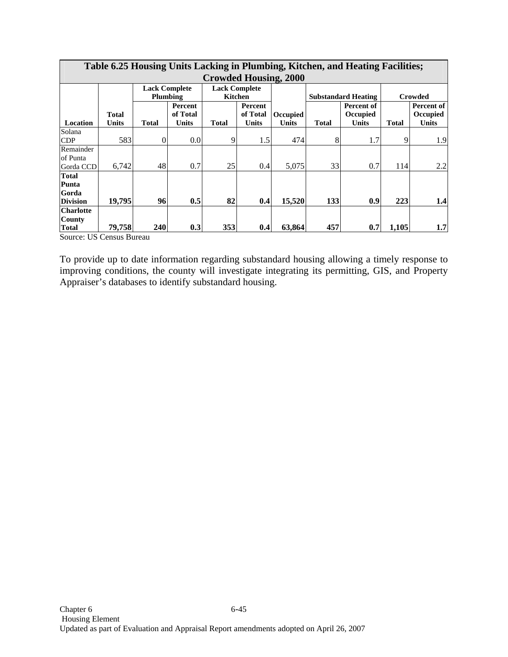|                  | Table 6.25 Housing Units Lacking in Plumbing, Kitchen, and Heating Facilities; |              |                      |                      |              |                 |              |                            |              |                |  |  |  |
|------------------|--------------------------------------------------------------------------------|--------------|----------------------|----------------------|--------------|-----------------|--------------|----------------------------|--------------|----------------|--|--|--|
|                  | <b>Crowded Housing, 2000</b>                                                   |              |                      |                      |              |                 |              |                            |              |                |  |  |  |
|                  |                                                                                |              | <b>Lack Complete</b> | <b>Lack Complete</b> |              |                 |              |                            |              |                |  |  |  |
|                  |                                                                                |              | Plumbing             | <b>Kitchen</b>       |              |                 |              | <b>Substandard Heating</b> |              | <b>Crowded</b> |  |  |  |
|                  |                                                                                |              | Percent              |                      | Percent      |                 |              | Percent of                 |              | Percent of     |  |  |  |
|                  | Total                                                                          |              | of Total             |                      | of Total     | <b>Occupied</b> |              | <b>Occupied</b>            |              | Occupied       |  |  |  |
| Location         | <b>Units</b>                                                                   | <b>Total</b> | <b>Units</b>         | <b>Total</b>         | <b>Units</b> | <b>Units</b>    | <b>Total</b> | <b>Units</b>               | <b>Total</b> | <b>Units</b>   |  |  |  |
| Solana           |                                                                                |              |                      |                      |              |                 |              |                            |              |                |  |  |  |
| CDP              | 583                                                                            | 0            | 0.0                  | 9                    | 1.5          | 474             | 8            | 1.7                        | 9            | 1.9            |  |  |  |
| Remainder        |                                                                                |              |                      |                      |              |                 |              |                            |              |                |  |  |  |
| of Punta         |                                                                                |              |                      |                      |              |                 |              |                            |              |                |  |  |  |
| Gorda CCD        | 6,742                                                                          | 48           | 0.7                  | 25                   | 0.4          | 5,075           | 33           | 0.7                        | 114          | 2.2            |  |  |  |
| <b>Total</b>     |                                                                                |              |                      |                      |              |                 |              |                            |              |                |  |  |  |
| Punta            |                                                                                |              |                      |                      |              |                 |              |                            |              |                |  |  |  |
| Gorda            |                                                                                |              |                      |                      |              |                 |              |                            |              |                |  |  |  |
| <b>Division</b>  | 19,795                                                                         | 96           | 0.5                  | 82                   | 0.4          | 15,520          | 133          | 0.9                        | 223          | 1.4            |  |  |  |
| <b>Charlotte</b> |                                                                                |              |                      |                      |              |                 |              |                            |              |                |  |  |  |
| <b>County</b>    |                                                                                |              |                      |                      |              |                 |              |                            |              |                |  |  |  |
| <b>Total</b>     | 79,758                                                                         | <b>240</b>   | 0.3                  | 353                  | 0.4          | 63.864          | 457          | 0.7                        | 1,105        | 1.7            |  |  |  |

# **Table 6.25 Housing Units Lacking in Plumbing, Kitchen, and Heating Facilities;**

Source: US Census Bureau

Г

To provide up to date information regarding substandard housing allowing a timely response to improving conditions, the county will investigate integrating its permitting, GIS, and Property Appraiser's databases to identify substandard housing.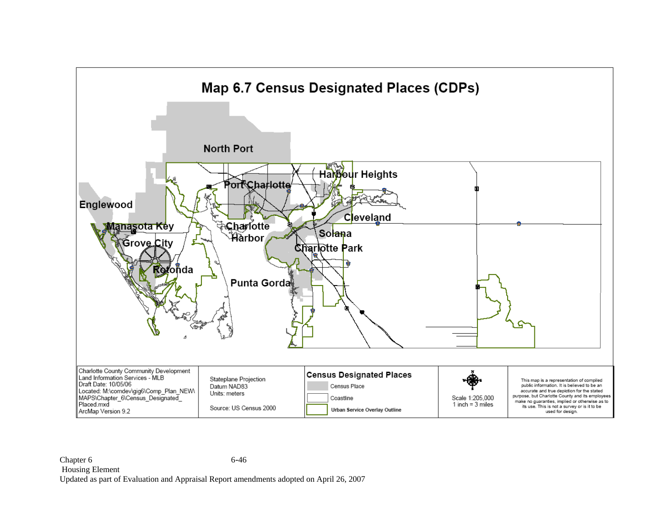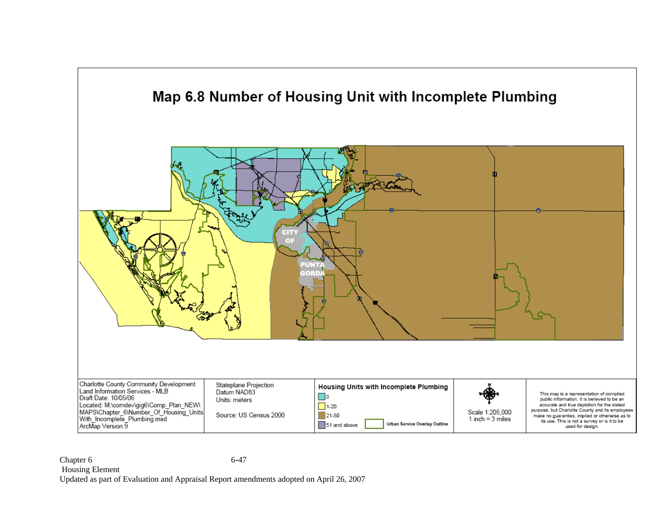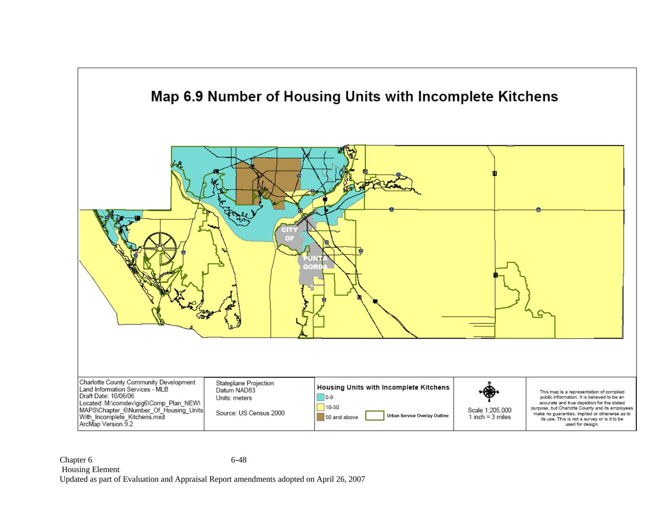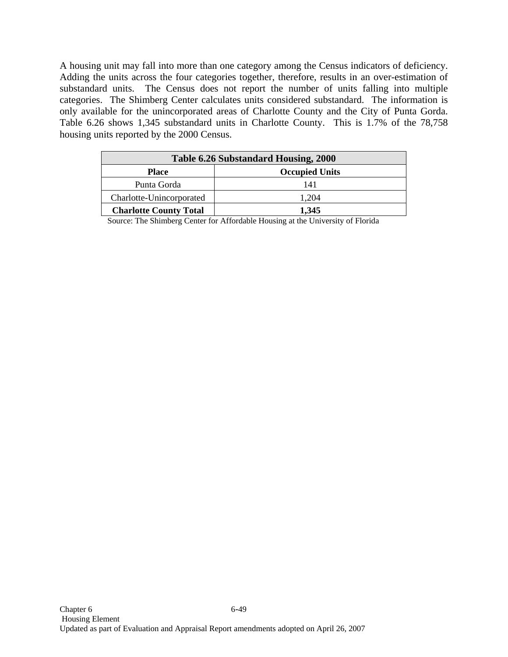A housing unit may fall into more than one category among the Census indicators of deficiency. Adding the units across the four categories together, therefore, results in an over-estimation of substandard units. The Census does not report the number of units falling into multiple categories. The Shimberg Center calculates units considered substandard. The information is only available for the unincorporated areas of Charlotte County and the City of Punta Gorda. Table 6.26 shows 1,345 substandard units in Charlotte County. This is 1.7% of the 78,758 housing units reported by the 2000 Census.

| Table 6.26 Substandard Housing, 2000  |       |  |  |  |  |  |
|---------------------------------------|-------|--|--|--|--|--|
| <b>Occupied Units</b><br><b>Place</b> |       |  |  |  |  |  |
| Punta Gorda                           | 141   |  |  |  |  |  |
| Charlotte-Unincorporated              | 1.204 |  |  |  |  |  |
| <b>Charlotte County Total</b>         | 1.345 |  |  |  |  |  |

Source: The Shimberg Center for Affordable Housing at the University of Florida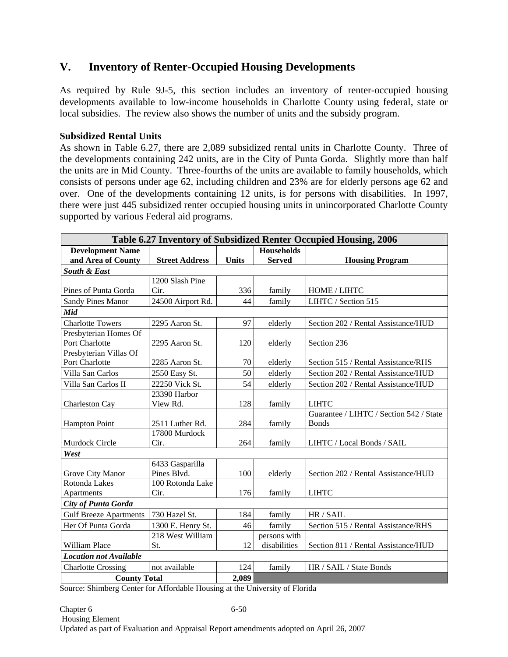# **V. Inventory of Renter-Occupied Housing Developments**

As required by Rule 9J-5, this section includes an inventory of renter-occupied housing developments available to low-income households in Charlotte County using federal, state or local subsidies. The review also shows the number of units and the subsidy program.

#### **Subsidized Rental Units**

As shown in Table 6.27, there are 2,089 subsidized rental units in Charlotte County. Three of the developments containing 242 units, are in the City of Punta Gorda. Slightly more than half the units are in Mid County. Three-fourths of the units are available to family households, which consists of persons under age 62, including children and 23% are for elderly persons age 62 and over. One of the developments containing 12 units, is for persons with disabilities. In 1997, there were just 445 subsidized renter occupied housing units in unincorporated Charlotte County supported by various Federal aid programs.

| Table 6.27 Inventory of Subsidized Renter Occupied Housing, 2006 |                       |              |                   |                                         |  |  |  |  |
|------------------------------------------------------------------|-----------------------|--------------|-------------------|-----------------------------------------|--|--|--|--|
| <b>Development Name</b>                                          |                       |              | <b>Households</b> |                                         |  |  |  |  |
| and Area of County                                               | <b>Street Address</b> | <b>Units</b> | <b>Served</b>     | <b>Housing Program</b>                  |  |  |  |  |
| <b>South &amp; East</b>                                          |                       |              |                   |                                         |  |  |  |  |
|                                                                  | 1200 Slash Pine       |              |                   |                                         |  |  |  |  |
| Pines of Punta Gorda                                             | Cir.                  | 336          | family            | HOME / LIHTC                            |  |  |  |  |
| <b>Sandy Pines Manor</b>                                         | 24500 Airport Rd.     | 44           | family            | LIHTC / Section 515                     |  |  |  |  |
| Mid                                                              |                       |              |                   |                                         |  |  |  |  |
| <b>Charlotte Towers</b>                                          | 2295 Aaron St.        | 97           | elderly           | Section 202 / Rental Assistance/HUD     |  |  |  |  |
| Presbyterian Homes Of                                            |                       |              |                   |                                         |  |  |  |  |
| Port Charlotte                                                   | 2295 Aaron St.        | 120          | elderly           | Section 236                             |  |  |  |  |
| Presbyterian Villas Of                                           |                       |              |                   |                                         |  |  |  |  |
| Port Charlotte                                                   | 2285 Aaron St.        | 70           | elderly           | Section 515 / Rental Assistance/RHS     |  |  |  |  |
| Villa San Carlos                                                 | 2550 Easy St.         | 50           | elderly           | Section 202 / Rental Assistance/HUD     |  |  |  |  |
| Villa San Carlos II                                              | 22250 Vick St.        | 54           | elderly           | Section 202 / Rental Assistance/HUD     |  |  |  |  |
|                                                                  | 23390 Harbor          |              |                   |                                         |  |  |  |  |
| Charleston Cay                                                   | View Rd.              | 128          | family            | <b>LIHTC</b>                            |  |  |  |  |
|                                                                  |                       |              |                   | Guarantee / LIHTC / Section 542 / State |  |  |  |  |
| <b>Hampton Point</b>                                             | 2511 Luther Rd.       | 284          | family            | <b>Bonds</b>                            |  |  |  |  |
|                                                                  | 17800 Murdock         |              |                   |                                         |  |  |  |  |
| Murdock Circle                                                   | Cir.                  | 264          | family            | LIHTC / Local Bonds / SAIL              |  |  |  |  |
| West                                                             |                       |              |                   |                                         |  |  |  |  |
|                                                                  | 6433 Gasparilla       |              |                   |                                         |  |  |  |  |
| Grove City Manor                                                 | Pines Blvd.           | 100          | elderly           | Section 202 / Rental Assistance/HUD     |  |  |  |  |
| Rotonda Lakes                                                    | 100 Rotonda Lake      |              |                   |                                         |  |  |  |  |
| Apartments                                                       | Cir.                  | 176          | family            | <b>LIHTC</b>                            |  |  |  |  |
| City of Punta Gorda                                              |                       |              |                   |                                         |  |  |  |  |
| <b>Gulf Breeze Apartments</b>                                    | 730 Hazel St.         | 184          | family            | HR / SAIL                               |  |  |  |  |
| Her Of Punta Gorda                                               | 1300 E. Henry St.     | 46           | family            | Section 515 / Rental Assistance/RHS     |  |  |  |  |
|                                                                  | 218 West William      |              | persons with      |                                         |  |  |  |  |
| William Place                                                    | St.                   | 12           | disabilities      | Section 811 / Rental Assistance/HUD     |  |  |  |  |
| <b>Location not Available</b>                                    |                       |              |                   |                                         |  |  |  |  |
| <b>Charlotte Crossing</b>                                        | not available         | 124          | family            | HR / SAIL / State Bonds                 |  |  |  |  |
| <b>County Total</b>                                              |                       | 2,089        |                   |                                         |  |  |  |  |

Source: Shimberg Center for Affordable Housing at the University of Florida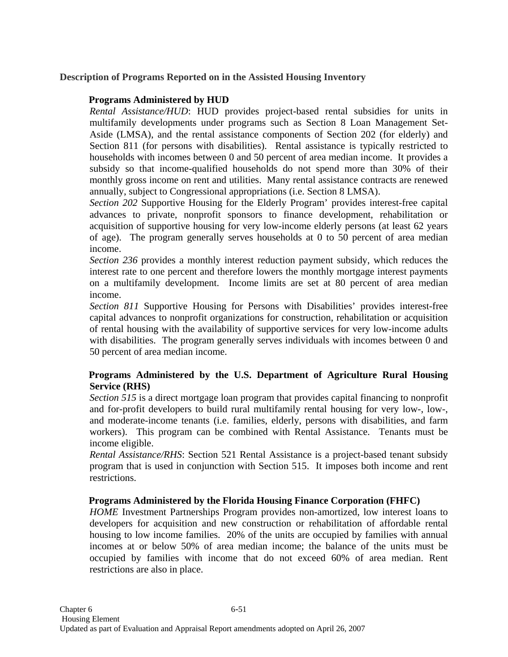## **Description of Programs Reported on in the Assisted Housing Inventory**

## **Programs Administered by HUD**

*Rental Assistance/HUD*: HUD provides project-based rental subsidies for units in multifamily developments under programs such as Section 8 Loan Management Set-Aside (LMSA), and the rental assistance components of Section 202 (for elderly) and Section 811 (for persons with disabilities). Rental assistance is typically restricted to households with incomes between 0 and 50 percent of area median income. It provides a subsidy so that income-qualified households do not spend more than 30% of their monthly gross income on rent and utilities. Many rental assistance contracts are renewed annually, subject to Congressional appropriations (i.e. Section 8 LMSA).

*Section 202* Supportive Housing for the Elderly Program' provides interest-free capital advances to private, nonprofit sponsors to finance development, rehabilitation or acquisition of supportive housing for very low-income elderly persons (at least 62 years of age). The program generally serves households at 0 to 50 percent of area median income.

*Section 236* provides a monthly interest reduction payment subsidy, which reduces the interest rate to one percent and therefore lowers the monthly mortgage interest payments on a multifamily development. Income limits are set at 80 percent of area median income.

*Section 811* Supportive Housing for Persons with Disabilities' provides interest-free capital advances to nonprofit organizations for construction, rehabilitation or acquisition of rental housing with the availability of supportive services for very low-income adults with disabilities. The program generally serves individuals with incomes between 0 and 50 percent of area median income.

## **Programs Administered by the U.S. Department of Agriculture Rural Housing Service (RHS)**

*Section 515* is a direct mortgage loan program that provides capital financing to nonprofit and for-profit developers to build rural multifamily rental housing for very low-, low-, and moderate-income tenants (i.e. families, elderly, persons with disabilities, and farm workers). This program can be combined with Rental Assistance. Tenants must be income eligible.

*Rental Assistance/RHS*: Section 521 Rental Assistance is a project-based tenant subsidy program that is used in conjunction with Section 515. It imposes both income and rent restrictions.

## **Programs Administered by the Florida Housing Finance Corporation (FHFC)**

*HOME* Investment Partnerships Program provides non-amortized, low interest loans to developers for acquisition and new construction or rehabilitation of affordable rental housing to low income families. 20% of the units are occupied by families with annual incomes at or below 50% of area median income; the balance of the units must be occupied by families with income that do not exceed 60% of area median. Rent restrictions are also in place.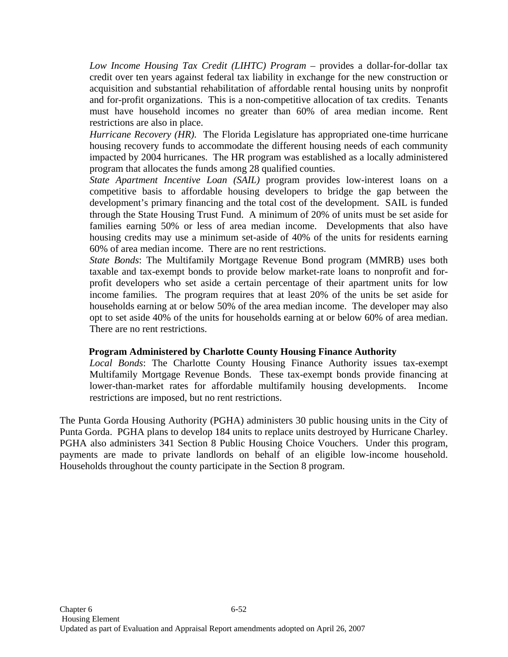*Low Income Housing Tax Credit (LIHTC) Program* – provides a dollar-for-dollar tax credit over ten years against federal tax liability in exchange for the new construction or acquisition and substantial rehabilitation of affordable rental housing units by nonprofit and for-profit organizations. This is a non-competitive allocation of tax credits. Tenants must have household incomes no greater than 60% of area median income. Rent restrictions are also in place.

*Hurricane Recovery (HR).* The Florida Legislature has appropriated one-time hurricane housing recovery funds to accommodate the different housing needs of each community impacted by 2004 hurricanes. The HR program was established as a locally administered program that allocates the funds among 28 qualified counties.

*State Apartment Incentive Loan (SAIL)* program provides low-interest loans on a competitive basis to affordable housing developers to bridge the gap between the development's primary financing and the total cost of the development. SAIL is funded through the State Housing Trust Fund. A minimum of 20% of units must be set aside for families earning 50% or less of area median income. Developments that also have housing credits may use a minimum set-aside of 40% of the units for residents earning 60% of area median income. There are no rent restrictions.

*State Bonds*: The Multifamily Mortgage Revenue Bond program (MMRB) uses both taxable and tax-exempt bonds to provide below market-rate loans to nonprofit and forprofit developers who set aside a certain percentage of their apartment units for low income families. The program requires that at least 20% of the units be set aside for households earning at or below 50% of the area median income. The developer may also opt to set aside 40% of the units for households earning at or below 60% of area median. There are no rent restrictions.

#### **Program Administered by Charlotte County Housing Finance Authority**

*Local Bonds*: The Charlotte County Housing Finance Authority issues tax-exempt Multifamily Mortgage Revenue Bonds. These tax-exempt bonds provide financing at lower-than-market rates for affordable multifamily housing developments. Income restrictions are imposed, but no rent restrictions.

The Punta Gorda Housing Authority (PGHA) administers 30 public housing units in the City of Punta Gorda. PGHA plans to develop 184 units to replace units destroyed by Hurricane Charley. PGHA also administers 341 Section 8 Public Housing Choice Vouchers. Under this program, payments are made to private landlords on behalf of an eligible low-income household. Households throughout the county participate in the Section 8 program.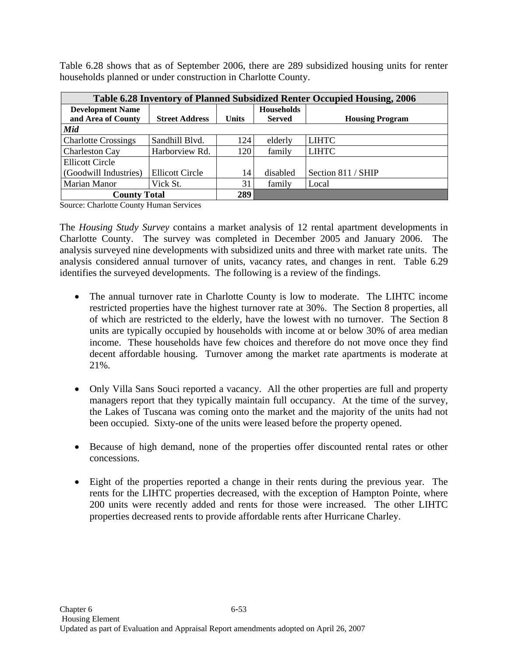Table 6.28 shows that as of September 2006, there are 289 subsidized housing units for renter households planned or under construction in Charlotte County.

| <b>Table 6.28 Inventory of Planned Subsidized Renter Occupied Housing, 2006</b> |                        |              |                   |                        |  |  |  |  |  |
|---------------------------------------------------------------------------------|------------------------|--------------|-------------------|------------------------|--|--|--|--|--|
| <b>Development Name</b>                                                         |                        |              | <b>Households</b> |                        |  |  |  |  |  |
| and Area of County                                                              | <b>Street Address</b>  | <b>Units</b> | <b>Served</b>     | <b>Housing Program</b> |  |  |  |  |  |
| Mid                                                                             |                        |              |                   |                        |  |  |  |  |  |
| <b>Charlotte Crossings</b>                                                      | Sandhill Blvd.         | 124          | elderly           | <b>LIHTC</b>           |  |  |  |  |  |
| <b>Charleston Cay</b>                                                           | Harborview Rd.         | 120          | family            | <b>LIHTC</b>           |  |  |  |  |  |
| <b>Ellicott Circle</b>                                                          |                        |              |                   |                        |  |  |  |  |  |
| (Goodwill Industries)                                                           | <b>Ellicott Circle</b> | 14           | disabled          | Section 811 / SHIP     |  |  |  |  |  |
| <b>Marian Manor</b>                                                             | Vick St.               | 31           | family            | Local                  |  |  |  |  |  |
| <b>County Total</b>                                                             | 289                    |              |                   |                        |  |  |  |  |  |

Source: Charlotte County Human Services

The *Housing Study Survey* contains a market analysis of 12 rental apartment developments in Charlotte County. The survey was completed in December 2005 and January 2006. The analysis surveyed nine developments with subsidized units and three with market rate units. The analysis considered annual turnover of units, vacancy rates, and changes in rent. Table 6.29 identifies the surveyed developments. The following is a review of the findings.

- The annual turnover rate in Charlotte County is low to moderate. The LIHTC income restricted properties have the highest turnover rate at 30%. The Section 8 properties, all of which are restricted to the elderly, have the lowest with no turnover. The Section 8 units are typically occupied by households with income at or below 30% of area median income. These households have few choices and therefore do not move once they find decent affordable housing. Turnover among the market rate apartments is moderate at 21%.
- Only Villa Sans Souci reported a vacancy. All the other properties are full and property managers report that they typically maintain full occupancy. At the time of the survey, the Lakes of Tuscana was coming onto the market and the majority of the units had not been occupied. Sixty-one of the units were leased before the property opened.
- Because of high demand, none of the properties offer discounted rental rates or other concessions.
- Eight of the properties reported a change in their rents during the previous year. The rents for the LIHTC properties decreased, with the exception of Hampton Pointe, where 200 units were recently added and rents for those were increased. The other LIHTC properties decreased rents to provide affordable rents after Hurricane Charley.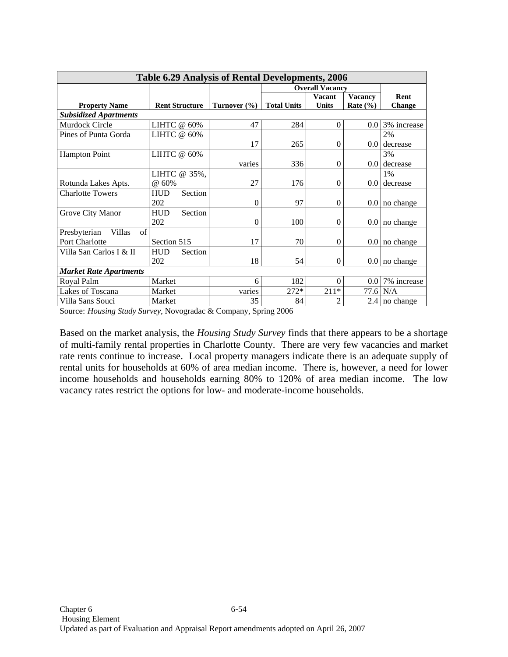| <b>Table 6.29 Analysis of Rental Developments, 2006</b> |                        |                  |                    |                |                |                 |  |  |  |
|---------------------------------------------------------|------------------------|------------------|--------------------|----------------|----------------|-----------------|--|--|--|
|                                                         | <b>Overall Vacancy</b> |                  |                    |                |                |                 |  |  |  |
|                                                         |                        |                  |                    | <b>Vacant</b>  | <b>Vacancy</b> | Rent            |  |  |  |
| <b>Property Name</b>                                    | <b>Rent Structure</b>  | Turnover $(\% )$ | <b>Total Units</b> | <b>Units</b>   | Rate $(\% )$   | <b>Change</b>   |  |  |  |
| <b>Subsidized Apartments</b>                            |                        |                  |                    |                |                |                 |  |  |  |
| Murdock Circle                                          | LIHTC @ 60%            | 47               | 284                | $\Omega$       | 0.0            | 3% increase     |  |  |  |
| Pines of Punta Gorda                                    | LIHTC @ 60%            |                  |                    |                |                | 2%              |  |  |  |
|                                                         |                        | 17               | 265                | $\theta$       |                | $0.0$ decrease  |  |  |  |
| <b>Hampton Point</b>                                    | LIHTC @ 60%            |                  |                    |                |                | 3%              |  |  |  |
|                                                         |                        | varies           | 336                | $\overline{0}$ |                | $0.0$ decrease  |  |  |  |
|                                                         | LIHTC @ 35%,           |                  |                    |                |                | 1%              |  |  |  |
| Rotunda Lakes Apts.                                     | @ 60%                  | 27               | 176                | $\Omega$       |                | $0.0$ decrease  |  |  |  |
| <b>Charlotte Towers</b>                                 | HUD<br>Section         |                  |                    |                |                |                 |  |  |  |
|                                                         | 202                    | $\overline{0}$   | 97                 | $\overline{0}$ |                | $0.0$ no change |  |  |  |
| Grove City Manor                                        | <b>HUD</b><br>Section  |                  |                    |                |                |                 |  |  |  |
|                                                         | 202                    | $\overline{0}$   | 100                | $\Omega$       |                | $0.0$ no change |  |  |  |
| of<br>Villas<br>Presbyterian                            |                        |                  |                    |                |                |                 |  |  |  |
| Port Charlotte                                          | Section 515            | 17               | 70                 | $\Omega$       |                | $0.0$ no change |  |  |  |
| Villa San Carlos I & II                                 | <b>HUD</b><br>Section  |                  |                    |                |                |                 |  |  |  |
|                                                         | 202                    | 18               | 54                 | $\Omega$       |                | $0.0$ no change |  |  |  |
| <b>Market Rate Apartments</b>                           |                        |                  |                    |                |                |                 |  |  |  |
| Royal Palm                                              | Market                 | 6                | 182                | $\Omega$       | $0.0\,$        | 7% increase     |  |  |  |
| Lakes of Toscana                                        | Market                 | varies           | $272*$             | $211*$         |                | 77.6 N/A        |  |  |  |
| Villa Sans Souci                                        | Market                 | 35               | 84                 | $\mathfrak{D}$ |                | 2.4 no change   |  |  |  |

Source: *Housing Study Survey*, Novogradac & Company, Spring 2006

Based on the market analysis, the *Housing Study Survey* finds that there appears to be a shortage of multi-family rental properties in Charlotte County. There are very few vacancies and market rate rents continue to increase. Local property managers indicate there is an adequate supply of rental units for households at 60% of area median income. There is, however, a need for lower income households and households earning 80% to 120% of area median income. The low vacancy rates restrict the options for low- and moderate-income households.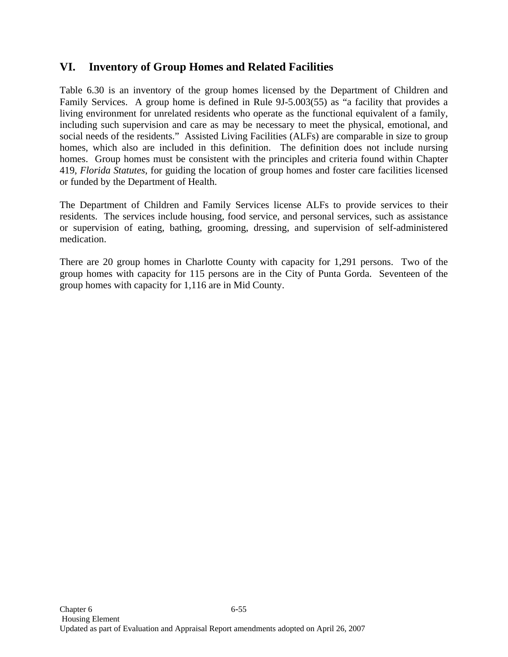# **VI. Inventory of Group Homes and Related Facilities**

Table 6.30 is an inventory of the group homes licensed by the Department of Children and Family Services. A group home is defined in Rule 9J-5.003(55) as "a facility that provides a living environment for unrelated residents who operate as the functional equivalent of a family, including such supervision and care as may be necessary to meet the physical, emotional, and social needs of the residents." Assisted Living Facilities (ALFs) are comparable in size to group homes, which also are included in this definition. The definition does not include nursing homes. Group homes must be consistent with the principles and criteria found within Chapter 419, *Florida Statutes*, for guiding the location of group homes and foster care facilities licensed or funded by the Department of Health.

The Department of Children and Family Services license ALFs to provide services to their residents. The services include housing, food service, and personal services, such as assistance or supervision of eating, bathing, grooming, dressing, and supervision of self-administered medication.

There are 20 group homes in Charlotte County with capacity for 1,291 persons. Two of the group homes with capacity for 115 persons are in the City of Punta Gorda. Seventeen of the group homes with capacity for 1,116 are in Mid County.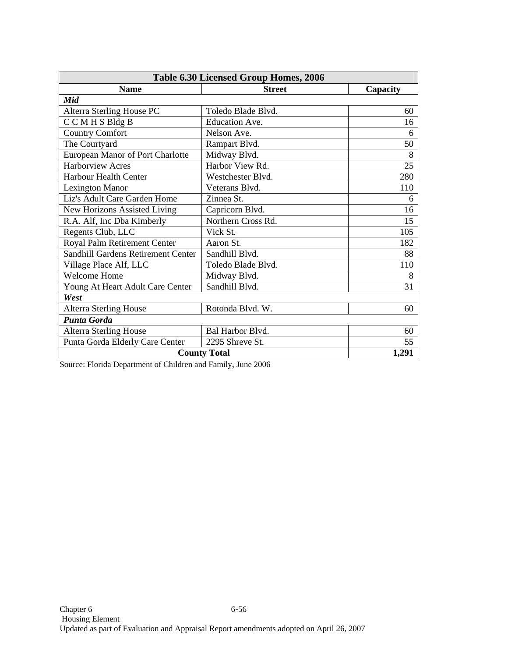| <b>Table 6.30 Licensed Group Homes, 2006</b> |                     |          |  |  |  |  |
|----------------------------------------------|---------------------|----------|--|--|--|--|
| <b>Name</b>                                  | <b>Street</b>       | Capacity |  |  |  |  |
| Mid                                          |                     |          |  |  |  |  |
| Alterra Sterling House PC                    | Toledo Blade Blvd.  | 60       |  |  |  |  |
| CCMHSBldgB                                   | Education Ave.      | 16       |  |  |  |  |
| <b>Country Comfort</b>                       | Nelson Ave.         | 6        |  |  |  |  |
| The Courtyard                                | Rampart Blvd.       | 50       |  |  |  |  |
| European Manor of Port Charlotte             | Midway Blvd.        | 8        |  |  |  |  |
| <b>Harborview Acres</b>                      | Harbor View Rd.     | 25       |  |  |  |  |
| Harbour Health Center                        | Westchester Blvd.   | 280      |  |  |  |  |
| <b>Lexington Manor</b>                       | Veterans Blvd.      | 110      |  |  |  |  |
| Liz's Adult Care Garden Home                 | Zinnea St.          | 6        |  |  |  |  |
| New Horizons Assisted Living                 | Capricorn Blvd.     | 16       |  |  |  |  |
| R.A. Alf, Inc Dba Kimberly                   | Northern Cross Rd.  | 15       |  |  |  |  |
| Regents Club, LLC                            | Vick St.            | 105      |  |  |  |  |
| Royal Palm Retirement Center                 | Aaron St.           | 182      |  |  |  |  |
| Sandhill Gardens Retirement Center           | Sandhill Blvd.      | 88       |  |  |  |  |
| Village Place Alf, LLC                       | Toledo Blade Blvd.  | 110      |  |  |  |  |
| <b>Welcome Home</b>                          | Midway Blvd.        | 8        |  |  |  |  |
| Young At Heart Adult Care Center             | Sandhill Blvd.      | 31       |  |  |  |  |
| West                                         |                     |          |  |  |  |  |
| <b>Alterra Sterling House</b>                | Rotonda Blvd. W.    | 60       |  |  |  |  |
| <b>Punta Gorda</b>                           |                     |          |  |  |  |  |
| <b>Alterra Sterling House</b>                | Bal Harbor Blvd.    | 60       |  |  |  |  |
| Punta Gorda Elderly Care Center              | 2295 Shreve St.     | 55       |  |  |  |  |
|                                              | <b>County Total</b> | 1,291    |  |  |  |  |

Source: Florida Department of Children and Family, June 2006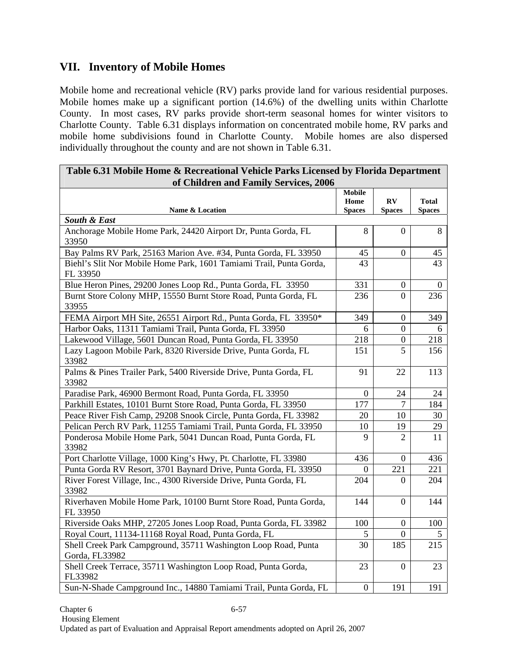# **VII. Inventory of Mobile Homes**

Mobile home and recreational vehicle (RV) parks provide land for various residential purposes. Mobile homes make up a significant portion (14.6%) of the dwelling units within Charlotte County. In most cases, RV parks provide short-term seasonal homes for winter visitors to Charlotte County. Table 6.31 displays information on concentrated mobile home, RV parks and mobile home subdivisions found in Charlotte County. Mobile homes are also dispersed individually throughout the county and are not shown in Table 6.31.

| Table 6.31 Mobile Home & Recreational Vehicle Parks Licensed by Florida Department |                                        |                     |                               |  |  |  |  |  |
|------------------------------------------------------------------------------------|----------------------------------------|---------------------|-------------------------------|--|--|--|--|--|
| of Children and Family Services, 2006<br>Name & Location                           | <b>Mobile</b><br>Home<br><b>Spaces</b> | RV<br><b>Spaces</b> | <b>Total</b><br><b>Spaces</b> |  |  |  |  |  |
| South & East                                                                       |                                        |                     |                               |  |  |  |  |  |
| Anchorage Mobile Home Park, 24420 Airport Dr, Punta Gorda, FL<br>33950             | 8                                      | $\Omega$            | 8                             |  |  |  |  |  |
| Bay Palms RV Park, 25163 Marion Ave. #34, Punta Gorda, FL 33950                    | 45                                     | $\boldsymbol{0}$    | 45                            |  |  |  |  |  |
| Biehl's Slit Nor Mobile Home Park, 1601 Tamiami Trail, Punta Gorda,<br>FL 33950    | 43                                     |                     | 43                            |  |  |  |  |  |
| Blue Heron Pines, 29200 Jones Loop Rd., Punta Gorda, FL 33950                      | 331                                    | $\boldsymbol{0}$    | $\Omega$                      |  |  |  |  |  |
| Burnt Store Colony MHP, 15550 Burnt Store Road, Punta Gorda, FL<br>33955           | 236                                    | 0                   | 236                           |  |  |  |  |  |
| FEMA Airport MH Site, 26551 Airport Rd., Punta Gorda, FL 33950*                    | 349                                    | $\boldsymbol{0}$    | 349                           |  |  |  |  |  |
| Harbor Oaks, 11311 Tamiami Trail, Punta Gorda, FL 33950                            | 6                                      | $\boldsymbol{0}$    | 6                             |  |  |  |  |  |
| Lakewood Village, 5601 Duncan Road, Punta Gorda, FL 33950                          | 218                                    | $\boldsymbol{0}$    | 218                           |  |  |  |  |  |
| Lazy Lagoon Mobile Park, 8320 Riverside Drive, Punta Gorda, FL<br>33982            | 151                                    | $\overline{5}$      | 156                           |  |  |  |  |  |
| Palms & Pines Trailer Park, 5400 Riverside Drive, Punta Gorda, FL<br>33982         | 91                                     | 22                  | 113                           |  |  |  |  |  |
| Paradise Park, 46900 Bermont Road, Punta Gorda, FL 33950                           | $\overline{0}$                         | 24                  | 24                            |  |  |  |  |  |
| Parkhill Estates, 10101 Burnt Store Road, Punta Gorda, FL 33950                    | 177                                    | $\overline{7}$      | 184                           |  |  |  |  |  |
| Peace River Fish Camp, 29208 Snook Circle, Punta Gorda, FL 33982                   | 20                                     | 10                  | 30                            |  |  |  |  |  |
| Pelican Perch RV Park, 11255 Tamiami Trail, Punta Gorda, FL 33950                  | 10                                     | 19                  | 29                            |  |  |  |  |  |
| Ponderosa Mobile Home Park, 5041 Duncan Road, Punta Gorda, FL<br>33982             | $\mathbf Q$                            | 2                   | 11                            |  |  |  |  |  |
| Port Charlotte Village, 1000 King's Hwy, Pt. Charlotte, FL 33980                   | 436                                    | $\overline{0}$      | 436                           |  |  |  |  |  |
| Punta Gorda RV Resort, 3701 Baynard Drive, Punta Gorda, FL 33950                   | $\overline{0}$                         | 221                 | 221                           |  |  |  |  |  |
| River Forest Village, Inc., 4300 Riverside Drive, Punta Gorda, FL<br>33982         | 204                                    | 0                   | 204                           |  |  |  |  |  |
| Riverhaven Mobile Home Park, 10100 Burnt Store Road, Punta Gorda,<br>FL 33950      | 144                                    | 0                   | 144                           |  |  |  |  |  |
| Riverside Oaks MHP, 27205 Jones Loop Road, Punta Gorda, FL 33982                   | 100                                    | $\boldsymbol{0}$    | 100                           |  |  |  |  |  |
| Royal Court, 11134-11168 Royal Road, Punta Gorda, FL                               | 5                                      | $\boldsymbol{0}$    | 5                             |  |  |  |  |  |
| Shell Creek Park Campground, 35711 Washington Loop Road, Punta<br>Gorda, FL33982   | 30                                     | 185                 | 215                           |  |  |  |  |  |
| Shell Creek Terrace, 35711 Washington Loop Road, Punta Gorda,<br>FL33982           | 23                                     | $\overline{0}$      | 23                            |  |  |  |  |  |
| Sun-N-Shade Campground Inc., 14880 Tamiami Trail, Punta Gorda, FL                  | $\overline{0}$                         | 191                 | 191                           |  |  |  |  |  |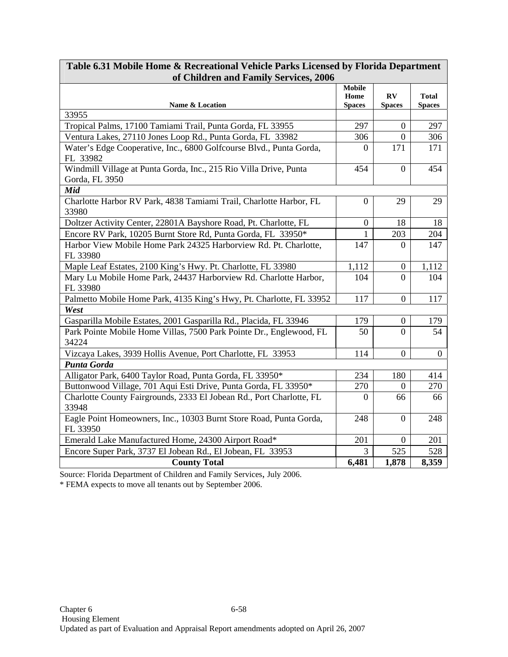| of Children and Family Services, 2006                                               |                                        |                                          |                               |  |  |  |  |  |  |
|-------------------------------------------------------------------------------------|----------------------------------------|------------------------------------------|-------------------------------|--|--|--|--|--|--|
| Name & Location                                                                     | <b>Mobile</b><br>Home<br><b>Spaces</b> | $\mathbf{R} \mathbf{V}$<br><b>Spaces</b> | <b>Total</b><br><b>Spaces</b> |  |  |  |  |  |  |
| 33955                                                                               |                                        |                                          |                               |  |  |  |  |  |  |
| Tropical Palms, 17100 Tamiami Trail, Punta Gorda, FL 33955                          | 297                                    | $\theta$                                 | 297                           |  |  |  |  |  |  |
| Ventura Lakes, 27110 Jones Loop Rd., Punta Gorda, FL 33982                          | 306                                    | $\theta$                                 | 306                           |  |  |  |  |  |  |
| Water's Edge Cooperative, Inc., 6800 Golfcourse Blvd., Punta Gorda,<br>FL 33982     | 0                                      | 171                                      | 171                           |  |  |  |  |  |  |
| Windmill Village at Punta Gorda, Inc., 215 Rio Villa Drive, Punta<br>Gorda, FL 3950 | 454                                    | $\theta$                                 | 454                           |  |  |  |  |  |  |
| Mid                                                                                 |                                        |                                          |                               |  |  |  |  |  |  |
| Charlotte Harbor RV Park, 4838 Tamiami Trail, Charlotte Harbor, FL<br>33980         | $\theta$                               | 29                                       | 29                            |  |  |  |  |  |  |
| Doltzer Activity Center, 22801A Bayshore Road, Pt. Charlotte, FL                    | $\overline{0}$                         | 18                                       | 18                            |  |  |  |  |  |  |
| Encore RV Park, 10205 Burnt Store Rd, Punta Gorda, FL 33950*                        |                                        | 203                                      | 204                           |  |  |  |  |  |  |
| Harbor View Mobile Home Park 24325 Harborview Rd. Pt. Charlotte,<br>FL 33980        | 147                                    | $\Omega$                                 | 147                           |  |  |  |  |  |  |
| Maple Leaf Estates, 2100 King's Hwy. Pt. Charlotte, FL 33980                        | 1,112                                  | $\boldsymbol{0}$                         | 1,112                         |  |  |  |  |  |  |
| Mary Lu Mobile Home Park, 24437 Harborview Rd. Charlotte Harbor,<br>FL 33980        | 104                                    | $\Omega$                                 | 104                           |  |  |  |  |  |  |
| Palmetto Mobile Home Park, 4135 King's Hwy, Pt. Charlotte, FL 33952                 | 117                                    | $\overline{0}$                           | 117                           |  |  |  |  |  |  |
| West                                                                                |                                        |                                          |                               |  |  |  |  |  |  |
| Gasparilla Mobile Estates, 2001 Gasparilla Rd., Placida, FL 33946                   | 179                                    | $\overline{0}$                           | 179                           |  |  |  |  |  |  |
| Park Pointe Mobile Home Villas, 7500 Park Pointe Dr., Englewood, FL<br>34224        | 50                                     | $\Omega$                                 | 54                            |  |  |  |  |  |  |
| Vizcaya Lakes, 3939 Hollis Avenue, Port Charlotte, FL 33953                         | 114                                    | $\overline{0}$                           | $\boldsymbol{0}$              |  |  |  |  |  |  |
| <b>Punta Gorda</b>                                                                  |                                        |                                          |                               |  |  |  |  |  |  |
| Alligator Park, 6400 Taylor Road, Punta Gorda, FL 33950*                            | 234                                    | 180                                      | 414                           |  |  |  |  |  |  |
| Buttonwood Village, 701 Aqui Esti Drive, Punta Gorda, FL 33950*                     | 270                                    | 0                                        | 270                           |  |  |  |  |  |  |
| Charlotte County Fairgrounds, 2333 El Jobean Rd., Port Charlotte, FL<br>33948       | $\Omega$                               | 66                                       | 66                            |  |  |  |  |  |  |
| Eagle Point Homeowners, Inc., 10303 Burnt Store Road, Punta Gorda,<br>FL 33950      | 248                                    | $\Omega$                                 | 248                           |  |  |  |  |  |  |
| Emerald Lake Manufactured Home, 24300 Airport Road*                                 | 201                                    | $\boldsymbol{0}$                         | 201                           |  |  |  |  |  |  |
| Encore Super Park, 3737 El Jobean Rd., El Jobean, FL 33953                          | $\overline{3}$                         | 525                                      | 528                           |  |  |  |  |  |  |
| <b>County Total</b>                                                                 | 6,481                                  | 1,878                                    | 8,359                         |  |  |  |  |  |  |

## **Table 6.31 Mobile Home & Recreational Vehicle Parks Licensed by Florida Department of Children and Family Services, 2006**

Source: Florida Department of Children and Family Services, July 2006.

\* FEMA expects to move all tenants out by September 2006.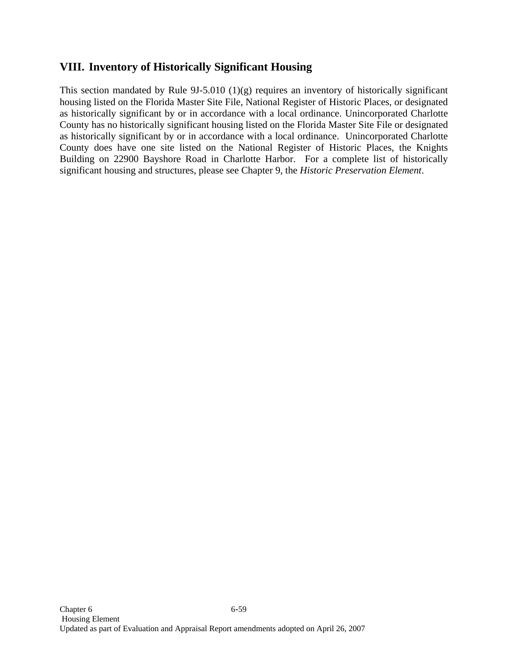# **VIII. Inventory of Historically Significant Housing**

This section mandated by Rule 9J-5.010 (1)(g) requires an inventory of historically significant housing listed on the Florida Master Site File, National Register of Historic Places, or designated as historically significant by or in accordance with a local ordinance. Unincorporated Charlotte County has no historically significant housing listed on the Florida Master Site File or designated as historically significant by or in accordance with a local ordinance. Unincorporated Charlotte County does have one site listed on the National Register of Historic Places, the Knights Building on 22900 Bayshore Road in Charlotte Harbor. For a complete list of historically significant housing and structures, please see Chapter 9, the *Historic Preservation Element*.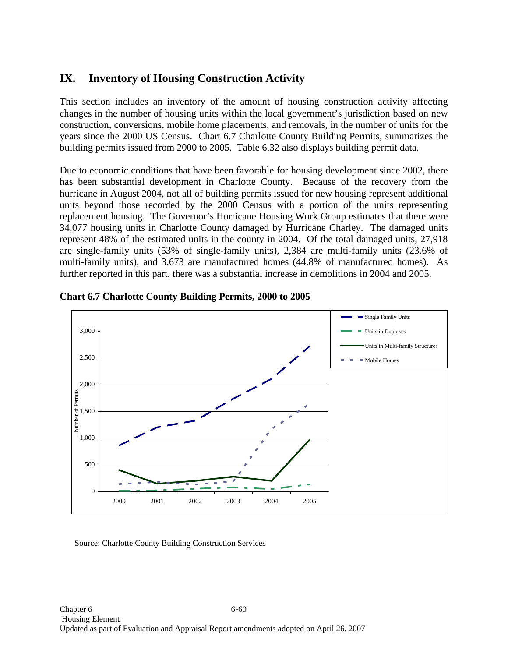# **IX. Inventory of Housing Construction Activity**

This section includes an inventory of the amount of housing construction activity affecting changes in the number of housing units within the local government's jurisdiction based on new construction, conversions, mobile home placements, and removals, in the number of units for the years since the 2000 US Census. Chart 6.7 Charlotte County Building Permits, summarizes the building permits issued from 2000 to 2005. Table 6.32 also displays building permit data.

Due to economic conditions that have been favorable for housing development since 2002, there has been substantial development in Charlotte County. Because of the recovery from the hurricane in August 2004, not all of building permits issued for new housing represent additional units beyond those recorded by the 2000 Census with a portion of the units representing replacement housing. The Governor's Hurricane Housing Work Group estimates that there were 34,077 housing units in Charlotte County damaged by Hurricane Charley. The damaged units represent 48% of the estimated units in the county in 2004. Of the total damaged units, 27,918 are single-family units (53% of single-family units), 2,384 are multi-family units (23.6% of multi-family units), and 3,673 are manufactured homes (44.8% of manufactured homes). As further reported in this part, there was a substantial increase in demolitions in 2004 and 2005.





Source: Charlotte County Building Construction Services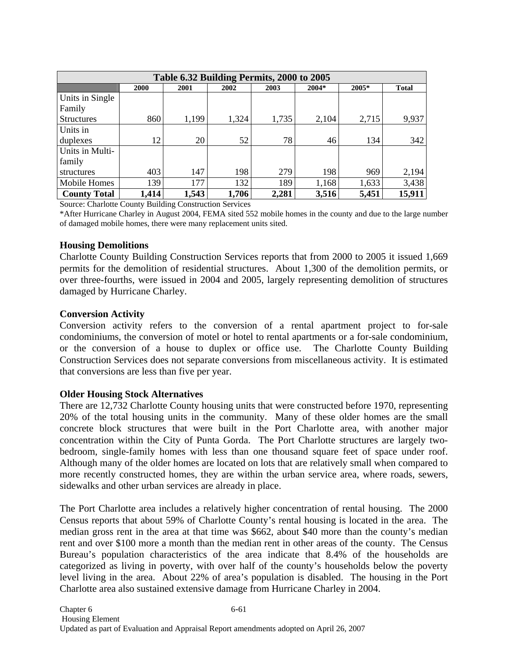| Table 6.32 Building Permits, 2000 to 2005 |                                                                    |       |       |       |       |       |        |  |  |  |
|-------------------------------------------|--------------------------------------------------------------------|-------|-------|-------|-------|-------|--------|--|--|--|
|                                           | $2005*$<br>2000<br>$2004*$<br>2001<br>2002<br><b>Total</b><br>2003 |       |       |       |       |       |        |  |  |  |
| Units in Single                           |                                                                    |       |       |       |       |       |        |  |  |  |
| Family                                    |                                                                    |       |       |       |       |       |        |  |  |  |
| <b>Structures</b>                         | 860                                                                | 1,199 | 1,324 | 1,735 | 2,104 | 2,715 | 9,937  |  |  |  |
| Units in                                  |                                                                    |       |       |       |       |       |        |  |  |  |
| duplexes                                  | 12                                                                 | 20    | 52    | 78    | 46    | 134   | 342    |  |  |  |
| Units in Multi-                           |                                                                    |       |       |       |       |       |        |  |  |  |
| family                                    |                                                                    |       |       |       |       |       |        |  |  |  |
| structures                                | 403                                                                | 147   | 198   | 279   | 198   | 969   | 2,194  |  |  |  |
| <b>Mobile Homes</b>                       | 139                                                                | 177   | 132   | 189   | 1,168 | 1,633 | 3,438  |  |  |  |
| <b>County Total</b>                       | 1,414                                                              | 1,543 | 1,706 | 2,281 | 3,516 | 5,451 | 15,911 |  |  |  |

Source: Charlotte County Building Construction Services

\*After Hurricane Charley in August 2004, FEMA sited 552 mobile homes in the county and due to the large number of damaged mobile homes, there were many replacement units sited.

#### **Housing Demolitions**

Charlotte County Building Construction Services reports that from 2000 to 2005 it issued 1,669 permits for the demolition of residential structures. About 1,300 of the demolition permits, or over three-fourths, were issued in 2004 and 2005, largely representing demolition of structures damaged by Hurricane Charley.

#### **Conversion Activity**

Conversion activity refers to the conversion of a rental apartment project to for-sale condominiums, the conversion of motel or hotel to rental apartments or a for-sale condominium, or the conversion of a house to duplex or office use. The Charlotte County Building Construction Services does not separate conversions from miscellaneous activity. It is estimated that conversions are less than five per year.

#### **Older Housing Stock Alternatives**

There are 12,732 Charlotte County housing units that were constructed before 1970, representing 20% of the total housing units in the community. Many of these older homes are the small concrete block structures that were built in the Port Charlotte area, with another major concentration within the City of Punta Gorda. The Port Charlotte structures are largely twobedroom, single-family homes with less than one thousand square feet of space under roof. Although many of the older homes are located on lots that are relatively small when compared to more recently constructed homes, they are within the urban service area, where roads, sewers, sidewalks and other urban services are already in place.

The Port Charlotte area includes a relatively higher concentration of rental housing. The 2000 Census reports that about 59% of Charlotte County's rental housing is located in the area. The median gross rent in the area at that time was \$662, about \$40 more than the county's median rent and over \$100 more a month than the median rent in other areas of the county. The Census Bureau's population characteristics of the area indicate that 8.4% of the households are categorized as living in poverty, with over half of the county's households below the poverty level living in the area. About 22% of area's population is disabled. The housing in the Port Charlotte area also sustained extensive damage from Hurricane Charley in 2004.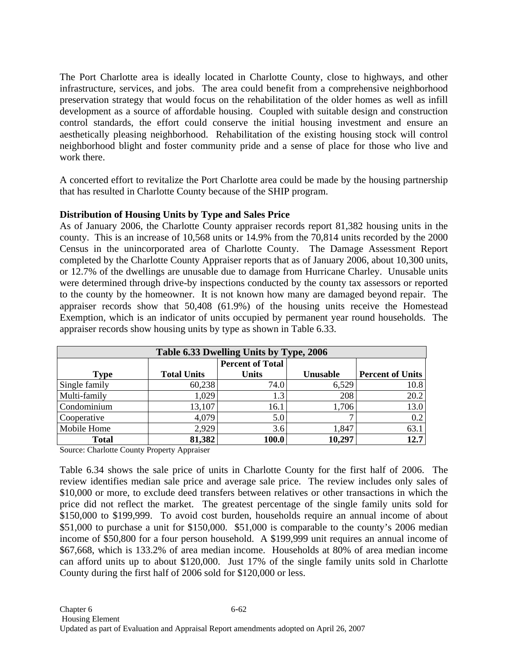The Port Charlotte area is ideally located in Charlotte County, close to highways, and other infrastructure, services, and jobs. The area could benefit from a comprehensive neighborhood preservation strategy that would focus on the rehabilitation of the older homes as well as infill development as a source of affordable housing. Coupled with suitable design and construction control standards, the effort could conserve the initial housing investment and ensure an aesthetically pleasing neighborhood. Rehabilitation of the existing housing stock will control neighborhood blight and foster community pride and a sense of place for those who live and work there.

A concerted effort to revitalize the Port Charlotte area could be made by the housing partnership that has resulted in Charlotte County because of the SHIP program.

### **Distribution of Housing Units by Type and Sales Price**

As of January 2006, the Charlotte County appraiser records report 81,382 housing units in the county. This is an increase of 10,568 units or 14.9% from the 70,814 units recorded by the 2000 Census in the unincorporated area of Charlotte County. The Damage Assessment Report completed by the Charlotte County Appraiser reports that as of January 2006, about 10,300 units, or 12.7% of the dwellings are unusable due to damage from Hurricane Charley. Unusable units were determined through drive-by inspections conducted by the county tax assessors or reported to the county by the homeowner. It is not known how many are damaged beyond repair. The appraiser records show that 50,408 (61.9%) of the housing units receive the Homestead Exemption, which is an indicator of units occupied by permanent year round households. The appraiser records show housing units by type as shown in Table 6.33.

| Table 6.33 Dwelling Units by Type, 2006 |                         |       |          |                         |  |  |  |  |  |  |
|-----------------------------------------|-------------------------|-------|----------|-------------------------|--|--|--|--|--|--|
|                                         | <b>Percent of Total</b> |       |          |                         |  |  |  |  |  |  |
| <b>Type</b>                             | <b>Total Units</b>      | Units | Unusable | <b>Percent of Units</b> |  |  |  |  |  |  |
| Single family                           | 60,238                  | 74.0  | 6,529    | 10.8                    |  |  |  |  |  |  |
| Multi-family                            | 1,029                   | 1.3   | 208      | 20.2                    |  |  |  |  |  |  |
| Condominium                             | 13,107                  | 16.1  | 1,706    | 13.0                    |  |  |  |  |  |  |
| Cooperative                             | 4,079                   | 5.0   |          | 0.2                     |  |  |  |  |  |  |
| <b>Mobile Home</b>                      | 2,929                   | 3.6   | 1,847    | 63.1                    |  |  |  |  |  |  |
| <b>Total</b>                            | 81,382                  | 100.0 | 10,297   | 12.7                    |  |  |  |  |  |  |

Source: Charlotte County Property Appraiser

Table 6.34 shows the sale price of units in Charlotte County for the first half of 2006. The review identifies median sale price and average sale price. The review includes only sales of \$10,000 or more, to exclude deed transfers between relatives or other transactions in which the price did not reflect the market. The greatest percentage of the single family units sold for \$150,000 to \$199,999. To avoid cost burden, households require an annual income of about \$51,000 to purchase a unit for \$150,000. \$51,000 is comparable to the county's 2006 median income of \$50,800 for a four person household. A \$199,999 unit requires an annual income of \$67,668, which is 133.2% of area median income. Households at 80% of area median income can afford units up to about \$120,000. Just 17% of the single family units sold in Charlotte County during the first half of 2006 sold for \$120,000 or less.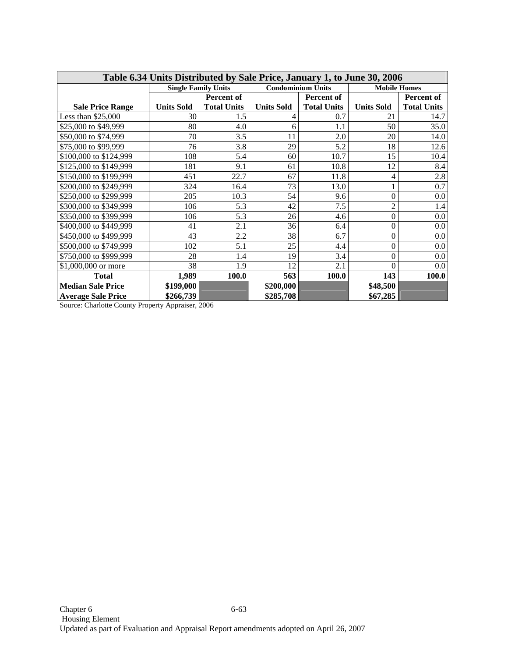| Table 6.34 Units Distributed by Sale Price, January 1, to June 30, 2006 |                            |                    |                          |                    |                     |                    |  |  |  |
|-------------------------------------------------------------------------|----------------------------|--------------------|--------------------------|--------------------|---------------------|--------------------|--|--|--|
|                                                                         | <b>Single Family Units</b> |                    | <b>Condominium Units</b> |                    | <b>Mobile Homes</b> |                    |  |  |  |
|                                                                         |                            | Percent of         | Percent of               |                    |                     | <b>Percent of</b>  |  |  |  |
| <b>Sale Price Range</b>                                                 | <b>Units Sold</b>          | <b>Total Units</b> | <b>Units Sold</b>        | <b>Total Units</b> | <b>Units Sold</b>   | <b>Total Units</b> |  |  |  |
| Less than $$25,000$                                                     | 30                         | 1.5                | 4                        | 0.7                | 21                  | 14.7               |  |  |  |
| \$25,000 to \$49,999                                                    | 80                         | 4.0                | 6                        | 1.1                | 50                  | 35.0               |  |  |  |
| \$50,000 to \$74,999                                                    | 70                         | 3.5                | 11                       | 2.0                | 20                  | 14.0               |  |  |  |
| \$75,000 to \$99,999                                                    | 76                         | 3.8                | 29                       | 5.2                | 18                  | 12.6               |  |  |  |
| \$100,000 to \$124,999                                                  | 108                        | 5.4                | 60                       | 10.7               | 15                  | 10.4               |  |  |  |
| \$125,000 to \$149,999                                                  | 181                        | 9.1                | 61                       | 10.8               | 12                  | 8.4                |  |  |  |
| \$150,000 to \$199,999                                                  | 451                        | 22.7               | 67                       | 11.8               | 4                   | 2.8                |  |  |  |
| \$200,000 to \$249,999                                                  | 324                        | 16.4               | 73                       | 13.0               | 1                   | 0.7                |  |  |  |
| \$250,000 to \$299,999                                                  | 205                        | 10.3               | 54                       | 9.6                | 0                   | 0.0                |  |  |  |
| \$300,000 to \$349,999                                                  | 106                        | 5.3                | 42                       | 7.5                | $\overline{c}$      | 1.4                |  |  |  |
| \$350,000 to \$399,999                                                  | 106                        | 5.3                | 26                       | 4.6                | 0                   | 0.0                |  |  |  |
| \$400,000 to \$449,999                                                  | 41                         | 2.1                | 36                       | 6.4                | 0                   | 0.0                |  |  |  |
| \$450,000 to \$499,999                                                  | 43                         | 2.2                | 38                       | 6.7                | $\boldsymbol{0}$    | $0.0\,$            |  |  |  |
| \$500,000 to \$749,999                                                  | 102                        | 5.1                | 25                       | 4.4                | 0                   | $0.0\,$            |  |  |  |
| \$750,000 to \$999,999                                                  | 28                         | 1.4                | 19                       | 3.4                | $\boldsymbol{0}$    | $0.0\,$            |  |  |  |
| \$1,000,000 or more                                                     | 38                         | 1.9                | 12                       | 2.1                | 0                   | $0.0\,$            |  |  |  |
| <b>Total</b>                                                            | 1,989                      | 100.0              | 563                      | 100.0              | 143                 | 100.0              |  |  |  |
| <b>Median Sale Price</b>                                                | \$199,000                  |                    | \$200,000                |                    | \$48,500            |                    |  |  |  |
| <b>Average Sale Price</b>                                               | \$266,739                  |                    | \$285,708                |                    | \$67,285            |                    |  |  |  |

Source: Charlotte County Property Appraiser, 2006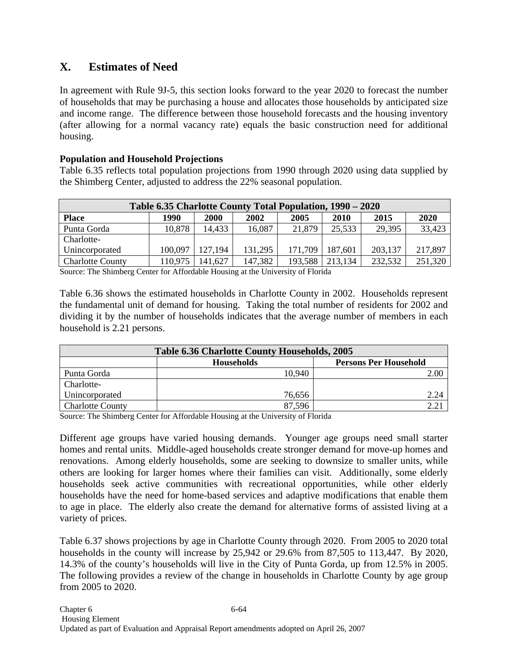# **X. Estimates of Need**

In agreement with Rule 9J-5, this section looks forward to the year 2020 to forecast the number of households that may be purchasing a house and allocates those households by anticipated size and income range. The difference between those household forecasts and the housing inventory (after allowing for a normal vacancy rate) equals the basic construction need for additional housing.

## **Population and Household Projections**

Table 6.35 reflects total population projections from 1990 through 2020 using data supplied by the Shimberg Center, adjusted to address the 22% seasonal population.

| Table 6.35 Charlotte County Total Population, 1990 – 2020 |                     |         |              |         |              |         |         |  |  |
|-----------------------------------------------------------|---------------------|---------|--------------|---------|--------------|---------|---------|--|--|
| <b>Place</b>                                              | 1990<br><b>2000</b> |         | 2002<br>2005 |         | 2010<br>2015 |         | 2020    |  |  |
| Punta Gorda                                               | 10,878              | 14,433  | 16,087       | 21,879  | 25,533       | 29,395  | 33,423  |  |  |
| Charlotte-                                                |                     |         |              |         |              |         |         |  |  |
| Unincorporated                                            | 100,097             | 127,194 | 131,295      | 171,709 | 187,601      | 203,137 | 217,897 |  |  |
| <b>Charlotte County</b>                                   | 110,975             | 141,627 | 147,382      | 193,588 | 213,134      | 232,532 | 251,320 |  |  |

Source: The Shimberg Center for Affordable Housing at the University of Florida

Table 6.36 shows the estimated households in Charlotte County in 2002. Households represent the fundamental unit of demand for housing. Taking the total number of residents for 2002 and dividing it by the number of households indicates that the average number of members in each household is 2.21 persons.

| <b>Table 6.36 Charlotte County Households, 2005</b> |                   |                              |  |  |  |  |  |  |
|-----------------------------------------------------|-------------------|------------------------------|--|--|--|--|--|--|
|                                                     | <b>Households</b> | <b>Persons Per Household</b> |  |  |  |  |  |  |
| Punta Gorda                                         | 10,940            | 2.00                         |  |  |  |  |  |  |
| Charlotte-                                          |                   |                              |  |  |  |  |  |  |
| Unincorporated                                      | 76,656            | 2.24                         |  |  |  |  |  |  |
| <b>Charlotte County</b>                             | 87,596            |                              |  |  |  |  |  |  |

Source: The Shimberg Center for Affordable Housing at the University of Florida

Different age groups have varied housing demands. Younger age groups need small starter homes and rental units. Middle-aged households create stronger demand for move-up homes and renovations. Among elderly households, some are seeking to downsize to smaller units, while others are looking for larger homes where their families can visit. Additionally, some elderly households seek active communities with recreational opportunities, while other elderly households have the need for home-based services and adaptive modifications that enable them to age in place. The elderly also create the demand for alternative forms of assisted living at a variety of prices.

Table 6.37 shows projections by age in Charlotte County through 2020. From 2005 to 2020 total households in the county will increase by 25,942 or 29.6% from 87,505 to 113,447. By 2020, 14.3% of the county's households will live in the City of Punta Gorda, up from 12.5% in 2005. The following provides a review of the change in households in Charlotte County by age group from 2005 to 2020.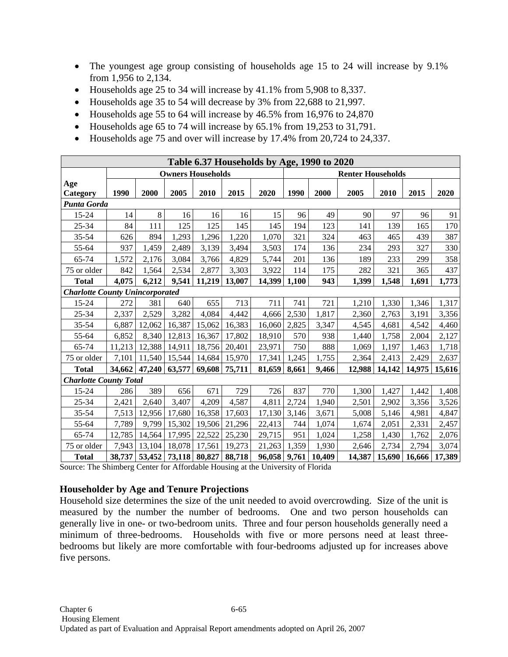- The youngest age group consisting of households age 15 to 24 will increase by 9.1% from 1,956 to 2,134.
- Households age 25 to 34 will increase by 41.1% from 5,908 to 8,337.
- Households age 35 to 54 will decrease by 3% from 22,688 to 21,997.
- Households age 55 to 64 will increase by 46.5% from 16,976 to 24,870
- Households age 65 to 74 will increase by 65.1% from 19,253 to 31,791.
- Households age 75 and over will increase by 17.4% from 20,724 to 24,337.

| Table 6.37 Households by Age, 1990 to 2020 |                                        |        |                      |        |        |        |       |                          |        |        |        |        |  |  |
|--------------------------------------------|----------------------------------------|--------|----------------------|--------|--------|--------|-------|--------------------------|--------|--------|--------|--------|--|--|
|                                            | <b>Owners Households</b>               |        |                      |        |        |        |       | <b>Renter Households</b> |        |        |        |        |  |  |
| Age<br>Category                            | 1990                                   | 2000   | 2005                 | 2010   | 2015   | 2020   | 1990  | 2000                     | 2005   | 2010   | 2015   | 2020   |  |  |
| Punta Gorda                                |                                        |        |                      |        |        |        |       |                          |        |        |        |        |  |  |
| 15-24                                      | 14                                     | 8      | 16                   | 16     | 16     | 15     | 96    | 49                       | 90     | 97     | 96     | 91     |  |  |
| $25 - 34$                                  | 84                                     | 111    | 125                  | 125    | 145    | 145    | 194   | 123                      | 141    | 139    | 165    | 170    |  |  |
| 35-54                                      | 626                                    | 894    | 1,293                | 1,296  | 1,220  | 1,070  | 321   | 324                      | 463    | 465    | 439    | 387    |  |  |
| 55-64                                      | 937                                    | 1,459  | 2,489                | 3,139  | 3,494  | 3,503  | 174   | 136                      | 234    | 293    | 327    | 330    |  |  |
| 65-74                                      | 1,572                                  | 2,176  | 3,084                | 3,766  | 4,829  | 5,744  | 201   | 136                      | 189    | 233    | 299    | 358    |  |  |
| 75 or older                                | 842                                    | 1,564  | 2,534                | 2,877  | 3,303  | 3,922  | 114   | 175                      | 282    | 321    | 365    | 437    |  |  |
| <b>Total</b>                               | 4,075                                  | 6,212  | 9,541                | 11,219 | 13,007 | 14,399 | 1,100 | 943                      | 1,399  | 1,548  | 1,691  | 1,773  |  |  |
|                                            | <b>Charlotte County Unincorporated</b> |        |                      |        |        |        |       |                          |        |        |        |        |  |  |
| 15-24                                      | 272                                    | 381    | 640                  | 655    | 713    | 711    | 741   | 721                      | 1,210  | 1,330  | 1,346  | 1,317  |  |  |
| 25-34                                      | 2,337                                  | 2,529  | 3,282                | 4,084  | 4,442  | 4,666  | 2,530 | 1,817                    | 2,360  | 2,763  | 3,191  | 3,356  |  |  |
| $35 - 54$                                  | 6,887                                  | 12,062 | 16,387               | 15,062 | 16,383 | 16,060 | 2,825 | 3,347                    | 4,545  | 4,681  | 4,542  | 4,460  |  |  |
| 55-64                                      | 6,852                                  | 8,340  | 12,813               | 16,367 | 17,802 | 18,910 | 570   | 938                      | 1,440  | 1,758  | 2,004  | 2,127  |  |  |
| 65-74                                      | 11,213                                 | 12,388 | 14,911               | 18,756 | 20,401 | 23,971 | 750   | 888                      | 1,069  | 1,197  | 1,463  | 1,718  |  |  |
| 75 or older                                | 7,101                                  | 11,540 | 15,544               | 14,684 | 15,970 | 17,341 | 1,245 | 1,755                    | 2,364  | 2,413  | 2,429  | 2,637  |  |  |
| <b>Total</b>                               | 34,662                                 | 47,240 | 63,577               | 69,608 | 75,711 | 81,659 | 8,661 | 9,466                    | 12,988 | 14,142 | 14,975 | 15,616 |  |  |
| <b>Charlotte County Total</b>              |                                        |        |                      |        |        |        |       |                          |        |        |        |        |  |  |
| 15-24                                      | 286                                    | 389    | 656                  | 671    | 729    | 726    | 837   | 770                      | 1,300  | 1,427  | 1,442  | 1,408  |  |  |
| $25 - 34$                                  | 2,421                                  | 2,640  | 3,407                | 4,209  | 4,587  | 4,811  | 2,724 | 1,940                    | 2,501  | 2,902  | 3,356  | 3,526  |  |  |
| $35 - 54$                                  | 7,513                                  | 12,956 | 17,680               | 16,358 | 17,603 | 17,130 | 3,146 | 3,671                    | 5,008  | 5,146  | 4,981  | 4,847  |  |  |
| 55-64                                      | 7,789                                  | 9,799  | 15,302               | 19,506 | 21,296 | 22,413 | 744   | 1,074                    | 1,674  | 2,051  | 2,331  | 2,457  |  |  |
| 65-74                                      | 12,785                                 | 14,564 | 17,995               | 22,522 | 25,230 | 29,715 | 951   | 1,024                    | 1,258  | 1,430  | 1,762  | 2,076  |  |  |
| 75 or older                                | 7,943                                  | 13,104 | 18,078               | 17,561 | 19,273 | 21,263 | 1,359 | 1,930                    | 2,646  | 2,734  | 2,794  | 3,074  |  |  |
| <b>Total</b>                               | 38,737                                 |        | 53,452 73,118 80,827 |        | 88,718 | 96,058 | 9,761 | 10,409                   | 14,387 | 15,690 | 16,666 | 17,389 |  |  |

Source: The Shimberg Center for Affordable Housing at the University of Florida

## **Householder by Age and Tenure Projections**

Household size determines the size of the unit needed to avoid overcrowding. Size of the unit is measured by the number the number of bedrooms. One and two person households can generally live in one- or two-bedroom units. Three and four person households generally need a minimum of three-bedrooms. Households with five or more persons need at least threebedrooms but likely are more comfortable with four-bedrooms adjusted up for increases above five persons.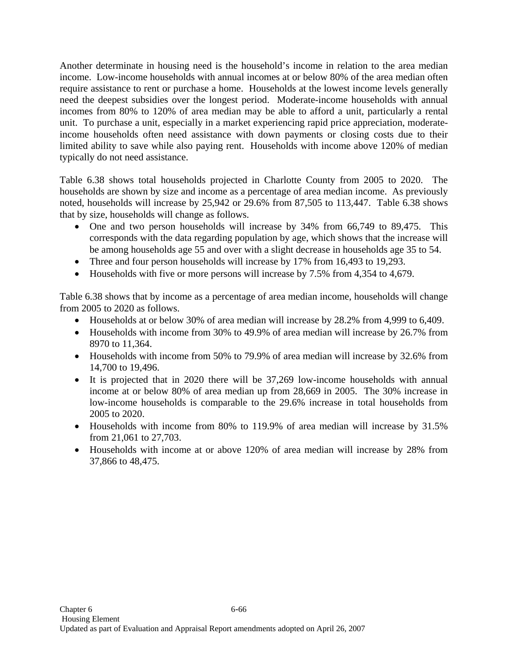Another determinate in housing need is the household's income in relation to the area median income. Low-income households with annual incomes at or below 80% of the area median often require assistance to rent or purchase a home. Households at the lowest income levels generally need the deepest subsidies over the longest period. Moderate-income households with annual incomes from 80% to 120% of area median may be able to afford a unit, particularly a rental unit. To purchase a unit, especially in a market experiencing rapid price appreciation, moderateincome households often need assistance with down payments or closing costs due to their limited ability to save while also paying rent. Households with income above 120% of median typically do not need assistance.

Table 6.38 shows total households projected in Charlotte County from 2005 to 2020. The households are shown by size and income as a percentage of area median income. As previously noted, households will increase by 25,942 or 29.6% from 87,505 to 113,447. Table 6.38 shows that by size, households will change as follows.

- One and two person households will increase by 34% from 66,749 to 89,475. This corresponds with the data regarding population by age, which shows that the increase will be among households age 55 and over with a slight decrease in households age 35 to 54.
- Three and four person households will increase by 17% from 16,493 to 19,293.
- Households with five or more persons will increase by 7.5% from 4,354 to 4,679.

Table 6.38 shows that by income as a percentage of area median income, households will change from 2005 to 2020 as follows.

- Households at or below 30% of area median will increase by 28.2% from 4,999 to 6,409.
- Households with income from 30% to 49.9% of area median will increase by 26.7% from 8970 to 11,364.
- Households with income from 50% to 79.9% of area median will increase by 32.6% from 14,700 to 19,496.
- It is projected that in 2020 there will be 37,269 low-income households with annual income at or below 80% of area median up from 28,669 in 2005. The 30% increase in low-income households is comparable to the 29.6% increase in total households from 2005 to 2020.
- Households with income from 80% to 119.9% of area median will increase by 31.5% from 21,061 to 27,703.
- Households with income at or above 120% of area median will increase by 28% from 37,866 to 48,475.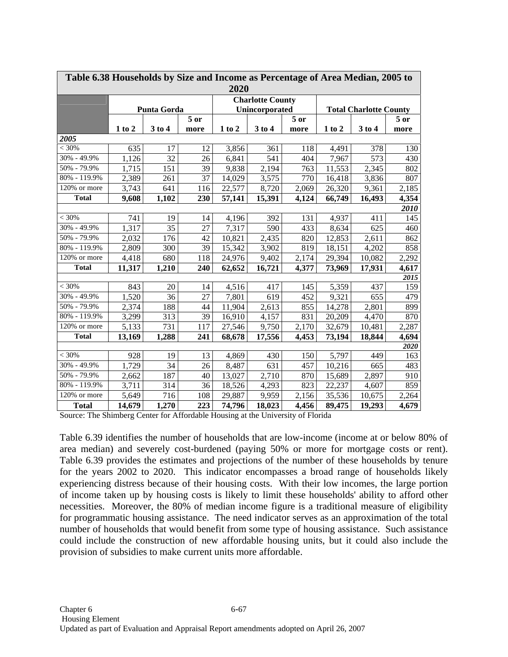|                            | Table 6.38 Households by Size and Income as Percentage of Area Median, 2005 to |                    |      |        |                         |        |                               |        |        |  |  |  |
|----------------------------|--------------------------------------------------------------------------------|--------------------|------|--------|-------------------------|--------|-------------------------------|--------|--------|--|--|--|
|                            | 2020                                                                           |                    |      |        |                         |        |                               |        |        |  |  |  |
|                            |                                                                                |                    |      |        | <b>Charlotte County</b> |        |                               |        |        |  |  |  |
|                            |                                                                                | <b>Punta Gorda</b> |      |        | Unincorporated          |        | <b>Total Charlotte County</b> |        |        |  |  |  |
|                            |                                                                                |                    | 5 or |        |                         | $5$ or |                               |        | $5$ or |  |  |  |
|                            | $1$ to $2$                                                                     | 3 to 4             | more | 1 to 2 | 3 to 4                  | more   | $1$ to $2$                    | 3 to 4 | more   |  |  |  |
| 2005                       |                                                                                |                    |      |        |                         |        |                               |        |        |  |  |  |
| < 30%                      | 635                                                                            | 17                 | 12   | 3,856  | 361                     | 118    | 4,491                         | 378    | 130    |  |  |  |
| 30% - 49.9%                | 1,126                                                                          | 32                 | 26   | 6,841  | 541                     | 404    | 7,967                         | 573    | 430    |  |  |  |
| 50% - 79.9%                | 1,715                                                                          | 151                | 39   | 9,838  | 2,194                   | 763    | 11,553                        | 2,345  | 802    |  |  |  |
| 80% - 119.9%               | 2,389                                                                          | 261                | 37   | 14,029 | 3,575                   | 770    | 16,418                        | 3,836  | 807    |  |  |  |
| $120%$ or more             | 3,743                                                                          | 641                | 116  | 22,577 | 8,720                   | 2,069  | 26,320                        | 9,361  | 2,185  |  |  |  |
| <b>Total</b>               | 9,608                                                                          | 1,102              | 230  | 57,141 | 15,391                  | 4,124  | 66,749                        | 16,493 | 4,354  |  |  |  |
|                            |                                                                                |                    |      |        |                         |        |                               |        | 2010   |  |  |  |
| < 30%                      | 741                                                                            | 19                 | 14   | 4,196  | 392                     | 131    | 4,937                         | 411    | 145    |  |  |  |
| 30% - 49.9%                | 1,317                                                                          | 35                 | 27   | 7,317  | 590                     | 433    | 8,634                         | 625    | 460    |  |  |  |
| 50% - 79.9%                | 2,032                                                                          | 176                | 42   | 10,821 | 2,435                   | 820    | 12,853                        | 2,611  | 862    |  |  |  |
| 80% - 119.9%               | 2,809                                                                          | 300                | 39   | 15,342 | 3,902                   | 819    | 18,151                        | 4,202  | 858    |  |  |  |
| 120% or more               | 4,418                                                                          | 680                | 118  | 24,976 | 9,402                   | 2,174  | 29,394                        | 10,082 | 2,292  |  |  |  |
| <b>Total</b>               | 11,317                                                                         | 1,210              | 240  | 62,652 | 16,721                  | 4,377  | 73,969                        | 17,931 | 4,617  |  |  |  |
|                            |                                                                                |                    |      |        |                         |        |                               |        | 2015   |  |  |  |
| < 30%                      | 843                                                                            | 20                 | 14   | 4,516  | 417                     | 145    | 5,359                         | 437    | 159    |  |  |  |
| 30% - 49.9%                | 1,520                                                                          | 36                 | 27   | 7,801  | 619                     | 452    | 9,321                         | 655    | 479    |  |  |  |
| 50% - 79.9%                | 2,374                                                                          | 188                | 44   | 11,904 | 2,613                   | 855    | 14,278                        | 2,801  | 899    |  |  |  |
| 80% - 119.9%               | 3,299                                                                          | 313                | 39   | 16,910 | 4,157                   | 831    | 20,209                        | 4,470  | 870    |  |  |  |
| $\overline{120}$ % or more | 5,133                                                                          | 731                | 117  | 27,546 | 9,750                   | 2,170  | 32,679                        | 10,481 | 2,287  |  |  |  |
| <b>Total</b>               | 13,169                                                                         | 1,288              | 241  | 68,678 | 17,556                  | 4,453  | 73,194                        | 18,844 | 4,694  |  |  |  |
|                            |                                                                                |                    |      |        |                         |        |                               |        | 2020   |  |  |  |
| < 30%                      | 928                                                                            | 19                 | 13   | 4,869  | 430                     | 150    | 5,797                         | 449    | 163    |  |  |  |
| 30% - 49.9%                | 1,729                                                                          | $\overline{34}$    | 26   | 8,487  | 631                     | 457    | 10,216                        | 665    | 483    |  |  |  |
| 50% - 79.9%                | 2,662                                                                          | 187                | 40   | 13,027 | 2,710                   | 870    | 15,689                        | 2,897  | 910    |  |  |  |
| 80% - 119.9%               | 3,711                                                                          | 314                | 36   | 18,526 | 4,293                   | 823    | 22,237                        | 4,607  | 859    |  |  |  |
| 120% or more               | 5,649                                                                          | 716                | 108  | 29,887 | 9,959                   | 2,156  | 35,536                        | 10,675 | 2,264  |  |  |  |
| <b>Total</b>               | 14,679                                                                         | 1,270              | 223  | 74,796 | 18,023                  | 4,456  | 89,475                        | 19,293 | 4,679  |  |  |  |

Source: The Shimberg Center for Affordable Housing at the University of Florida

Table 6.39 identifies the number of households that are low-income (income at or below 80% of area median) and severely cost-burdened (paying 50% or more for mortgage costs or rent). Table 6.39 provides the estimates and projections of the number of these households by tenure for the years 2002 to 2020. This indicator encompasses a broad range of households likely experiencing distress because of their housing costs. With their low incomes, the large portion of income taken up by housing costs is likely to limit these households' ability to afford other necessities. Moreover, the 80% of median income figure is a traditional measure of eligibility for programmatic housing assistance. The need indicator serves as an approximation of the total number of households that would benefit from some type of housing assistance. Such assistance could include the construction of new affordable housing units, but it could also include the provision of subsidies to make current units more affordable.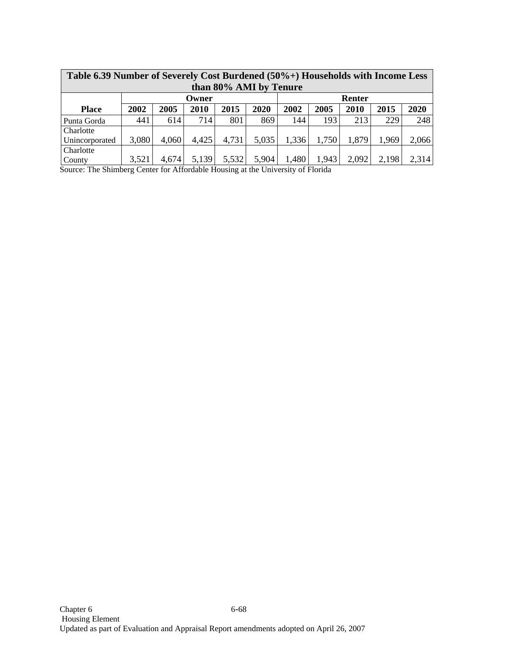|                        | Table 6.39 Number of Severely Cost Burdened (50%+) Households with Income Less |                 |       |       |       |       |       |       |       |       |  |  |  |
|------------------------|--------------------------------------------------------------------------------|-----------------|-------|-------|-------|-------|-------|-------|-------|-------|--|--|--|
| than 80% AMI by Tenure |                                                                                |                 |       |       |       |       |       |       |       |       |  |  |  |
|                        |                                                                                | Renter<br>Owner |       |       |       |       |       |       |       |       |  |  |  |
| <b>Place</b>           | 2002                                                                           | 2005            | 2010  | 2015  | 2020  | 2002  | 2005  | 2010  | 2015  | 2020  |  |  |  |
| Punta Gorda            | 441                                                                            | 614             | 714 I | 801   | 869   | 144   | 193   | 213   | 229   | 248   |  |  |  |
| Charlotte              |                                                                                |                 |       |       |       |       |       |       |       |       |  |  |  |
| Unincorporated         | 3,080                                                                          | 4,060           | 4,425 | 4,731 | 5,035 | 1,336 | 1,750 | 1,879 | 1,969 | 2,066 |  |  |  |
| Charlotte              |                                                                                |                 |       |       |       |       |       |       |       |       |  |  |  |
| County                 | 3,521                                                                          | 4,674           | 5,139 | 5,532 | 5,904 | 1,480 | 1,943 | 2,092 | 2,198 | 2,314 |  |  |  |

Source: The Shimberg Center for Affordable Housing at the University of Florida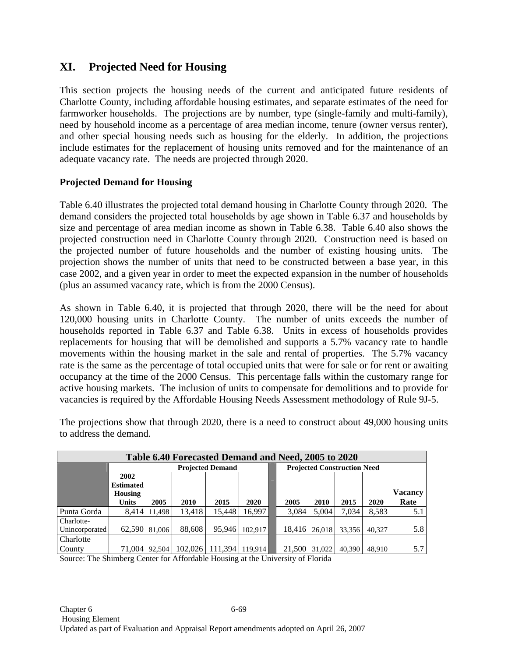# **XI. Projected Need for Housing**

This section projects the housing needs of the current and anticipated future residents of Charlotte County, including affordable housing estimates, and separate estimates of the need for farmworker households. The projections are by number, type (single-family and multi-family), need by household income as a percentage of area median income, tenure (owner versus renter), and other special housing needs such as housing for the elderly. In addition, the projections include estimates for the replacement of housing units removed and for the maintenance of an adequate vacancy rate. The needs are projected through 2020.

## **Projected Demand for Housing**

Table 6.40 illustrates the projected total demand housing in Charlotte County through 2020. The demand considers the projected total households by age shown in Table 6.37 and households by size and percentage of area median income as shown in Table 6.38. Table 6.40 also shows the projected construction need in Charlotte County through 2020. Construction need is based on the projected number of future households and the number of existing housing units. The projection shows the number of units that need to be constructed between a base year, in this case 2002, and a given year in order to meet the expected expansion in the number of households (plus an assumed vacancy rate, which is from the 2000 Census).

As shown in Table 6.40, it is projected that through 2020, there will be the need for about 120,000 housing units in Charlotte County. The number of units exceeds the number of households reported in Table 6.37 and Table 6.38. Units in excess of households provides replacements for housing that will be demolished and supports a 5.7% vacancy rate to handle movements within the housing market in the sale and rental of properties. The 5.7% vacancy rate is the same as the percentage of total occupied units that were for sale or for rent or awaiting occupancy at the time of the 2000 Census. This percentage falls within the customary range for active housing markets. The inclusion of units to compensate for demolitions and to provide for vacancies is required by the Affordable Housing Needs Assessment methodology of Rule 9J-5.

| Table 6.40 Forecasted Demand and Need, 2005 to 2020 |                  |        |                         |                             |             |  |        |                                    |        |        |                |  |  |
|-----------------------------------------------------|------------------|--------|-------------------------|-----------------------------|-------------|--|--------|------------------------------------|--------|--------|----------------|--|--|
|                                                     |                  |        | <b>Projected Demand</b> |                             |             |  |        | <b>Projected Construction Need</b> |        |        |                |  |  |
|                                                     | 2002             |        |                         |                             |             |  |        |                                    |        |        |                |  |  |
|                                                     | <b>Estimated</b> |        |                         |                             |             |  |        |                                    |        |        |                |  |  |
|                                                     | <b>Housing</b>   |        |                         |                             |             |  |        |                                    |        |        | <b>Vacancy</b> |  |  |
|                                                     | <b>Units</b>     | 2005   | 2010                    | 2015                        | <b>2020</b> |  | 2005   | 2010                               | 2015   | 2020   | Rate           |  |  |
| Punta Gorda                                         | 8,414            | 11.498 | 13,418                  | 15,448                      | 16.997      |  | 3,084  | 5,004                              | 7,034  | 8,583  | 5.1            |  |  |
| Charlotte-                                          |                  |        |                         |                             |             |  |        |                                    |        |        |                |  |  |
| Unincorporated                                      | 62,590           | 81,006 | 88,608                  | 95.946                      | 102.917     |  | 18.416 | 26,018                             | 33.356 | 40.327 | 5.8            |  |  |
| Charlotte                                           |                  |        |                         |                             |             |  |        |                                    |        |        |                |  |  |
| County                                              | 71,004   92,504  |        |                         | 102,026   111,394   119,914 |             |  | 21,500 | 31,022                             | 40,390 | 48.910 | 5.7            |  |  |

The projections show that through 2020, there is a need to construct about 49,000 housing units to address the demand.

Source: The Shimberg Center for Affordable Housing at the University of Florida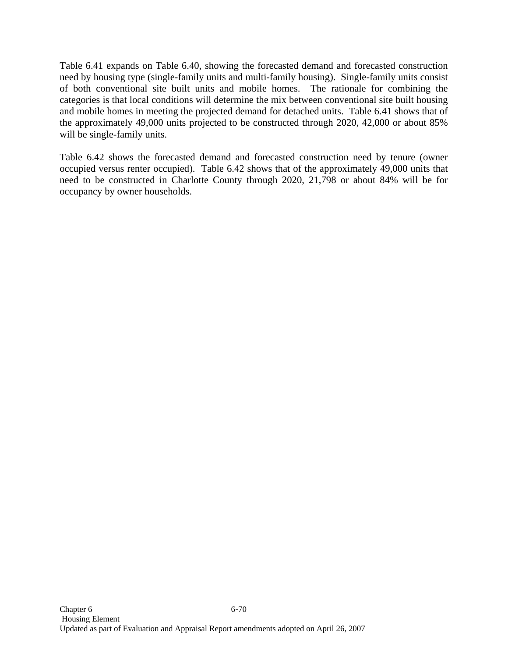Table 6.41 expands on Table 6.40, showing the forecasted demand and forecasted construction need by housing type (single-family units and multi-family housing). Single-family units consist of both conventional site built units and mobile homes. The rationale for combining the categories is that local conditions will determine the mix between conventional site built housing and mobile homes in meeting the projected demand for detached units. Table 6.41 shows that of the approximately 49,000 units projected to be constructed through 2020, 42,000 or about 85% will be single-family units.

Table 6.42 shows the forecasted demand and forecasted construction need by tenure (owner occupied versus renter occupied). Table 6.42 shows that of the approximately 49,000 units that need to be constructed in Charlotte County through 2020, 21,798 or about 84% will be for occupancy by owner households.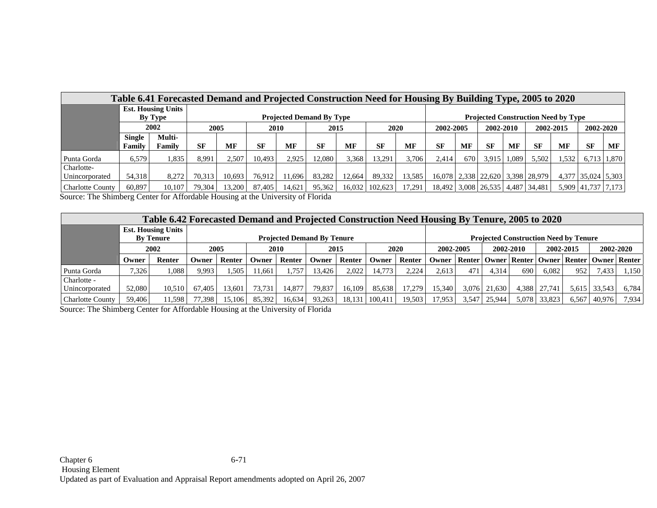|                              | Table 6.41 Forecasted Demand and Projected Construction Need for Housing By Building Type, 2005 to 2020 |                           |           |              |           |           |                                 |        |                  |             |                                            |           |                     |       |                                          |       |                    |             |
|------------------------------|---------------------------------------------------------------------------------------------------------|---------------------------|-----------|--------------|-----------|-----------|---------------------------------|--------|------------------|-------------|--------------------------------------------|-----------|---------------------|-------|------------------------------------------|-------|--------------------|-------------|
|                              |                                                                                                         | <b>Est. Housing Units</b> |           |              |           |           |                                 |        |                  |             |                                            |           |                     |       |                                          |       |                    |             |
|                              |                                                                                                         | By Type                   |           |              |           |           | <b>Projected Demand By Type</b> |        |                  |             | <b>Projected Construction Need by Type</b> |           |                     |       |                                          |       |                    |             |
|                              |                                                                                                         | 2002                      |           | 2005<br>2010 |           |           | 2015                            |        |                  | <b>2020</b> | 2002-2005                                  | 2002-2010 |                     |       | 2002-2015                                |       | 2002-2020          |             |
|                              | <b>Single</b><br>Family                                                                                 | Multi-<br>Family          | <b>SF</b> | <b>MF</b>    | <b>SF</b> | <b>MF</b> | <b>SF</b>                       | MF     | <b>SF</b>        | <b>MF</b>   | <b>SF</b>                                  | <b>MF</b> | <b>SF</b>           | MF    | <b>SF</b>                                | MF    | <b>SF</b>          | MF          |
| Punta Gorda                  | 6.579                                                                                                   | 1.835                     | 8.991     | 2.507        | 10.493    | 2.925     | 12.080                          | 3,368  | 13,291           | 3.706       | 2.414                                      | 670       | 3.915               | 1.089 | 5.502                                    | 1.532 |                    | 6,713 1,870 |
| Charlotte-<br>Unincorporated | 54,318                                                                                                  | 8,272                     | 70.313    | 10.693       | 76,912    | 1.696     | 83.282                          | 12.664 | 89.332           | 13.585      |                                            |           |                     |       | 16,078   2,338   22,620   3,398   28,979 |       | 4,377 35,024 5,303 |             |
| <b>Charlotte County</b>      | 60.897                                                                                                  | 10,107                    | 79,304    | 13,200       | 87,405    | 14.621    | 95,362                          |        | 16,032   102,623 | 17,291      |                                            |           | 18,492 3,008 26,535 |       | 4,487 34,481                             |       | 5,909 41,737 7,173 |             |

Source: The Shimberg Center for Affordable Housing at the University of Florida

|                         | Table 6.42 Forecasted Demand and Projected Construction Need Housing By Tenure, 2005 to 2020 |                                                       |        |        |                             |        |           |        |         |           |           |       |                                              |       |        |                                                           |        |       |
|-------------------------|----------------------------------------------------------------------------------------------|-------------------------------------------------------|--------|--------|-----------------------------|--------|-----------|--------|---------|-----------|-----------|-------|----------------------------------------------|-------|--------|-----------------------------------------------------------|--------|-------|
|                         |                                                                                              | <b>Est. Housing Units</b>                             |        |        |                             |        |           |        |         |           |           |       |                                              |       |        |                                                           |        |       |
|                         |                                                                                              | <b>Projected Demand By Tenure</b><br><b>By Tenure</b> |        |        |                             |        |           |        |         |           |           |       | <b>Projected Construction Need by Tenure</b> |       |        |                                                           |        |       |
|                         |                                                                                              | 2002                                                  |        | 2005   | 2010<br><b>2020</b><br>2015 |        | 2002-2005 |        |         | 2002-2010 | 2002-2015 |       | 2002-2020                                    |       |        |                                                           |        |       |
|                         | Owner                                                                                        | Renter                                                | Owner) | Renter | Owner                       | Renter | Owner     | Renter | Owner   | Renter    | Owner     |       |                                              |       |        | Renter   Owner   Renter   Owner   Renter   Owner   Renter |        |       |
| Punta Gorda             | 7,326                                                                                        | 1.088                                                 | 9,993  | .505   | 11.661                      | l.757  | 13.426    | 2,022  | 14.773  | 2.224     | 2.613     | 471   | 4.314                                        | 690   | 6.082  | 952                                                       | 7.433  | 1,150 |
| Charlotte -             |                                                                                              |                                                       |        |        |                             |        |           |        |         |           |           |       |                                              |       |        |                                                           |        |       |
| Unincorporated          | 52,080                                                                                       | 10,510                                                | 67.405 | 13.601 | 73.731                      | 14.877 | 79.837    | 16.109 | 85.638  | 17.279    | 15.340    | 3.076 | 21.630                                       | 4.388 | 27.741 | 5,615                                                     | 33.543 | 6,784 |
| <b>Charlotte County</b> | 59.406                                                                                       | 11,598                                                | 77,398 | 15.106 | 85,392                      | 16.634 | 93,263    | 18.131 | 100,411 | 19.503    | 17,953    | 3.547 | 25,944                                       | 5,078 | 33,823 | 6,567                                                     | 40,976 | 7.934 |

Source: The Shimberg Center for Affordable Housing at the University of Florida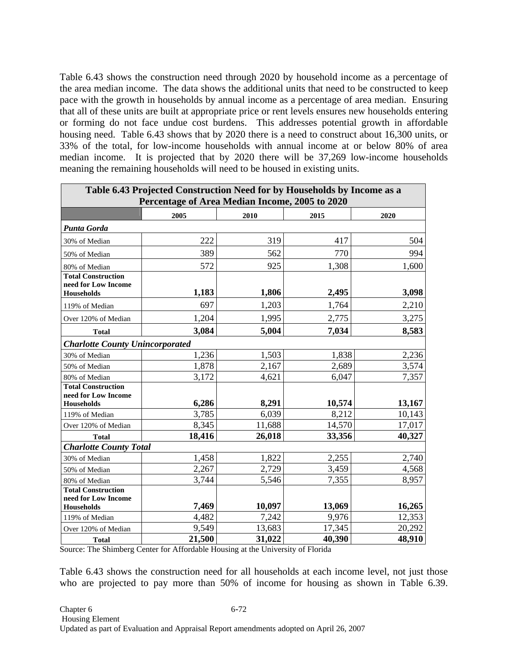Table 6.43 shows the construction need through 2020 by household income as a percentage of the area median income. The data shows the additional units that need to be constructed to keep pace with the growth in households by annual income as a percentage of area median. Ensuring that all of these units are built at appropriate price or rent levels ensures new households entering or forming do not face undue cost burdens. This addresses potential growth in affordable housing need. Table 6.43 shows that by 2020 there is a need to construct about 16,300 units, or 33% of the total, for low-income households with annual income at or below 80% of area median income. It is projected that by 2020 there will be 37,269 low-income households meaning the remaining households will need to be housed in existing units.

| Table 6.43 Projected Construction Need for by Households by Income as a<br>Percentage of Area Median Income, 2005 to 2020 |        |        |        |        |  |  |  |  |  |  |  |
|---------------------------------------------------------------------------------------------------------------------------|--------|--------|--------|--------|--|--|--|--|--|--|--|
|                                                                                                                           | 2005   | 2010   | 2015   | 2020   |  |  |  |  |  |  |  |
| Punta Gorda                                                                                                               |        |        |        |        |  |  |  |  |  |  |  |
| 30% of Median                                                                                                             | 222    | 319    | 417    | 504    |  |  |  |  |  |  |  |
| 50% of Median                                                                                                             | 389    | 562    | 770    | 994    |  |  |  |  |  |  |  |
| 80% of Median                                                                                                             | 572    | 925    | 1,308  | 1,600  |  |  |  |  |  |  |  |
| <b>Total Construction</b><br>need for Low Income<br><b>Households</b>                                                     | 1,183  | 1,806  | 2,495  | 3,098  |  |  |  |  |  |  |  |
| 119% of Median                                                                                                            | 697    | 1,203  | 1,764  | 2,210  |  |  |  |  |  |  |  |
| Over 120% of Median                                                                                                       | 1,204  | 1,995  | 2,775  | 3,275  |  |  |  |  |  |  |  |
| <b>Total</b>                                                                                                              | 3,084  | 5,004  | 7,034  | 8,583  |  |  |  |  |  |  |  |
| <b>Charlotte County Unincorporated</b>                                                                                    |        |        |        |        |  |  |  |  |  |  |  |
| 30% of Median                                                                                                             | 1,236  | 1,503  | 1,838  | 2,236  |  |  |  |  |  |  |  |
| 50% of Median                                                                                                             | 1,878  | 2,167  | 2,689  | 3,574  |  |  |  |  |  |  |  |
| 80% of Median                                                                                                             | 3,172  | 4,621  | 6,047  | 7,357  |  |  |  |  |  |  |  |
| <b>Total Construction</b><br>need for Low Income<br>Households                                                            | 6,286  | 8,291  | 10,574 | 13,167 |  |  |  |  |  |  |  |
| 119% of Median                                                                                                            | 3,785  | 6,039  | 8,212  | 10,143 |  |  |  |  |  |  |  |
| Over 120% of Median                                                                                                       | 8,345  | 11,688 | 14,570 | 17,017 |  |  |  |  |  |  |  |
| <b>Total</b>                                                                                                              | 18,416 | 26,018 | 33,356 | 40,327 |  |  |  |  |  |  |  |
| <b>Charlotte County Total</b>                                                                                             |        |        |        |        |  |  |  |  |  |  |  |
| 30% of Median                                                                                                             | 1,458  | 1,822  | 2,255  | 2,740  |  |  |  |  |  |  |  |
| 50% of Median                                                                                                             | 2,267  | 2,729  | 3,459  | 4,568  |  |  |  |  |  |  |  |
| 80% of Median                                                                                                             | 3,744  | 5,546  | 7,355  | 8,957  |  |  |  |  |  |  |  |
| <b>Total Construction</b><br>need for Low Income<br><b>Households</b>                                                     | 7,469  | 10,097 | 13,069 | 16,265 |  |  |  |  |  |  |  |
| 119% of Median                                                                                                            | 4,482  | 7,242  | 9,976  | 12,353 |  |  |  |  |  |  |  |
| Over 120% of Median                                                                                                       | 9,549  | 13,683 | 17,345 | 20,292 |  |  |  |  |  |  |  |
| <b>Total</b>                                                                                                              | 21,500 | 31,022 | 40,390 | 48,910 |  |  |  |  |  |  |  |

Source: The Shimberg Center for Affordable Housing at the University of Florida

Table 6.43 shows the construction need for all households at each income level, not just those who are projected to pay more than 50% of income for housing as shown in Table 6.39.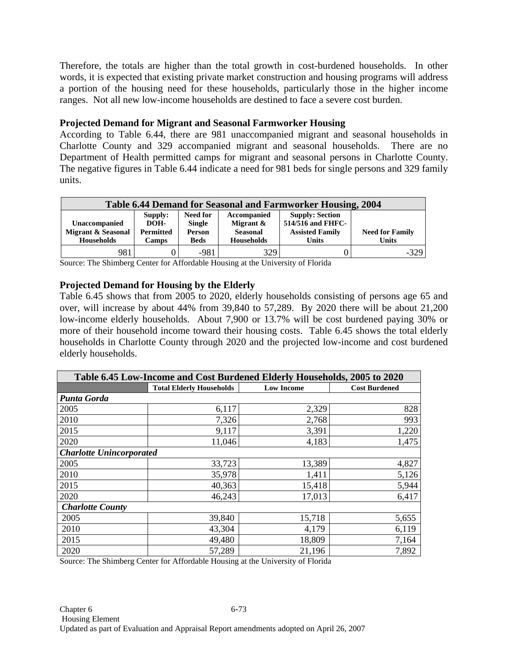Therefore, the totals are higher than the total growth in cost-burdened households. In other words, it is expected that existing private market construction and housing programs will address a portion of the housing need for these households, particularly those in the higher income ranges. Not all new low-income households are destined to face a severe cost burden.

### **Projected Demand for Migrant and Seasonal Farmworker Housing**

According to Table 6.44, there are 981 unaccompanied migrant and seasonal households in Charlotte County and 329 accompanied migrant and seasonal households. There are no Department of Health permitted camps for migrant and seasonal persons in Charlotte County. The negative figures in Table 6.44 indicate a need for 981 beds for single persons and 329 family units.

| Table 6.44 Demand for Seasonal and Farmworker Housing, 2004 |                                     |                                            |                                             |                                                                       |                        |  |  |  |  |
|-------------------------------------------------------------|-------------------------------------|--------------------------------------------|---------------------------------------------|-----------------------------------------------------------------------|------------------------|--|--|--|--|
| Unaccompanied<br>Migrant & Seasonal                         | Supply:<br>DOH-<br><b>Permitted</b> | <b>Need for</b><br><b>Single</b><br>Person | Accompanied<br>Migrant &<br><b>Seasonal</b> | <b>Supply: Section</b><br>514/516 and FHFC-<br><b>Assisted Family</b> | <b>Need for Family</b> |  |  |  |  |
| Households                                                  | <b>Camps</b>                        | <b>Beds</b>                                | <b>Households</b>                           | Units                                                                 | <b>Units</b>           |  |  |  |  |
| 981                                                         |                                     | $-981$                                     | 329                                         |                                                                       | $-329$                 |  |  |  |  |

Source: The Shimberg Center for Affordable Housing at the University of Florida

### **Projected Demand for Housing by the Elderly**

Table 6.45 shows that from 2005 to 2020, elderly households consisting of persons age 65 and over, will increase by about 44% from 39,840 to 57,289. By 2020 there will be about 21,200 low-income elderly households. About 7,900 or 13.7% will be cost burdened paying 30% or more of their household income toward their housing costs. Table 6.45 shows the total elderly households in Charlotte County through 2020 and the projected low-income and cost burdened elderly households.

| Table 6.45 Low-Income and Cost Burdened Elderly Households, 2005 to 2020 |                                 |                   |                      |  |  |  |  |  |  |  |
|--------------------------------------------------------------------------|---------------------------------|-------------------|----------------------|--|--|--|--|--|--|--|
|                                                                          | <b>Total Elderly Households</b> | <b>Low Income</b> | <b>Cost Burdened</b> |  |  |  |  |  |  |  |
| Punta Gorda                                                              |                                 |                   |                      |  |  |  |  |  |  |  |
| 2005                                                                     | 6,117                           | 2,329             | 828                  |  |  |  |  |  |  |  |
| 2010                                                                     | 7,326                           | 2,768             | 993                  |  |  |  |  |  |  |  |
| 2015                                                                     | 9,117                           | 3,391             | 1,220                |  |  |  |  |  |  |  |
| 2020                                                                     | 11,046                          | 4,183             | 1,475                |  |  |  |  |  |  |  |
| <b>Charlotte Unincorporated</b>                                          |                                 |                   |                      |  |  |  |  |  |  |  |
| 2005                                                                     | 33,723                          | 13,389            | 4,827                |  |  |  |  |  |  |  |
| 2010                                                                     | 35,978                          | 1,411             | 5,126                |  |  |  |  |  |  |  |
| 2015                                                                     | 40,363                          | 15,418            | 5,944                |  |  |  |  |  |  |  |
| 2020                                                                     | 46,243                          | 17,013            | 6,417                |  |  |  |  |  |  |  |
| <b>Charlotte County</b>                                                  |                                 |                   |                      |  |  |  |  |  |  |  |
| 2005                                                                     | 39,840                          | 15,718            | 5,655                |  |  |  |  |  |  |  |
| 2010                                                                     | 43,304                          | 4,179             | 6,119                |  |  |  |  |  |  |  |
| 2015                                                                     | 49,480                          | 18,809            | 7,164                |  |  |  |  |  |  |  |
| 2020                                                                     | 57,289                          | 21,196            | 7,892                |  |  |  |  |  |  |  |

Source: The Shimberg Center for Affordable Housing at the University of Florida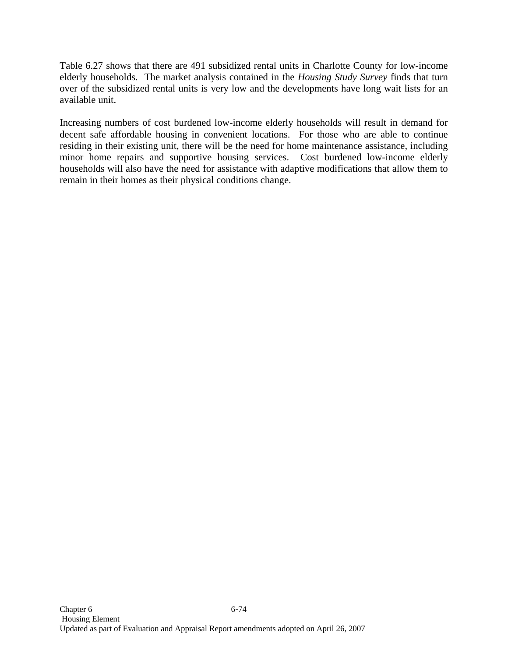Table 6.27 shows that there are 491 subsidized rental units in Charlotte County for low-income elderly households. The market analysis contained in the *Housing Study Survey* finds that turn over of the subsidized rental units is very low and the developments have long wait lists for an available unit.

Increasing numbers of cost burdened low-income elderly households will result in demand for decent safe affordable housing in convenient locations. For those who are able to continue residing in their existing unit, there will be the need for home maintenance assistance, including minor home repairs and supportive housing services. Cost burdened low-income elderly households will also have the need for assistance with adaptive modifications that allow them to remain in their homes as their physical conditions change.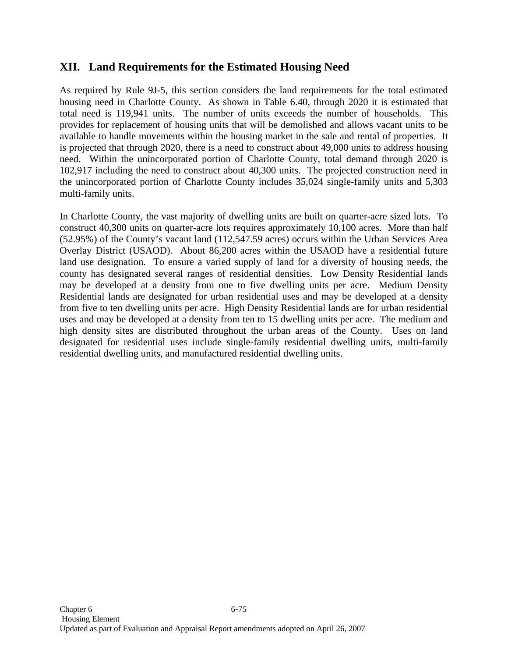## **XII. Land Requirements for the Estimated Housing Need**

As required by Rule 9J-5, this section considers the land requirements for the total estimated housing need in Charlotte County. As shown in Table 6.40, through 2020 it is estimated that total need is 119,941 units. The number of units exceeds the number of households. This provides for replacement of housing units that will be demolished and allows vacant units to be available to handle movements within the housing market in the sale and rental of properties. It is projected that through 2020, there is a need to construct about 49,000 units to address housing need. Within the unincorporated portion of Charlotte County, total demand through 2020 is 102,917 including the need to construct about 40,300 units. The projected construction need in the unincorporated portion of Charlotte County includes 35,024 single-family units and 5,303 multi-family units.

In Charlotte County, the vast majority of dwelling units are built on quarter-acre sized lots. To construct 40,300 units on quarter-acre lots requires approximately 10,100 acres. More than half (52.95%) of the County's vacant land (112,547.59 acres) occurs within the Urban Services Area Overlay District (USAOD). About 86,200 acres within the USAOD have a residential future land use designation. To ensure a varied supply of land for a diversity of housing needs, the county has designated several ranges of residential densities. Low Density Residential lands may be developed at a density from one to five dwelling units per acre. Medium Density Residential lands are designated for urban residential uses and may be developed at a density from five to ten dwelling units per acre. High Density Residential lands are for urban residential uses and may be developed at a density from ten to 15 dwelling units per acre. The medium and high density sites are distributed throughout the urban areas of the County. Uses on land designated for residential uses include single-family residential dwelling units, multi-family residential dwelling units, and manufactured residential dwelling units.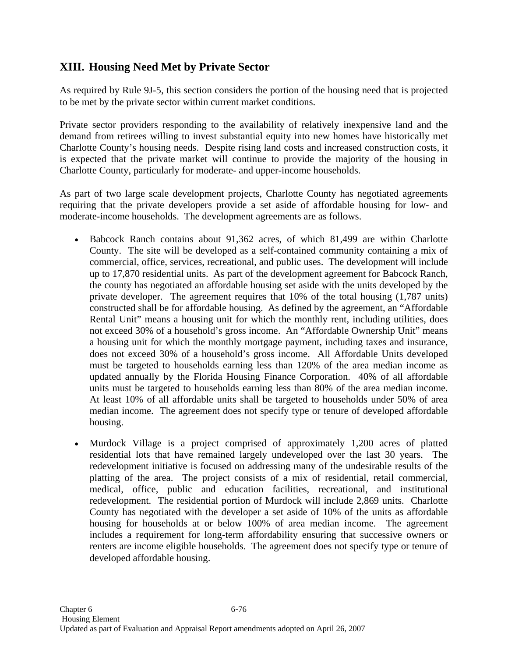# **XIII. Housing Need Met by Private Sector**

As required by Rule 9J-5, this section considers the portion of the housing need that is projected to be met by the private sector within current market conditions.

Private sector providers responding to the availability of relatively inexpensive land and the demand from retirees willing to invest substantial equity into new homes have historically met Charlotte County's housing needs. Despite rising land costs and increased construction costs, it is expected that the private market will continue to provide the majority of the housing in Charlotte County, particularly for moderate- and upper-income households.

As part of two large scale development projects, Charlotte County has negotiated agreements requiring that the private developers provide a set aside of affordable housing for low- and moderate-income households. The development agreements are as follows.

- Babcock Ranch contains about 91,362 acres, of which 81,499 are within Charlotte County. The site will be developed as a self-contained community containing a mix of commercial, office, services, recreational, and public uses. The development will include up to 17,870 residential units. As part of the development agreement for Babcock Ranch, the county has negotiated an affordable housing set aside with the units developed by the private developer. The agreement requires that 10% of the total housing (1,787 units) constructed shall be for affordable housing. As defined by the agreement, an "Affordable Rental Unit" means a housing unit for which the monthly rent, including utilities, does not exceed 30% of a household's gross income. An "Affordable Ownership Unit" means a housing unit for which the monthly mortgage payment, including taxes and insurance, does not exceed 30% of a household's gross income. All Affordable Units developed must be targeted to households earning less than 120% of the area median income as updated annually by the Florida Housing Finance Corporation. 40% of all affordable units must be targeted to households earning less than 80% of the area median income. At least 10% of all affordable units shall be targeted to households under 50% of area median income. The agreement does not specify type or tenure of developed affordable housing.
- Murdock Village is a project comprised of approximately 1,200 acres of platted residential lots that have remained largely undeveloped over the last 30 years. The redevelopment initiative is focused on addressing many of the undesirable results of the platting of the area. The project consists of a mix of residential, retail commercial, medical, office, public and education facilities, recreational, and institutional redevelopment. The residential portion of Murdock will include 2,869 units. Charlotte County has negotiated with the developer a set aside of 10% of the units as affordable housing for households at or below 100% of area median income. The agreement includes a requirement for long-term affordability ensuring that successive owners or renters are income eligible households. The agreement does not specify type or tenure of developed affordable housing.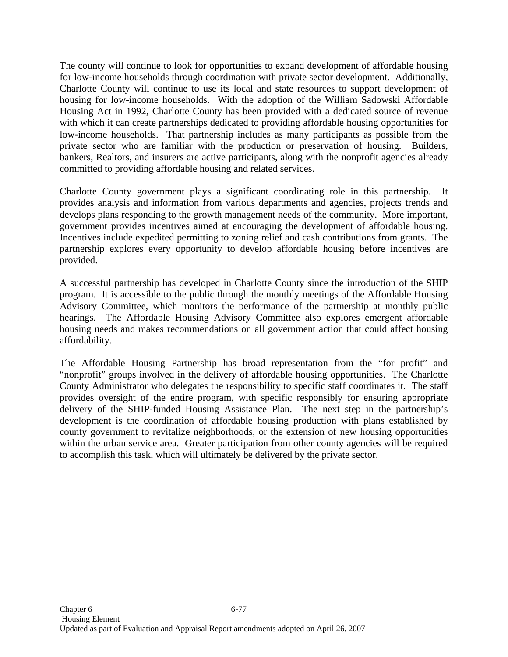The county will continue to look for opportunities to expand development of affordable housing for low-income households through coordination with private sector development. Additionally, Charlotte County will continue to use its local and state resources to support development of housing for low-income households. With the adoption of the William Sadowski Affordable Housing Act in 1992, Charlotte County has been provided with a dedicated source of revenue with which it can create partnerships dedicated to providing affordable housing opportunities for low-income households. That partnership includes as many participants as possible from the private sector who are familiar with the production or preservation of housing. Builders, bankers, Realtors, and insurers are active participants, along with the nonprofit agencies already committed to providing affordable housing and related services.

Charlotte County government plays a significant coordinating role in this partnership. It provides analysis and information from various departments and agencies, projects trends and develops plans responding to the growth management needs of the community. More important, government provides incentives aimed at encouraging the development of affordable housing. Incentives include expedited permitting to zoning relief and cash contributions from grants. The partnership explores every opportunity to develop affordable housing before incentives are provided.

A successful partnership has developed in Charlotte County since the introduction of the SHIP program. It is accessible to the public through the monthly meetings of the Affordable Housing Advisory Committee, which monitors the performance of the partnership at monthly public hearings. The Affordable Housing Advisory Committee also explores emergent affordable housing needs and makes recommendations on all government action that could affect housing affordability.

The Affordable Housing Partnership has broad representation from the "for profit" and "nonprofit" groups involved in the delivery of affordable housing opportunities. The Charlotte County Administrator who delegates the responsibility to specific staff coordinates it. The staff provides oversight of the entire program, with specific responsibly for ensuring appropriate delivery of the SHIP-funded Housing Assistance Plan. The next step in the partnership's development is the coordination of affordable housing production with plans established by county government to revitalize neighborhoods, or the extension of new housing opportunities within the urban service area. Greater participation from other county agencies will be required to accomplish this task, which will ultimately be delivered by the private sector.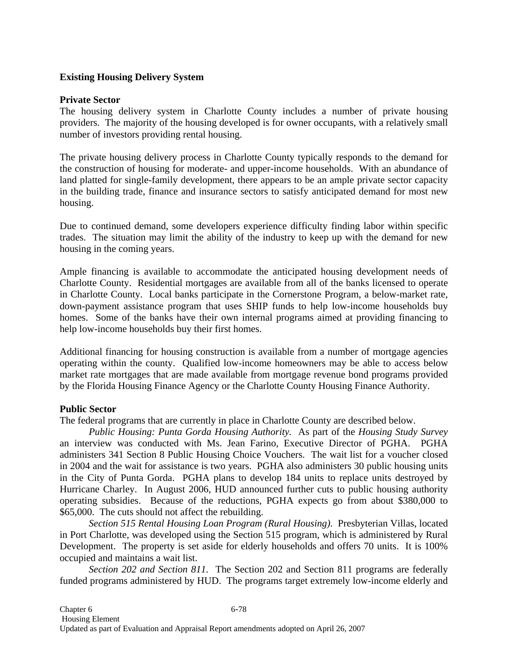### **Existing Housing Delivery System**

#### **Private Sector**

The housing delivery system in Charlotte County includes a number of private housing providers. The majority of the housing developed is for owner occupants, with a relatively small number of investors providing rental housing.

The private housing delivery process in Charlotte County typically responds to the demand for the construction of housing for moderate- and upper-income households. With an abundance of land platted for single-family development, there appears to be an ample private sector capacity in the building trade, finance and insurance sectors to satisfy anticipated demand for most new housing.

Due to continued demand, some developers experience difficulty finding labor within specific trades. The situation may limit the ability of the industry to keep up with the demand for new housing in the coming years.

Ample financing is available to accommodate the anticipated housing development needs of Charlotte County. Residential mortgages are available from all of the banks licensed to operate in Charlotte County. Local banks participate in the Cornerstone Program, a below-market rate, down-payment assistance program that uses SHIP funds to help low-income households buy homes. Some of the banks have their own internal programs aimed at providing financing to help low-income households buy their first homes.

Additional financing for housing construction is available from a number of mortgage agencies operating within the county. Qualified low-income homeowners may be able to access below market rate mortgages that are made available from mortgage revenue bond programs provided by the Florida Housing Finance Agency or the Charlotte County Housing Finance Authority.

### **Public Sector**

The federal programs that are currently in place in Charlotte County are described below.

 *Public Housing: Punta Gorda Housing Authority.* As part of the *Housing Study Survey*  an interview was conducted with Ms. Jean Farino, Executive Director of PGHA. PGHA administers 341 Section 8 Public Housing Choice Vouchers. The wait list for a voucher closed in 2004 and the wait for assistance is two years. PGHA also administers 30 public housing units in the City of Punta Gorda. PGHA plans to develop 184 units to replace units destroyed by Hurricane Charley. In August 2006, HUD announced further cuts to public housing authority operating subsidies. Because of the reductions, PGHA expects go from about \$380,000 to \$65,000. The cuts should not affect the rebuilding.

 *Section 515 Rental Housing Loan Program (Rural Housing)*. Presbyterian Villas, located in Port Charlotte, was developed using the Section 515 program, which is administered by Rural Development. The property is set aside for elderly households and offers 70 units. It is 100% occupied and maintains a wait list.

 *Section 202 and Section 811.* The Section 202 and Section 811 programs are federally funded programs administered by HUD. The programs target extremely low-income elderly and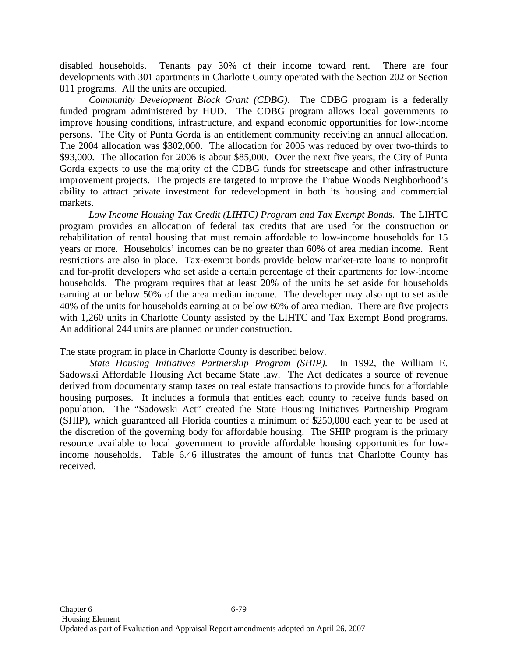disabled households. Tenants pay 30% of their income toward rent. There are four developments with 301 apartments in Charlotte County operated with the Section 202 or Section 811 programs. All the units are occupied.

 *Community Development Block Grant (CDBG)*. The CDBG program is a federally funded program administered by HUD. The CDBG program allows local governments to improve housing conditions, infrastructure, and expand economic opportunities for low-income persons. The City of Punta Gorda is an entitlement community receiving an annual allocation. The 2004 allocation was \$302,000. The allocation for 2005 was reduced by over two-thirds to \$93,000. The allocation for 2006 is about \$85,000. Over the next five years, the City of Punta Gorda expects to use the majority of the CDBG funds for streetscape and other infrastructure improvement projects. The projects are targeted to improve the Trabue Woods Neighborhood's ability to attract private investment for redevelopment in both its housing and commercial markets.

 *Low Income Housing Tax Credit (LIHTC) Program and Tax Exempt Bonds*. The LIHTC program provides an allocation of federal tax credits that are used for the construction or rehabilitation of rental housing that must remain affordable to low-income households for 15 years or more. Households' incomes can be no greater than 60% of area median income. Rent restrictions are also in place. Tax-exempt bonds provide below market-rate loans to nonprofit and for-profit developers who set aside a certain percentage of their apartments for low-income households. The program requires that at least 20% of the units be set aside for households earning at or below 50% of the area median income. The developer may also opt to set aside 40% of the units for households earning at or below 60% of area median. There are five projects with 1,260 units in Charlotte County assisted by the LIHTC and Tax Exempt Bond programs. An additional 244 units are planned or under construction.

The state program in place in Charlotte County is described below.

 *State Housing Initiatives Partnership Program (SHIP)*. In 1992, the William E. Sadowski Affordable Housing Act became State law. The Act dedicates a source of revenue derived from documentary stamp taxes on real estate transactions to provide funds for affordable housing purposes. It includes a formula that entitles each county to receive funds based on population. The "Sadowski Act" created the State Housing Initiatives Partnership Program (SHIP), which guaranteed all Florida counties a minimum of \$250,000 each year to be used at the discretion of the governing body for affordable housing. The SHIP program is the primary resource available to local government to provide affordable housing opportunities for lowincome households. Table 6.46 illustrates the amount of funds that Charlotte County has received.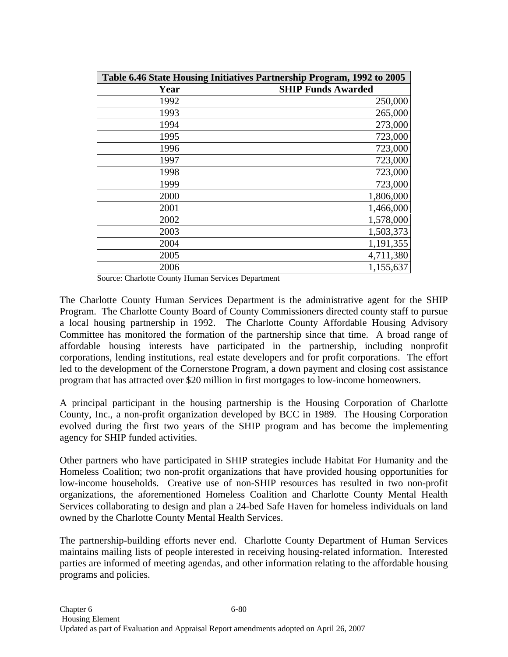| Table 6.46 State Housing Initiatives Partnership Program, 1992 to 2005 |                           |  |  |  |  |  |
|------------------------------------------------------------------------|---------------------------|--|--|--|--|--|
| Year                                                                   | <b>SHIP Funds Awarded</b> |  |  |  |  |  |
| 1992                                                                   | 250,000                   |  |  |  |  |  |
| 1993                                                                   | 265,000                   |  |  |  |  |  |
| 1994                                                                   | 273,000                   |  |  |  |  |  |
| 1995                                                                   | 723,000                   |  |  |  |  |  |
| 1996                                                                   | 723,000                   |  |  |  |  |  |
| 1997                                                                   | 723,000                   |  |  |  |  |  |
| 1998                                                                   | 723,000                   |  |  |  |  |  |
| 1999                                                                   | 723,000                   |  |  |  |  |  |
| 2000                                                                   | 1,806,000                 |  |  |  |  |  |
| 2001                                                                   | 1,466,000                 |  |  |  |  |  |
| 2002                                                                   | 1,578,000                 |  |  |  |  |  |
| 2003                                                                   | 1,503,373                 |  |  |  |  |  |
| 2004                                                                   | 1,191,355                 |  |  |  |  |  |
| 2005                                                                   | 4,711,380                 |  |  |  |  |  |
| 2006                                                                   | 1,155,637                 |  |  |  |  |  |

Source: Charlotte County Human Services Department

The Charlotte County Human Services Department is the administrative agent for the SHIP Program. The Charlotte County Board of County Commissioners directed county staff to pursue a local housing partnership in 1992. The Charlotte County Affordable Housing Advisory Committee has monitored the formation of the partnership since that time. A broad range of affordable housing interests have participated in the partnership, including nonprofit corporations, lending institutions, real estate developers and for profit corporations. The effort led to the development of the Cornerstone Program, a down payment and closing cost assistance program that has attracted over \$20 million in first mortgages to low-income homeowners.

A principal participant in the housing partnership is the Housing Corporation of Charlotte County, Inc., a non-profit organization developed by BCC in 1989. The Housing Corporation evolved during the first two years of the SHIP program and has become the implementing agency for SHIP funded activities.

Other partners who have participated in SHIP strategies include Habitat For Humanity and the Homeless Coalition; two non-profit organizations that have provided housing opportunities for low-income households. Creative use of non-SHIP resources has resulted in two non-profit organizations, the aforementioned Homeless Coalition and Charlotte County Mental Health Services collaborating to design and plan a 24-bed Safe Haven for homeless individuals on land owned by the Charlotte County Mental Health Services.

The partnership-building efforts never end. Charlotte County Department of Human Services maintains mailing lists of people interested in receiving housing-related information. Interested parties are informed of meeting agendas, and other information relating to the affordable housing programs and policies.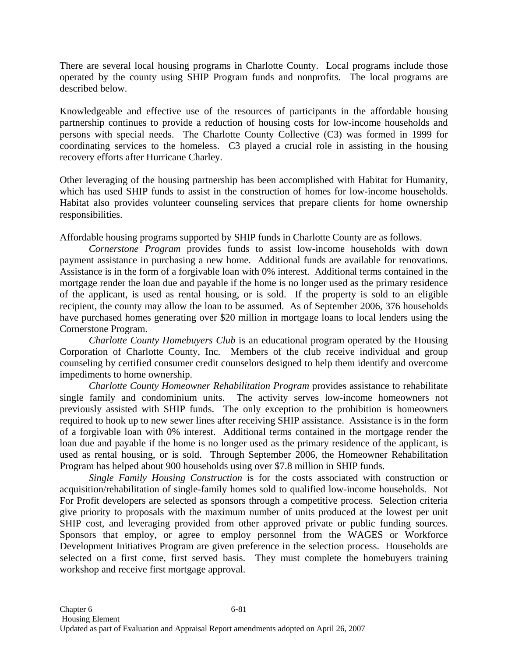There are several local housing programs in Charlotte County. Local programs include those operated by the county using SHIP Program funds and nonprofits. The local programs are described below.

Knowledgeable and effective use of the resources of participants in the affordable housing partnership continues to provide a reduction of housing costs for low-income households and persons with special needs. The Charlotte County Collective (C3) was formed in 1999 for coordinating services to the homeless. C3 played a crucial role in assisting in the housing recovery efforts after Hurricane Charley.

Other leveraging of the housing partnership has been accomplished with Habitat for Humanity, which has used SHIP funds to assist in the construction of homes for low-income households. Habitat also provides volunteer counseling services that prepare clients for home ownership responsibilities.

Affordable housing programs supported by SHIP funds in Charlotte County are as follows.

*Cornerstone Program* provides funds to assist low-income households with down payment assistance in purchasing a new home. Additional funds are available for renovations. Assistance is in the form of a forgivable loan with 0% interest. Additional terms contained in the mortgage render the loan due and payable if the home is no longer used as the primary residence of the applicant, is used as rental housing, or is sold. If the property is sold to an eligible recipient, the county may allow the loan to be assumed. As of September 2006, 376 households have purchased homes generating over \$20 million in mortgage loans to local lenders using the Cornerstone Program.

*Charlotte County Homebuyers Club* is an educational program operated by the Housing Corporation of Charlotte County, Inc. Members of the club receive individual and group counseling by certified consumer credit counselors designed to help them identify and overcome impediments to home ownership.

*Charlotte County Homeowner Rehabilitation Program* provides assistance to rehabilitate single family and condominium units. The activity serves low-income homeowners not previously assisted with SHIP funds. The only exception to the prohibition is homeowners required to hook up to new sewer lines after receiving SHIP assistance. Assistance is in the form of a forgivable loan with 0% interest. Additional terms contained in the mortgage render the loan due and payable if the home is no longer used as the primary residence of the applicant, is used as rental housing, or is sold. Through September 2006, the Homeowner Rehabilitation Program has helped about 900 households using over \$7.8 million in SHIP funds.

*Single Family Housing Construction* is for the costs associated with construction or acquisition/rehabilitation of single-family homes sold to qualified low-income households. Not For Profit developers are selected as sponsors through a competitive process. Selection criteria give priority to proposals with the maximum number of units produced at the lowest per unit SHIP cost, and leveraging provided from other approved private or public funding sources. Sponsors that employ, or agree to employ personnel from the WAGES or Workforce Development Initiatives Program are given preference in the selection process. Households are selected on a first come, first served basis. They must complete the homebuyers training workshop and receive first mortgage approval.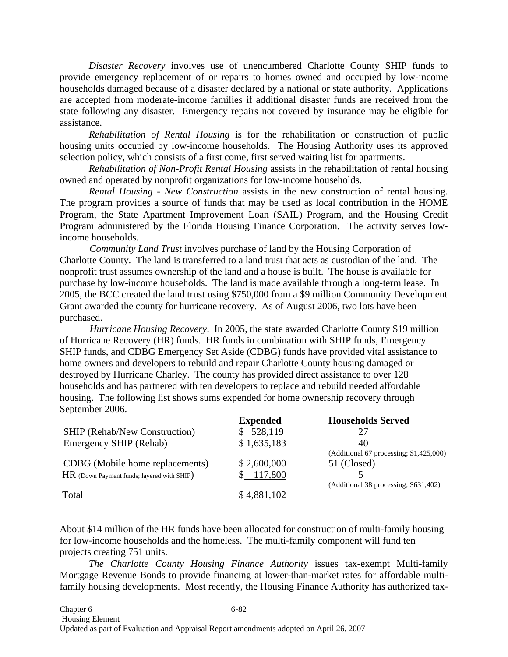*Disaster Recovery* involves use of unencumbered Charlotte County SHIP funds to provide emergency replacement of or repairs to homes owned and occupied by low-income households damaged because of a disaster declared by a national or state authority. Applications are accepted from moderate-income families if additional disaster funds are received from the state following any disaster. Emergency repairs not covered by insurance may be eligible for assistance.

*Rehabilitation of Rental Housing* is for the rehabilitation or construction of public housing units occupied by low-income households. The Housing Authority uses its approved selection policy, which consists of a first come, first served waiting list for apartments.

*Rehabilitation of Non-Profit Rental Housing* assists in the rehabilitation of rental housing owned and operated by nonprofit organizations for low-income households.

*Rental Housing - New Construction* assists in the new construction of rental housing. The program provides a source of funds that may be used as local contribution in the HOME Program, the State Apartment Improvement Loan (SAIL) Program, and the Housing Credit Program administered by the Florida Housing Finance Corporation. The activity serves lowincome households.

*Community Land Trust* involves purchase of land by the Housing Corporation of Charlotte County. The land is transferred to a land trust that acts as custodian of the land. The nonprofit trust assumes ownership of the land and a house is built. The house is available for purchase by low-income households. The land is made available through a long-term lease. In 2005, the BCC created the land trust using \$750,000 from a \$9 million Community Development Grant awarded the county for hurricane recovery. As of August 2006, two lots have been purchased.

*Hurricane Housing Recovery*. In 2005, the state awarded Charlotte County \$19 million of Hurricane Recovery (HR) funds. HR funds in combination with SHIP funds, Emergency SHIP funds, and CDBG Emergency Set Aside (CDBG) funds have provided vital assistance to home owners and developers to rebuild and repair Charlotte County housing damaged or destroyed by Hurricane Charley. The county has provided direct assistance to over 128 households and has partnered with ten developers to replace and rebuild needed affordable housing. The following list shows sums expended for home ownership recovery through September 2006.

|                                            | <b>Expended</b> | <b>Households Served</b>                 |
|--------------------------------------------|-----------------|------------------------------------------|
| <b>SHIP (Rehab/New Construction)</b>       | 528,119         | 27                                       |
| Emergency SHIP (Rehab)                     | \$1,635,183     | 40                                       |
|                                            |                 | $(Additional 67 processing; $1,425,000)$ |
| CDBG (Mobile home replacements)            | \$2,600,000     | 51 (Closed)                              |
| HR (Down Payment funds; layered with SHIP) | \$117,800       | (Additional 38 processing; \$631,402)    |
| Total                                      | \$4,881,102     |                                          |

About \$14 million of the HR funds have been allocated for construction of multi-family housing for low-income households and the homeless. The multi-family component will fund ten projects creating 751 units.

*The Charlotte County Housing Finance Authority* issues tax-exempt Multi-family Mortgage Revenue Bonds to provide financing at lower-than-market rates for affordable multifamily housing developments. Most recently, the Housing Finance Authority has authorized tax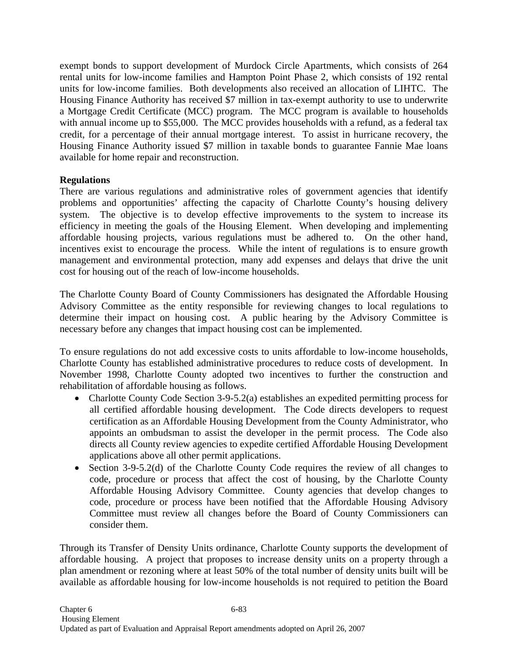exempt bonds to support development of Murdock Circle Apartments, which consists of 264 rental units for low-income families and Hampton Point Phase 2, which consists of 192 rental units for low-income families. Both developments also received an allocation of LIHTC. The Housing Finance Authority has received \$7 million in tax-exempt authority to use to underwrite a Mortgage Credit Certificate (MCC) program. The MCC program is available to households with annual income up to \$55,000. The MCC provides households with a refund, as a federal tax credit, for a percentage of their annual mortgage interest. To assist in hurricane recovery, the Housing Finance Authority issued \$7 million in taxable bonds to guarantee Fannie Mae loans available for home repair and reconstruction.

## **Regulations**

There are various regulations and administrative roles of government agencies that identify problems and opportunities' affecting the capacity of Charlotte County's housing delivery system. The objective is to develop effective improvements to the system to increase its efficiency in meeting the goals of the Housing Element. When developing and implementing affordable housing projects, various regulations must be adhered to. On the other hand, incentives exist to encourage the process. While the intent of regulations is to ensure growth management and environmental protection, many add expenses and delays that drive the unit cost for housing out of the reach of low-income households.

The Charlotte County Board of County Commissioners has designated the Affordable Housing Advisory Committee as the entity responsible for reviewing changes to local regulations to determine their impact on housing cost. A public hearing by the Advisory Committee is necessary before any changes that impact housing cost can be implemented.

To ensure regulations do not add excessive costs to units affordable to low-income households, Charlotte County has established administrative procedures to reduce costs of development. In November 1998, Charlotte County adopted two incentives to further the construction and rehabilitation of affordable housing as follows.

- Charlotte County Code Section 3-9-5.2(a) establishes an expedited permitting process for all certified affordable housing development. The Code directs developers to request certification as an Affordable Housing Development from the County Administrator, who appoints an ombudsman to assist the developer in the permit process. The Code also directs all County review agencies to expedite certified Affordable Housing Development applications above all other permit applications.
- Section 3-9-5.2(d) of the Charlotte County Code requires the review of all changes to code, procedure or process that affect the cost of housing, by the Charlotte County Affordable Housing Advisory Committee. County agencies that develop changes to code, procedure or process have been notified that the Affordable Housing Advisory Committee must review all changes before the Board of County Commissioners can consider them.

Through its Transfer of Density Units ordinance, Charlotte County supports the development of affordable housing. A project that proposes to increase density units on a property through a plan amendment or rezoning where at least 50% of the total number of density units built will be available as affordable housing for low-income households is not required to petition the Board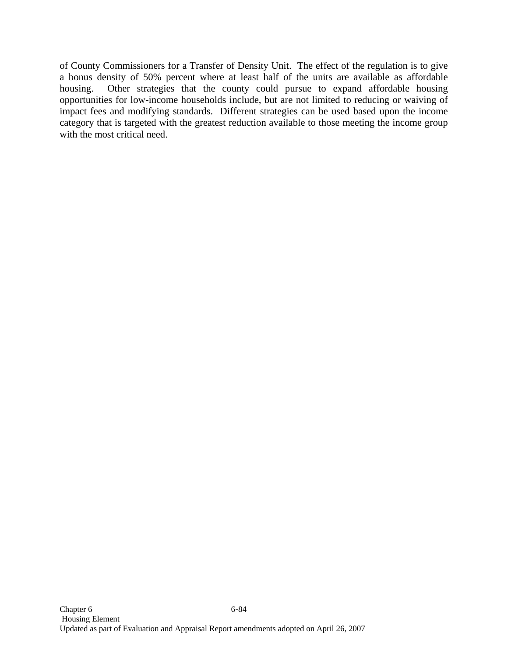of County Commissioners for a Transfer of Density Unit. The effect of the regulation is to give a bonus density of 50% percent where at least half of the units are available as affordable housing. Other strategies that the county could pursue to expand affordable housing opportunities for low-income households include, but are not limited to reducing or waiving of impact fees and modifying standards. Different strategies can be used based upon the income category that is targeted with the greatest reduction available to those meeting the income group with the most critical need.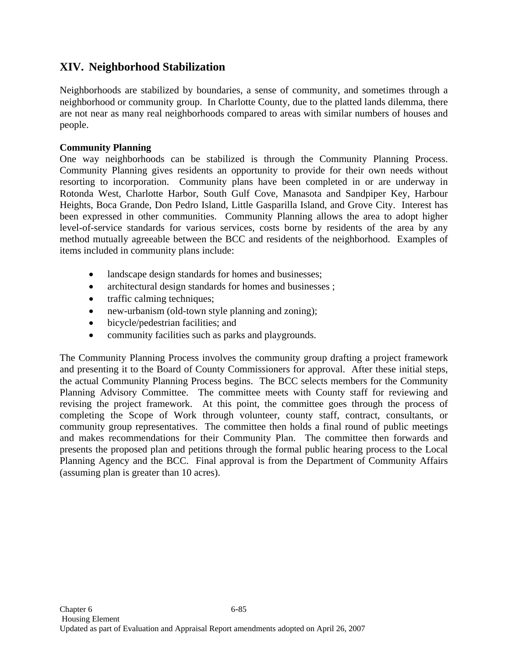# **XIV. Neighborhood Stabilization**

Neighborhoods are stabilized by boundaries, a sense of community, and sometimes through a neighborhood or community group. In Charlotte County, due to the platted lands dilemma, there are not near as many real neighborhoods compared to areas with similar numbers of houses and people.

### **Community Planning**

One way neighborhoods can be stabilized is through the Community Planning Process. Community Planning gives residents an opportunity to provide for their own needs without resorting to incorporation. Community plans have been completed in or are underway in Rotonda West, Charlotte Harbor, South Gulf Cove, Manasota and Sandpiper Key, Harbour Heights, Boca Grande, Don Pedro Island, Little Gasparilla Island, and Grove City. Interest has been expressed in other communities. Community Planning allows the area to adopt higher level-of-service standards for various services, costs borne by residents of the area by any method mutually agreeable between the BCC and residents of the neighborhood. Examples of items included in community plans include:

- landscape design standards for homes and businesses;
- architectural design standards for homes and businesses;
- traffic calming techniques;
- new-urbanism (old-town style planning and zoning);
- bicycle/pedestrian facilities; and
- community facilities such as parks and playgrounds.

The Community Planning Process involves the community group drafting a project framework and presenting it to the Board of County Commissioners for approval. After these initial steps, the actual Community Planning Process begins. The BCC selects members for the Community Planning Advisory Committee. The committee meets with County staff for reviewing and revising the project framework. At this point, the committee goes through the process of completing the Scope of Work through volunteer, county staff, contract, consultants, or community group representatives. The committee then holds a final round of public meetings and makes recommendations for their Community Plan. The committee then forwards and presents the proposed plan and petitions through the formal public hearing process to the Local Planning Agency and the BCC. Final approval is from the Department of Community Affairs (assuming plan is greater than 10 acres).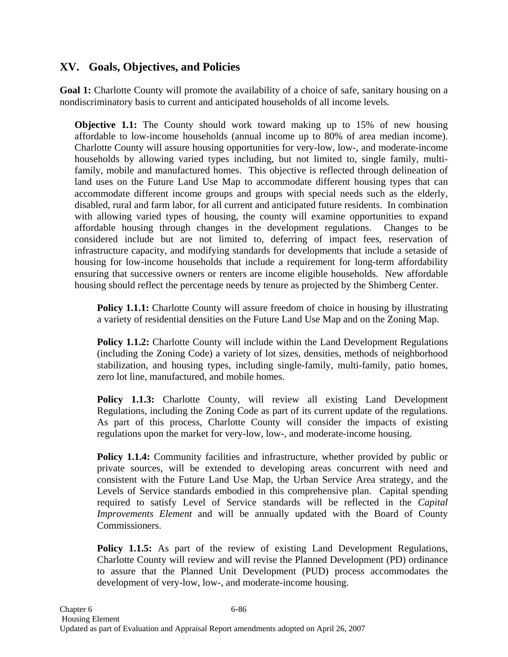## **XV. Goals, Objectives, and Policies**

Goal 1: Charlotte County will promote the availability of a choice of safe, sanitary housing on a nondiscriminatory basis to current and anticipated households of all income levels.

**Objective 1.1:** The County should work toward making up to 15% of new housing affordable to low-income households (annual income up to 80% of area median income). Charlotte County will assure housing opportunities for very-low, low-, and moderate-income households by allowing varied types including, but not limited to, single family, multifamily, mobile and manufactured homes. This objective is reflected through delineation of land uses on the Future Land Use Map to accommodate different housing types that can accommodate different income groups and groups with special needs such as the elderly, disabled, rural and farm labor, for all current and anticipated future residents. In combination with allowing varied types of housing, the county will examine opportunities to expand affordable housing through changes in the development regulations. Changes to be considered include but are not limited to, deferring of impact fees, reservation of infrastructure capacity, and modifying standards for developments that include a setaside of housing for low-income households that include a requirement for long-term affordability ensuring that successive owners or renters are income eligible households. New affordable housing should reflect the percentage needs by tenure as projected by the Shimberg Center.

**Policy 1.1.1:** Charlotte County will assure freedom of choice in housing by illustrating a variety of residential densities on the Future Land Use Map and on the Zoning Map.

**Policy 1.1.2:** Charlotte County will include within the Land Development Regulations (including the Zoning Code) a variety of lot sizes, densities, methods of neighborhood stabilization, and housing types, including single-family, multi-family, patio homes, zero lot line, manufactured, and mobile homes.

**Policy 1.1.3:** Charlotte County, will review all existing Land Development Regulations, including the Zoning Code as part of its current update of the regulations. As part of this process, Charlotte County will consider the impacts of existing regulations upon the market for very-low, low-, and moderate-income housing.

**Policy 1.1.4:** Community facilities and infrastructure, whether provided by public or private sources, will be extended to developing areas concurrent with need and consistent with the Future Land Use Map, the Urban Service Area strategy, and the Levels of Service standards embodied in this comprehensive plan. Capital spending required to satisfy Level of Service standards will be reflected in the *Capital Improvements Element* and will be annually updated with the Board of County Commissioners.

**Policy 1.1.5:** As part of the review of existing Land Development Regulations, Charlotte County will review and will revise the Planned Development (PD) ordinance to assure that the Planned Unit Development (PUD) process accommodates the development of very-low, low-, and moderate-income housing.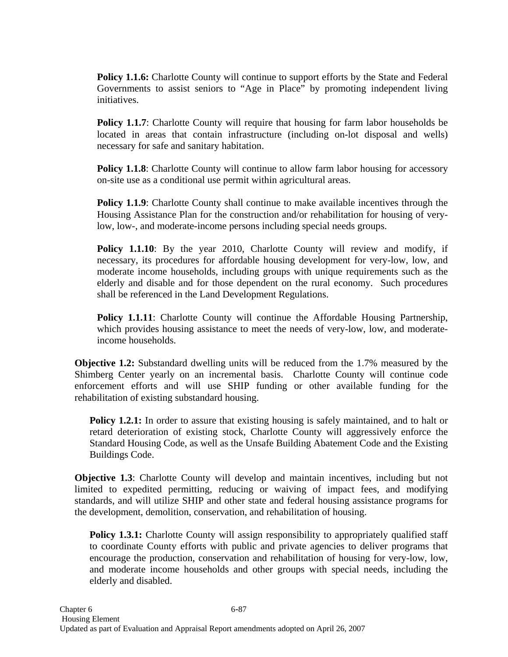**Policy 1.1.6:** Charlotte County will continue to support efforts by the State and Federal Governments to assist seniors to "Age in Place" by promoting independent living initiatives.

**Policy 1.1.7**: Charlotte County will require that housing for farm labor households be located in areas that contain infrastructure (including on-lot disposal and wells) necessary for safe and sanitary habitation.

**Policy 1.1.8**: Charlotte County will continue to allow farm labor housing for accessory on-site use as a conditional use permit within agricultural areas.

**Policy 1.1.9**: Charlotte County shall continue to make available incentives through the Housing Assistance Plan for the construction and/or rehabilitation for housing of verylow, low-, and moderate-income persons including special needs groups.

**Policy 1.1.10**: By the year 2010, Charlotte County will review and modify, if necessary, its procedures for affordable housing development for very-low, low, and moderate income households, including groups with unique requirements such as the elderly and disable and for those dependent on the rural economy. Such procedures shall be referenced in the Land Development Regulations.

**Policy 1.1.11**: Charlotte County will continue the Affordable Housing Partnership, which provides housing assistance to meet the needs of very-low, low, and moderateincome households.

**Objective 1.2:** Substandard dwelling units will be reduced from the 1.7% measured by the Shimberg Center yearly on an incremental basis. Charlotte County will continue code enforcement efforts and will use SHIP funding or other available funding for the rehabilitation of existing substandard housing.

**Policy 1.2.1:** In order to assure that existing housing is safely maintained, and to halt or retard deterioration of existing stock, Charlotte County will aggressively enforce the Standard Housing Code, as well as the Unsafe Building Abatement Code and the Existing Buildings Code.

**Objective 1.3**: Charlotte County will develop and maintain incentives, including but not limited to expedited permitting, reducing or waiving of impact fees, and modifying standards, and will utilize SHIP and other state and federal housing assistance programs for the development, demolition, conservation, and rehabilitation of housing.

**Policy 1.3.1:** Charlotte County will assign responsibility to appropriately qualified staff to coordinate County efforts with public and private agencies to deliver programs that encourage the production, conservation and rehabilitation of housing for very-low, low, and moderate income households and other groups with special needs, including the elderly and disabled.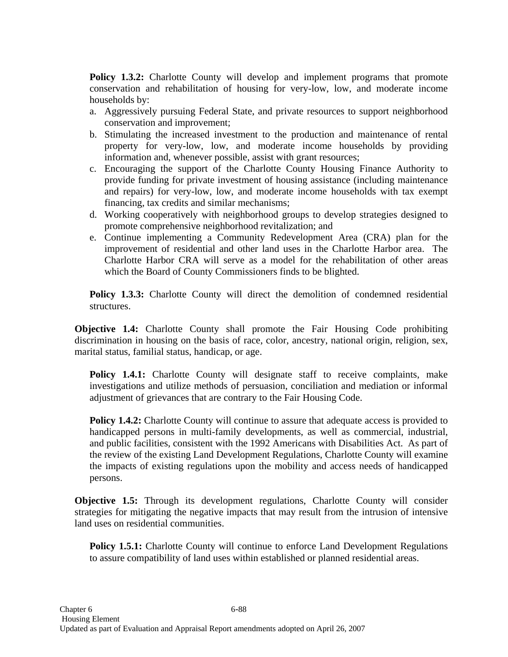**Policy 1.3.2:** Charlotte County will develop and implement programs that promote conservation and rehabilitation of housing for very-low, low, and moderate income households by:

- a. Aggressively pursuing Federal State, and private resources to support neighborhood conservation and improvement;
- b. Stimulating the increased investment to the production and maintenance of rental property for very-low, low, and moderate income households by providing information and, whenever possible, assist with grant resources;
- c. Encouraging the support of the Charlotte County Housing Finance Authority to provide funding for private investment of housing assistance (including maintenance and repairs) for very-low, low, and moderate income households with tax exempt financing, tax credits and similar mechanisms;
- d. Working cooperatively with neighborhood groups to develop strategies designed to promote comprehensive neighborhood revitalization; and
- e. Continue implementing a Community Redevelopment Area (CRA) plan for the improvement of residential and other land uses in the Charlotte Harbor area. The Charlotte Harbor CRA will serve as a model for the rehabilitation of other areas which the Board of County Commissioners finds to be blighted.

**Policy 1.3.3:** Charlotte County will direct the demolition of condemned residential structures.

**Objective 1.4:** Charlotte County shall promote the Fair Housing Code prohibiting discrimination in housing on the basis of race, color, ancestry, national origin, religion, sex, marital status, familial status, handicap, or age.

Policy 1.4.1: Charlotte County will designate staff to receive complaints, make investigations and utilize methods of persuasion, conciliation and mediation or informal adjustment of grievances that are contrary to the Fair Housing Code.

**Policy 1.4.2:** Charlotte County will continue to assure that adequate access is provided to handicapped persons in multi-family developments, as well as commercial, industrial, and public facilities, consistent with the 1992 Americans with Disabilities Act. As part of the review of the existing Land Development Regulations, Charlotte County will examine the impacts of existing regulations upon the mobility and access needs of handicapped persons.

**Objective 1.5:** Through its development regulations, Charlotte County will consider strategies for mitigating the negative impacts that may result from the intrusion of intensive land uses on residential communities.

**Policy 1.5.1:** Charlotte County will continue to enforce Land Development Regulations to assure compatibility of land uses within established or planned residential areas.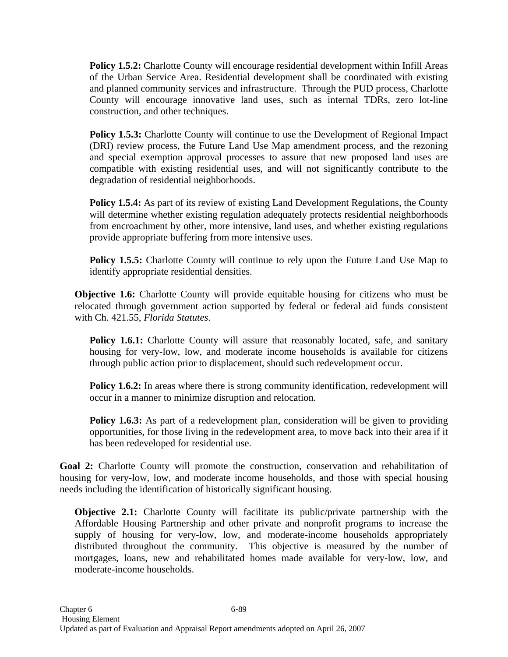**Policy 1.5.2:** Charlotte County will encourage residential development within Infill Areas of the Urban Service Area. Residential development shall be coordinated with existing and planned community services and infrastructure. Through the PUD process, Charlotte County will encourage innovative land uses, such as internal TDRs, zero lot-line construction, and other techniques.

**Policy 1.5.3:** Charlotte County will continue to use the Development of Regional Impact (DRI) review process, the Future Land Use Map amendment process, and the rezoning and special exemption approval processes to assure that new proposed land uses are compatible with existing residential uses, and will not significantly contribute to the degradation of residential neighborhoods.

**Policy 1.5.4:** As part of its review of existing Land Development Regulations, the County will determine whether existing regulation adequately protects residential neighborhoods from encroachment by other, more intensive, land uses, and whether existing regulations provide appropriate buffering from more intensive uses.

**Policy 1.5.5:** Charlotte County will continue to rely upon the Future Land Use Map to identify appropriate residential densities.

**Objective 1.6:** Charlotte County will provide equitable housing for citizens who must be relocated through government action supported by federal or federal aid funds consistent with Ch. 421.55, *Florida Statutes*.

**Policy 1.6.1:** Charlotte County will assure that reasonably located, safe, and sanitary housing for very-low, low, and moderate income households is available for citizens through public action prior to displacement, should such redevelopment occur.

**Policy 1.6.2:** In areas where there is strong community identification, redevelopment will occur in a manner to minimize disruption and relocation.

**Policy 1.6.3:** As part of a redevelopment plan, consideration will be given to providing opportunities, for those living in the redevelopment area, to move back into their area if it has been redeveloped for residential use.

**Goal 2:** Charlotte County will promote the construction, conservation and rehabilitation of housing for very-low, low, and moderate income households, and those with special housing needs including the identification of historically significant housing.

**Objective 2.1:** Charlotte County will facilitate its public/private partnership with the Affordable Housing Partnership and other private and nonprofit programs to increase the supply of housing for very-low, low, and moderate-income households appropriately distributed throughout the community. This objective is measured by the number of mortgages, loans, new and rehabilitated homes made available for very-low, low, and moderate-income households.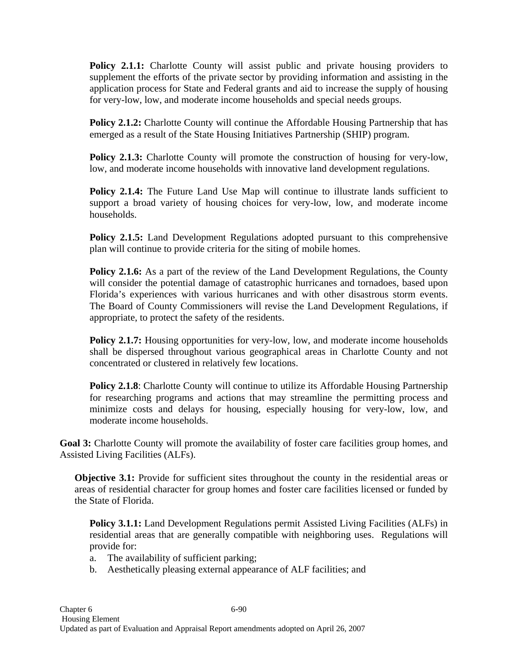**Policy 2.1.1:** Charlotte County will assist public and private housing providers to supplement the efforts of the private sector by providing information and assisting in the application process for State and Federal grants and aid to increase the supply of housing for very-low, low, and moderate income households and special needs groups.

**Policy 2.1.2:** Charlotte County will continue the Affordable Housing Partnership that has emerged as a result of the State Housing Initiatives Partnership (SHIP) program.

**Policy 2.1.3:** Charlotte County will promote the construction of housing for very-low, low, and moderate income households with innovative land development regulations.

**Policy 2.1.4:** The Future Land Use Map will continue to illustrate lands sufficient to support a broad variety of housing choices for very-low, low, and moderate income households.

**Policy 2.1.5:** Land Development Regulations adopted pursuant to this comprehensive plan will continue to provide criteria for the siting of mobile homes.

**Policy 2.1.6:** As a part of the review of the Land Development Regulations, the County will consider the potential damage of catastrophic hurricanes and tornadoes, based upon Florida's experiences with various hurricanes and with other disastrous storm events. The Board of County Commissioners will revise the Land Development Regulations, if appropriate, to protect the safety of the residents.

**Policy 2.1.7:** Housing opportunities for very-low, low, and moderate income households shall be dispersed throughout various geographical areas in Charlotte County and not concentrated or clustered in relatively few locations.

**Policy 2.1.8**: Charlotte County will continue to utilize its Affordable Housing Partnership for researching programs and actions that may streamline the permitting process and minimize costs and delays for housing, especially housing for very-low, low, and moderate income households.

**Goal 3:** Charlotte County will promote the availability of foster care facilities group homes, and Assisted Living Facilities (ALFs).

**Objective 3.1:** Provide for sufficient sites throughout the county in the residential areas or areas of residential character for group homes and foster care facilities licensed or funded by the State of Florida.

**Policy 3.1.1:** Land Development Regulations permit Assisted Living Facilities (ALFs) in residential areas that are generally compatible with neighboring uses. Regulations will provide for:

a. The availability of sufficient parking;

b. Aesthetically pleasing external appearance of ALF facilities; and